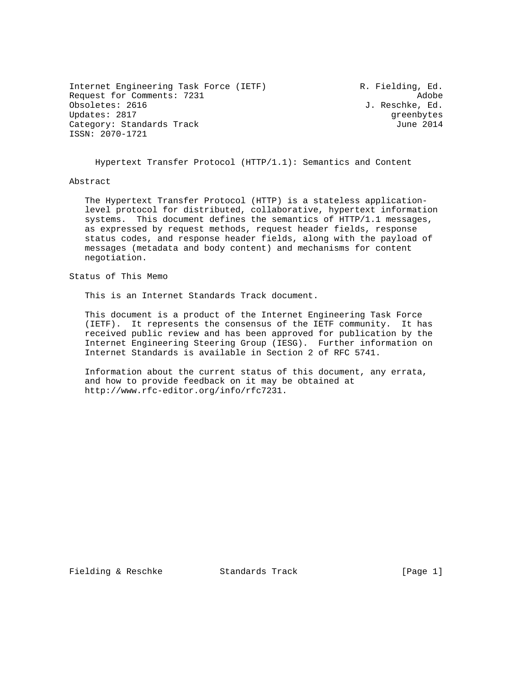Internet Engineering Task Force (IETF) R. Fielding, Ed. Request for Comments: 7231 Adobe Updates: 2817 Greenbytes and the Updates: 2817 Category: Standards Track June 2014 ISSN: 2070-1721

J. Reschke, Ed.

Hypertext Transfer Protocol (HTTP/1.1): Semantics and Content

## Abstract

 The Hypertext Transfer Protocol (HTTP) is a stateless application level protocol for distributed, collaborative, hypertext information systems. This document defines the semantics of HTTP/1.1 messages, as expressed by request methods, request header fields, response status codes, and response header fields, along with the payload of messages (metadata and body content) and mechanisms for content negotiation.

Status of This Memo

This is an Internet Standards Track document.

 This document is a product of the Internet Engineering Task Force (IETF). It represents the consensus of the IETF community. It has received public review and has been approved for publication by the Internet Engineering Steering Group (IESG). Further information on Internet Standards is available in Section 2 of RFC 5741.

 Information about the current status of this document, any errata, and how to provide feedback on it may be obtained at http://www.rfc-editor.org/info/rfc7231.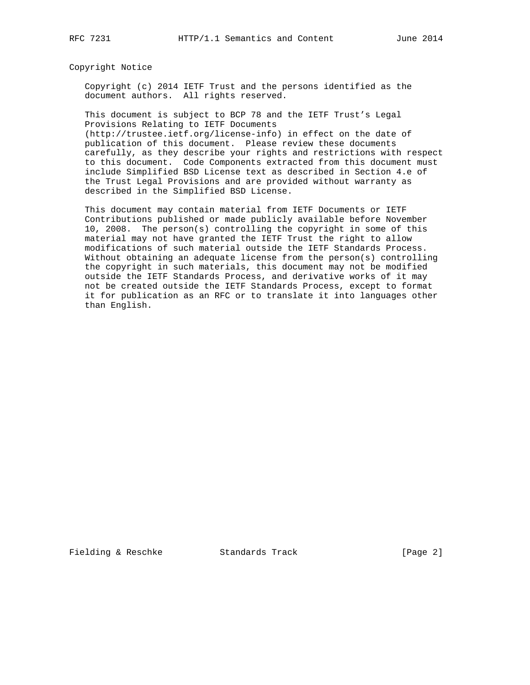## Copyright Notice

 Copyright (c) 2014 IETF Trust and the persons identified as the document authors. All rights reserved.

 This document is subject to BCP 78 and the IETF Trust's Legal Provisions Relating to IETF Documents

 (http://trustee.ietf.org/license-info) in effect on the date of publication of this document. Please review these documents carefully, as they describe your rights and restrictions with respect to this document. Code Components extracted from this document must include Simplified BSD License text as described in Section 4.e of the Trust Legal Provisions and are provided without warranty as described in the Simplified BSD License.

 This document may contain material from IETF Documents or IETF Contributions published or made publicly available before November 10, 2008. The person(s) controlling the copyright in some of this material may not have granted the IETF Trust the right to allow modifications of such material outside the IETF Standards Process. Without obtaining an adequate license from the person(s) controlling the copyright in such materials, this document may not be modified outside the IETF Standards Process, and derivative works of it may not be created outside the IETF Standards Process, except to format it for publication as an RFC or to translate it into languages other than English.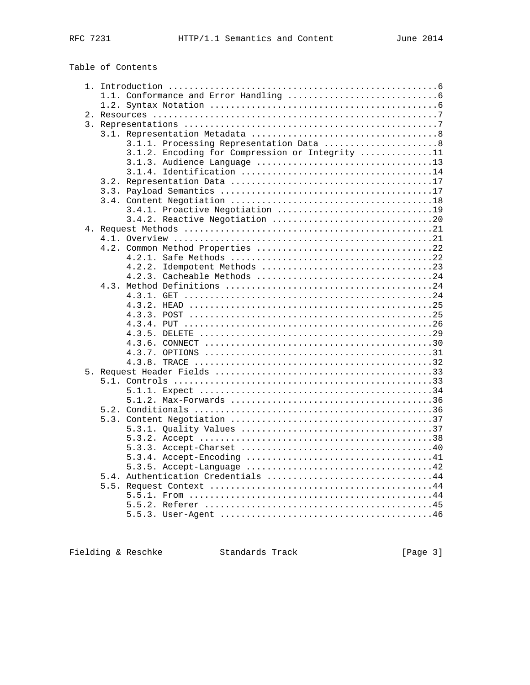Table of Contents

|  |  | 3.1.1. Processing Representation Data 8         |  |
|--|--|-------------------------------------------------|--|
|  |  | 3.1.2. Encoding for Compression or Integrity 11 |  |
|  |  |                                                 |  |
|  |  |                                                 |  |
|  |  |                                                 |  |
|  |  |                                                 |  |
|  |  |                                                 |  |
|  |  | 3.4.1. Proactive Negotiation 19                 |  |
|  |  | 3.4.2. Reactive Negotiation 20                  |  |
|  |  |                                                 |  |
|  |  |                                                 |  |
|  |  | 4.2. Common Method Properties 22                |  |
|  |  |                                                 |  |
|  |  |                                                 |  |
|  |  |                                                 |  |
|  |  |                                                 |  |
|  |  |                                                 |  |
|  |  |                                                 |  |
|  |  |                                                 |  |
|  |  |                                                 |  |
|  |  |                                                 |  |
|  |  |                                                 |  |
|  |  |                                                 |  |
|  |  |                                                 |  |
|  |  |                                                 |  |
|  |  |                                                 |  |
|  |  |                                                 |  |
|  |  |                                                 |  |
|  |  |                                                 |  |
|  |  |                                                 |  |
|  |  |                                                 |  |
|  |  |                                                 |  |
|  |  |                                                 |  |
|  |  |                                                 |  |
|  |  |                                                 |  |
|  |  |                                                 |  |
|  |  | 5.4. Authentication Credentials 44              |  |
|  |  |                                                 |  |
|  |  |                                                 |  |
|  |  |                                                 |  |
|  |  |                                                 |  |
|  |  |                                                 |  |

Fielding & Reschke Standards Track [Page 3]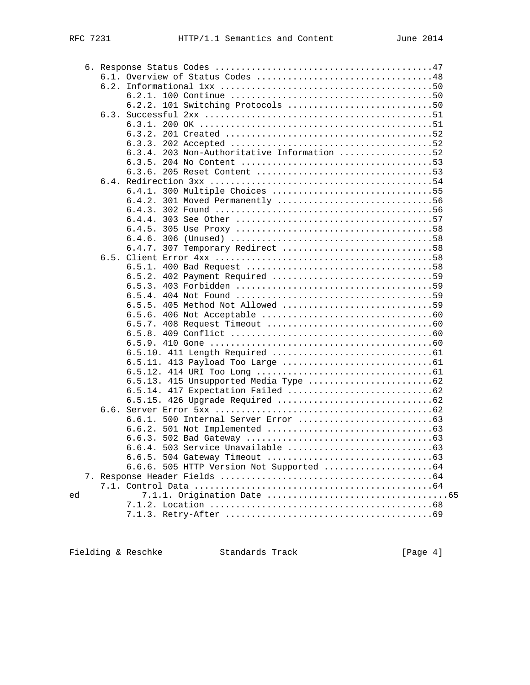|    |  |        | 6.2.2. 101 Switching Protocols 50           |
|----|--|--------|---------------------------------------------|
|    |  |        |                                             |
|    |  |        |                                             |
|    |  |        |                                             |
|    |  |        |                                             |
|    |  |        | 6.3.4. 203 Non-Authoritative Information 52 |
|    |  |        |                                             |
|    |  |        |                                             |
|    |  |        |                                             |
|    |  |        | 6.4.1. 300 Multiple Choices 55              |
|    |  |        | 6.4.2. 301 Moved Permanently 56             |
|    |  |        |                                             |
|    |  |        |                                             |
|    |  |        |                                             |
|    |  |        |                                             |
|    |  |        | 6.4.7. 307 Temporary Redirect 58            |
|    |  |        |                                             |
|    |  |        |                                             |
|    |  |        | 6.5.2. 402 Payment Required 59              |
|    |  |        |                                             |
|    |  |        |                                             |
|    |  |        | 6.5.5. 405 Method Not Allowed 59            |
|    |  | 6.5.6. |                                             |
|    |  |        |                                             |
|    |  |        |                                             |
|    |  |        |                                             |
|    |  |        |                                             |
|    |  |        |                                             |
|    |  |        |                                             |
|    |  |        |                                             |
|    |  |        |                                             |
|    |  |        |                                             |
|    |  |        |                                             |
|    |  |        |                                             |
|    |  |        |                                             |
|    |  |        |                                             |
|    |  |        |                                             |
|    |  |        |                                             |
|    |  |        | 6.6.6. 505 HTTP Version Not Supported  64   |
|    |  |        |                                             |
|    |  |        |                                             |
| ed |  |        |                                             |
|    |  |        |                                             |
|    |  |        |                                             |
|    |  |        |                                             |

Fielding & Reschke Standards Track [Page 4]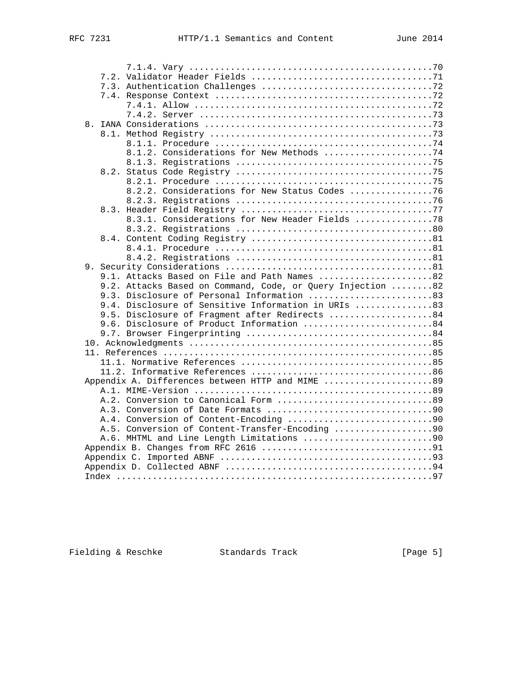|  |      | 8.1.2. Considerations for New Methods 74                   |
|--|------|------------------------------------------------------------|
|  |      |                                                            |
|  | 8.2. |                                                            |
|  |      |                                                            |
|  |      | 8.2.2. Considerations for New Status Codes 76              |
|  |      |                                                            |
|  |      |                                                            |
|  |      | 8.3.1. Considerations for New Header Fields 78             |
|  |      |                                                            |
|  |      |                                                            |
|  |      |                                                            |
|  |      |                                                            |
|  |      |                                                            |
|  |      | 9.1. Attacks Based on File and Path Names 82               |
|  |      | 9.2. Attacks Based on Command, Code, or Query Injection 82 |
|  |      | 9.3. Disclosure of Personal Information 83                 |
|  |      | 9.4. Disclosure of Sensitive Information in URIs 83        |
|  |      | 9.5. Disclosure of Fragment after Redirects 84             |
|  |      | 9.6. Disclosure of Product Information 84                  |
|  |      |                                                            |
|  |      |                                                            |
|  |      |                                                            |
|  |      |                                                            |
|  |      |                                                            |
|  |      | Appendix A. Differences between HTTP and MIME 89           |
|  |      |                                                            |
|  |      | A.2. Conversion to Canonical Form 89                       |
|  |      |                                                            |
|  |      |                                                            |
|  |      | A.5. Conversion of Content-Transfer-Encoding 90            |
|  |      | A.6. MHTML and Line Length Limitations 90                  |
|  |      |                                                            |
|  |      |                                                            |
|  |      |                                                            |
|  |      |                                                            |
|  |      |                                                            |

Fielding & Reschke Standards Track [Page 5]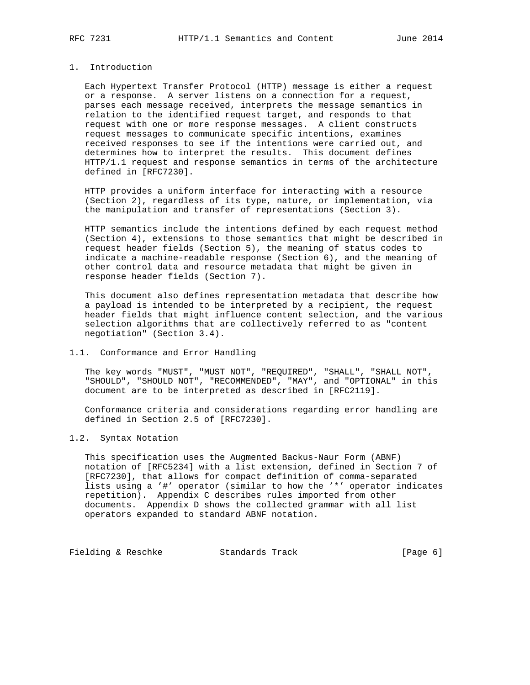# 1. Introduction

 Each Hypertext Transfer Protocol (HTTP) message is either a request or a response. A server listens on a connection for a request, parses each message received, interprets the message semantics in relation to the identified request target, and responds to that request with one or more response messages. A client constructs request messages to communicate specific intentions, examines received responses to see if the intentions were carried out, and determines how to interpret the results. This document defines HTTP/1.1 request and response semantics in terms of the architecture defined in [RFC7230].

 HTTP provides a uniform interface for interacting with a resource (Section 2), regardless of its type, nature, or implementation, via the manipulation and transfer of representations (Section 3).

 HTTP semantics include the intentions defined by each request method (Section 4), extensions to those semantics that might be described in request header fields (Section 5), the meaning of status codes to indicate a machine-readable response (Section 6), and the meaning of other control data and resource metadata that might be given in response header fields (Section 7).

 This document also defines representation metadata that describe how a payload is intended to be interpreted by a recipient, the request header fields that might influence content selection, and the various selection algorithms that are collectively referred to as "content negotiation" (Section 3.4).

## 1.1. Conformance and Error Handling

 The key words "MUST", "MUST NOT", "REQUIRED", "SHALL", "SHALL NOT", "SHOULD", "SHOULD NOT", "RECOMMENDED", "MAY", and "OPTIONAL" in this document are to be interpreted as described in [RFC2119].

 Conformance criteria and considerations regarding error handling are defined in Section 2.5 of [RFC7230].

# 1.2. Syntax Notation

 This specification uses the Augmented Backus-Naur Form (ABNF) notation of [RFC5234] with a list extension, defined in Section 7 of [RFC7230], that allows for compact definition of comma-separated lists using a '#' operator (similar to how the '\*' operator indicates repetition). Appendix C describes rules imported from other documents. Appendix D shows the collected grammar with all list operators expanded to standard ABNF notation.

Fielding & Reschke Standards Track [Page 6]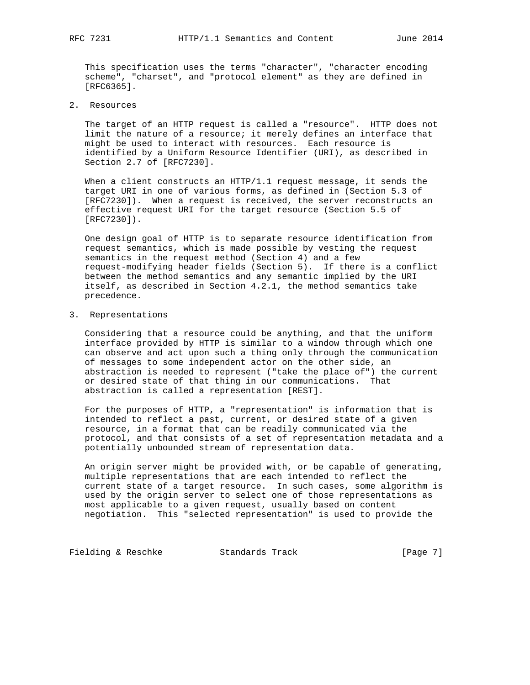This specification uses the terms "character", "character encoding scheme", "charset", and "protocol element" as they are defined in [RFC6365].

2. Resources

 The target of an HTTP request is called a "resource". HTTP does not limit the nature of a resource; it merely defines an interface that might be used to interact with resources. Each resource is identified by a Uniform Resource Identifier (URI), as described in Section 2.7 of [RFC7230].

 When a client constructs an HTTP/1.1 request message, it sends the target URI in one of various forms, as defined in (Section 5.3 of [RFC7230]). When a request is received, the server reconstructs an effective request URI for the target resource (Section 5.5 of [RFC7230]).

 One design goal of HTTP is to separate resource identification from request semantics, which is made possible by vesting the request semantics in the request method (Section 4) and a few request-modifying header fields (Section 5). If there is a conflict between the method semantics and any semantic implied by the URI itself, as described in Section 4.2.1, the method semantics take precedence.

3. Representations

 Considering that a resource could be anything, and that the uniform interface provided by HTTP is similar to a window through which one can observe and act upon such a thing only through the communication of messages to some independent actor on the other side, an abstraction is needed to represent ("take the place of") the current or desired state of that thing in our communications. That abstraction is called a representation [REST].

 For the purposes of HTTP, a "representation" is information that is intended to reflect a past, current, or desired state of a given resource, in a format that can be readily communicated via the protocol, and that consists of a set of representation metadata and a potentially unbounded stream of representation data.

 An origin server might be provided with, or be capable of generating, multiple representations that are each intended to reflect the current state of a target resource. In such cases, some algorithm is used by the origin server to select one of those representations as most applicable to a given request, usually based on content negotiation. This "selected representation" is used to provide the

Fielding & Reschke Standards Track [Page 7]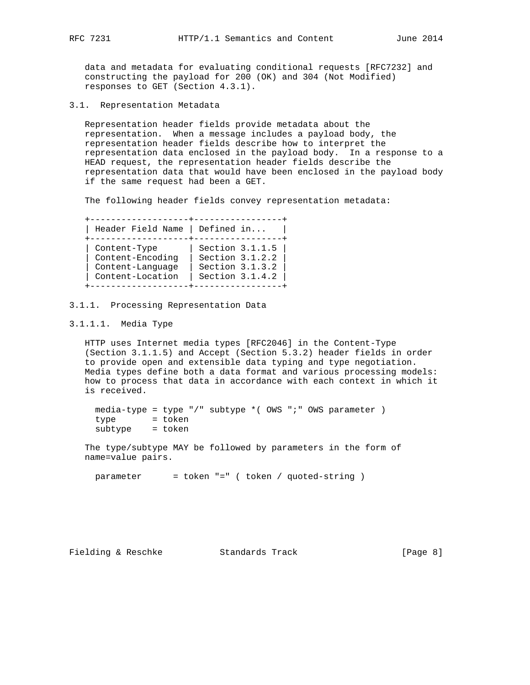data and metadata for evaluating conditional requests [RFC7232] and constructing the payload for 200 (OK) and 304 (Not Modified) responses to GET (Section 4.3.1).

3.1. Representation Metadata

 Representation header fields provide metadata about the representation. When a message includes a payload body, the representation header fields describe how to interpret the representation data enclosed in the payload body. In a response to a HEAD request, the representation header fields describe the representation data that would have been enclosed in the payload body if the same request had been a GET.

The following header fields convey representation metadata:

 +-------------------+-----------------+ | Header Field Name | Defined in... | +-------------------+-----------------+ | Content-Type | Section 3.1.1.5 | | Content-Encoding | Section 3.1.2.2 | | Content-Language | Section 3.1.3.2 | | Content-Location | Section 3.1.4.2 | +-------------------+-----------------+

## 3.1.1. Processing Representation Data

3.1.1.1. Media Type

 HTTP uses Internet media types [RFC2046] in the Content-Type (Section 3.1.1.5) and Accept (Section 5.3.2) header fields in order to provide open and extensible data typing and type negotiation. Media types define both a data format and various processing models: how to process that data in accordance with each context in which it is received.

 media-type = type "/" subtype \*( OWS ";" OWS parameter ) type = token subtype = token

 The type/subtype MAY be followed by parameters in the form of name=value pairs.

parameter = token "=" ( token / quoted-string )

Fielding & Reschke Standards Track [Page 8]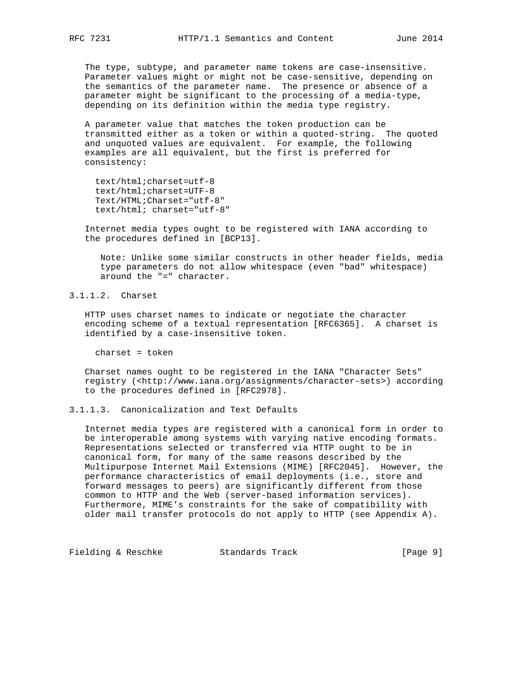The type, subtype, and parameter name tokens are case-insensitive. Parameter values might or might not be case-sensitive, depending on the semantics of the parameter name. The presence or absence of a parameter might be significant to the processing of a media-type, depending on its definition within the media type registry.

 A parameter value that matches the token production can be transmitted either as a token or within a quoted-string. The quoted and unquoted values are equivalent. For example, the following examples are all equivalent, but the first is preferred for consistency:

 text/html;charset=utf-8 text/html;charset=UTF-8 Text/HTML;Charset="utf-8" text/html; charset="utf-8"

 Internet media types ought to be registered with IANA according to the procedures defined in [BCP13].

 Note: Unlike some similar constructs in other header fields, media type parameters do not allow whitespace (even "bad" whitespace) around the "=" character.

3.1.1.2. Charset

 HTTP uses charset names to indicate or negotiate the character encoding scheme of a textual representation [RFC6365]. A charset is identified by a case-insensitive token.

charset = token

 Charset names ought to be registered in the IANA "Character Sets" registry (<http://www.iana.org/assignments/character-sets>) according to the procedures defined in [RFC2978].

# 3.1.1.3. Canonicalization and Text Defaults

 Internet media types are registered with a canonical form in order to be interoperable among systems with varying native encoding formats. Representations selected or transferred via HTTP ought to be in canonical form, for many of the same reasons described by the Multipurpose Internet Mail Extensions (MIME) [RFC2045]. However, the performance characteristics of email deployments (i.e., store and forward messages to peers) are significantly different from those common to HTTP and the Web (server-based information services). Furthermore, MIME's constraints for the sake of compatibility with older mail transfer protocols do not apply to HTTP (see Appendix A).

Fielding & Reschke Standards Track [Page 9]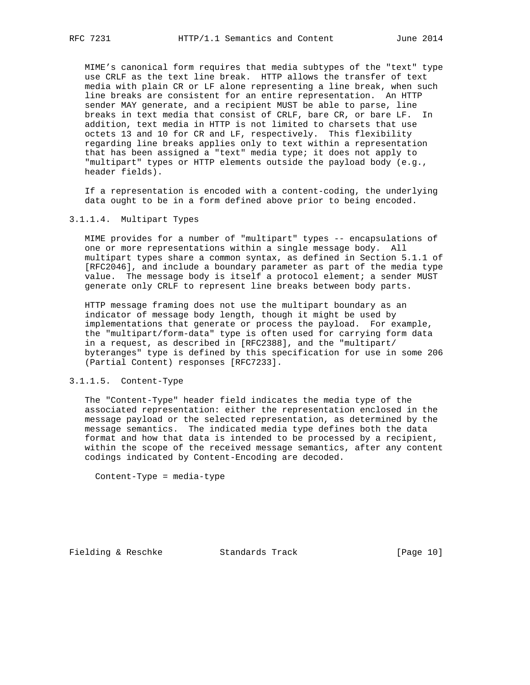MIME's canonical form requires that media subtypes of the "text" type use CRLF as the text line break. HTTP allows the transfer of text media with plain CR or LF alone representing a line break, when such line breaks are consistent for an entire representation. An HTTP sender MAY generate, and a recipient MUST be able to parse, line breaks in text media that consist of CRLF, bare CR, or bare LF. In addition, text media in HTTP is not limited to charsets that use octets 13 and 10 for CR and LF, respectively. This flexibility regarding line breaks applies only to text within a representation that has been assigned a "text" media type; it does not apply to "multipart" types or HTTP elements outside the payload body (e.g., header fields).

 If a representation is encoded with a content-coding, the underlying data ought to be in a form defined above prior to being encoded.

### 3.1.1.4. Multipart Types

 MIME provides for a number of "multipart" types -- encapsulations of one or more representations within a single message body. All multipart types share a common syntax, as defined in Section 5.1.1 of [RFC2046], and include a boundary parameter as part of the media type value. The message body is itself a protocol element; a sender MUST generate only CRLF to represent line breaks between body parts.

 HTTP message framing does not use the multipart boundary as an indicator of message body length, though it might be used by implementations that generate or process the payload. For example, the "multipart/form-data" type is often used for carrying form data in a request, as described in [RFC2388], and the "multipart/ byteranges" type is defined by this specification for use in some 206 (Partial Content) responses [RFC7233].

## 3.1.1.5. Content-Type

 The "Content-Type" header field indicates the media type of the associated representation: either the representation enclosed in the message payload or the selected representation, as determined by the message semantics. The indicated media type defines both the data format and how that data is intended to be processed by a recipient, within the scope of the received message semantics, after any content codings indicated by Content-Encoding are decoded.

Content-Type = media-type

Fielding & Reschke Standards Track [Page 10]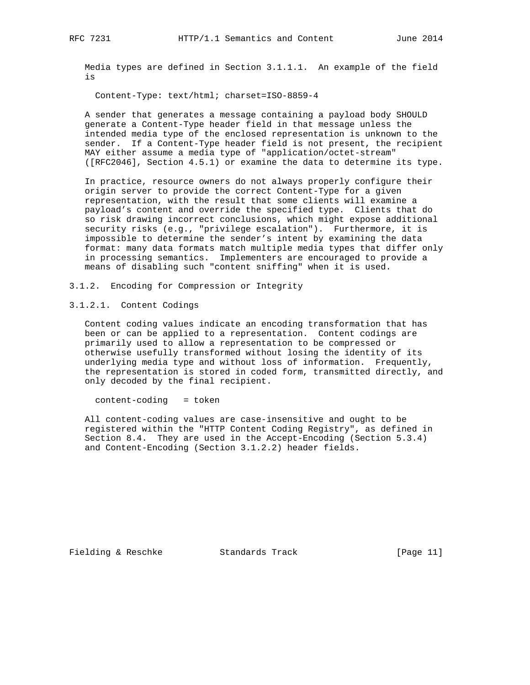Media types are defined in Section 3.1.1.1. An example of the field is

Content-Type: text/html; charset=ISO-8859-4

 A sender that generates a message containing a payload body SHOULD generate a Content-Type header field in that message unless the intended media type of the enclosed representation is unknown to the sender. If a Content-Type header field is not present, the recipient MAY either assume a media type of "application/octet-stream" ([RFC2046], Section 4.5.1) or examine the data to determine its type.

 In practice, resource owners do not always properly configure their origin server to provide the correct Content-Type for a given representation, with the result that some clients will examine a payload's content and override the specified type. Clients that do so risk drawing incorrect conclusions, which might expose additional security risks (e.g., "privilege escalation"). Furthermore, it is impossible to determine the sender's intent by examining the data format: many data formats match multiple media types that differ only in processing semantics. Implementers are encouraged to provide a means of disabling such "content sniffing" when it is used.

3.1.2. Encoding for Compression or Integrity

3.1.2.1. Content Codings

 Content coding values indicate an encoding transformation that has been or can be applied to a representation. Content codings are primarily used to allow a representation to be compressed or otherwise usefully transformed without losing the identity of its underlying media type and without loss of information. Frequently, the representation is stored in coded form, transmitted directly, and only decoded by the final recipient.

content-coding = token

 All content-coding values are case-insensitive and ought to be registered within the "HTTP Content Coding Registry", as defined in Section 8.4. They are used in the Accept-Encoding (Section 5.3.4) and Content-Encoding (Section 3.1.2.2) header fields.

Fielding & Reschke Standards Track [Page 11]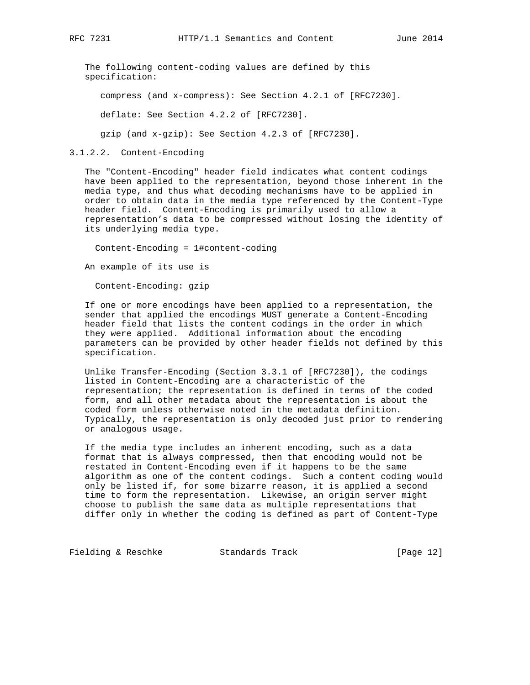The following content-coding values are defined by this specification:

compress (and x-compress): See Section 4.2.1 of [RFC7230].

deflate: See Section 4.2.2 of [RFC7230].

gzip (and x-gzip): See Section 4.2.3 of [RFC7230].

3.1.2.2. Content-Encoding

 The "Content-Encoding" header field indicates what content codings have been applied to the representation, beyond those inherent in the media type, and thus what decoding mechanisms have to be applied in order to obtain data in the media type referenced by the Content-Type header field. Content-Encoding is primarily used to allow a representation's data to be compressed without losing the identity of its underlying media type.

Content-Encoding = 1#content-coding

An example of its use is

Content-Encoding: gzip

 If one or more encodings have been applied to a representation, the sender that applied the encodings MUST generate a Content-Encoding header field that lists the content codings in the order in which they were applied. Additional information about the encoding parameters can be provided by other header fields not defined by this specification.

 Unlike Transfer-Encoding (Section 3.3.1 of [RFC7230]), the codings listed in Content-Encoding are a characteristic of the representation; the representation is defined in terms of the coded form, and all other metadata about the representation is about the coded form unless otherwise noted in the metadata definition. Typically, the representation is only decoded just prior to rendering or analogous usage.

 If the media type includes an inherent encoding, such as a data format that is always compressed, then that encoding would not be restated in Content-Encoding even if it happens to be the same algorithm as one of the content codings. Such a content coding would only be listed if, for some bizarre reason, it is applied a second time to form the representation. Likewise, an origin server might choose to publish the same data as multiple representations that differ only in whether the coding is defined as part of Content-Type

Fielding & Reschke Standards Track [Page 12]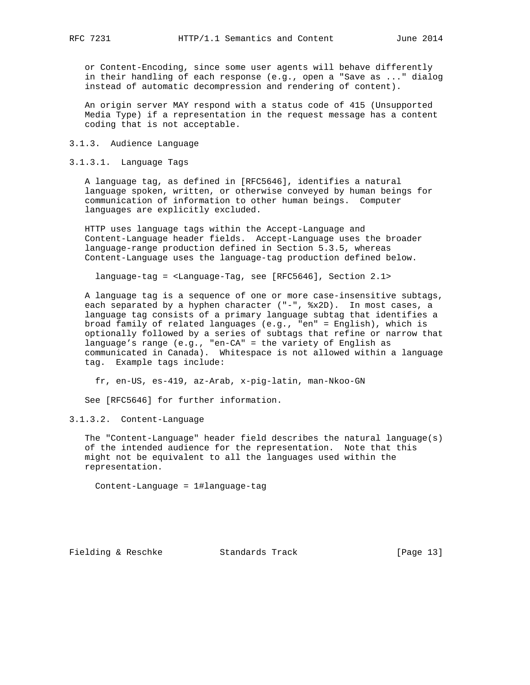or Content-Encoding, since some user agents will behave differently in their handling of each response (e.g., open a "Save as ..." dialog instead of automatic decompression and rendering of content).

 An origin server MAY respond with a status code of 415 (Unsupported Media Type) if a representation in the request message has a content coding that is not acceptable.

## 3.1.3. Audience Language

# 3.1.3.1. Language Tags

 A language tag, as defined in [RFC5646], identifies a natural language spoken, written, or otherwise conveyed by human beings for communication of information to other human beings. Computer languages are explicitly excluded.

 HTTP uses language tags within the Accept-Language and Content-Language header fields. Accept-Language uses the broader language-range production defined in Section 5.3.5, whereas Content-Language uses the language-tag production defined below.

language-tag = <Language-Tag, see [RFC5646], Section 2.1>

 A language tag is a sequence of one or more case-insensitive subtags, each separated by a hyphen character ("-", %x2D). In most cases, a language tag consists of a primary language subtag that identifies a broad family of related languages (e.g., "en" = English), which is optionally followed by a series of subtags that refine or narrow that language's range (e.g., "en-CA" = the variety of English as communicated in Canada). Whitespace is not allowed within a language tag. Example tags include:

fr, en-US, es-419, az-Arab, x-pig-latin, man-Nkoo-GN

See [RFC5646] for further information.

3.1.3.2. Content-Language

 The "Content-Language" header field describes the natural language(s) of the intended audience for the representation. Note that this might not be equivalent to all the languages used within the representation.

Content-Language = 1#language-tag

Fielding & Reschke Standards Track [Page 13]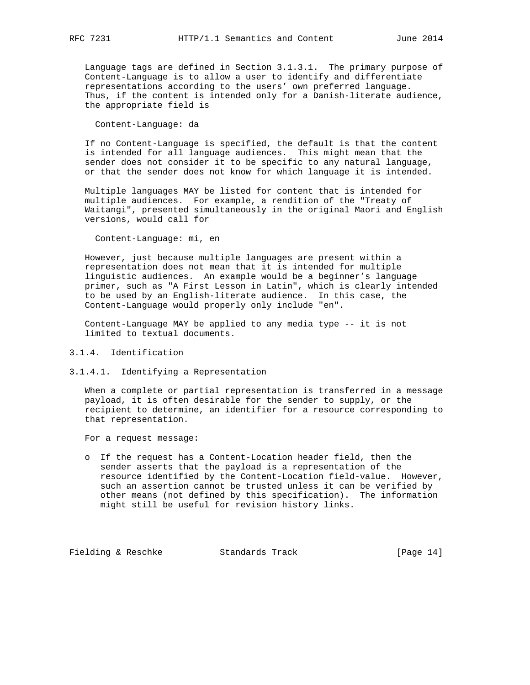Language tags are defined in Section 3.1.3.1. The primary purpose of Content-Language is to allow a user to identify and differentiate representations according to the users' own preferred language. Thus, if the content is intended only for a Danish-literate audience, the appropriate field is

Content-Language: da

 If no Content-Language is specified, the default is that the content is intended for all language audiences. This might mean that the sender does not consider it to be specific to any natural language, or that the sender does not know for which language it is intended.

 Multiple languages MAY be listed for content that is intended for multiple audiences. For example, a rendition of the "Treaty of Waitangi", presented simultaneously in the original Maori and English versions, would call for

Content-Language: mi, en

 However, just because multiple languages are present within a representation does not mean that it is intended for multiple linguistic audiences. An example would be a beginner's language primer, such as "A First Lesson in Latin", which is clearly intended to be used by an English-literate audience. In this case, the Content-Language would properly only include "en".

 Content-Language MAY be applied to any media type -- it is not limited to textual documents.

- 3.1.4. Identification
- 3.1.4.1. Identifying a Representation

 When a complete or partial representation is transferred in a message payload, it is often desirable for the sender to supply, or the recipient to determine, an identifier for a resource corresponding to that representation.

For a request message:

 o If the request has a Content-Location header field, then the sender asserts that the payload is a representation of the resource identified by the Content-Location field-value. However, such an assertion cannot be trusted unless it can be verified by other means (not defined by this specification). The information might still be useful for revision history links.

Fielding & Reschke Standards Track [Page 14]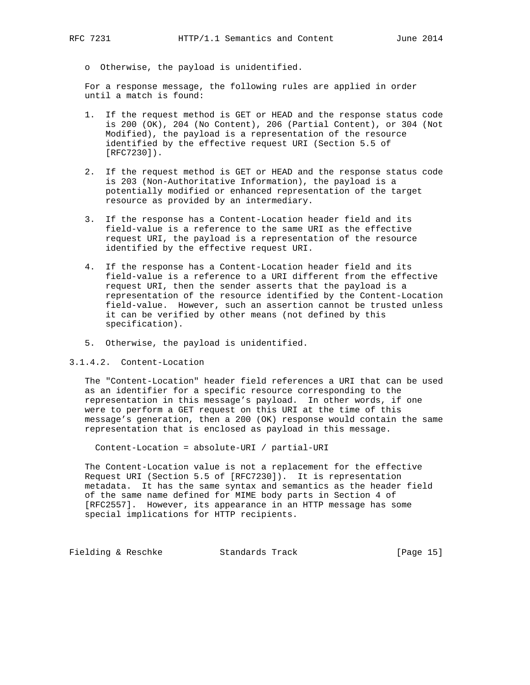o Otherwise, the payload is unidentified.

 For a response message, the following rules are applied in order until a match is found:

- 1. If the request method is GET or HEAD and the response status code is 200 (OK), 204 (No Content), 206 (Partial Content), or 304 (Not Modified), the payload is a representation of the resource identified by the effective request URI (Section 5.5 of [RFC7230]).
- 2. If the request method is GET or HEAD and the response status code is 203 (Non-Authoritative Information), the payload is a potentially modified or enhanced representation of the target resource as provided by an intermediary.
- 3. If the response has a Content-Location header field and its field-value is a reference to the same URI as the effective request URI, the payload is a representation of the resource identified by the effective request URI.
- 4. If the response has a Content-Location header field and its field-value is a reference to a URI different from the effective request URI, then the sender asserts that the payload is a representation of the resource identified by the Content-Location field-value. However, such an assertion cannot be trusted unless it can be verified by other means (not defined by this specification).
- 5. Otherwise, the payload is unidentified.

3.1.4.2. Content-Location

 The "Content-Location" header field references a URI that can be used as an identifier for a specific resource corresponding to the representation in this message's payload. In other words, if one were to perform a GET request on this URI at the time of this message's generation, then a 200 (OK) response would contain the same representation that is enclosed as payload in this message.

Content-Location = absolute-URI / partial-URI

 The Content-Location value is not a replacement for the effective Request URI (Section 5.5 of [RFC7230]). It is representation metadata. It has the same syntax and semantics as the header field of the same name defined for MIME body parts in Section 4 of [RFC2557]. However, its appearance in an HTTP message has some special implications for HTTP recipients.

Fielding & Reschke Standards Track [Page 15]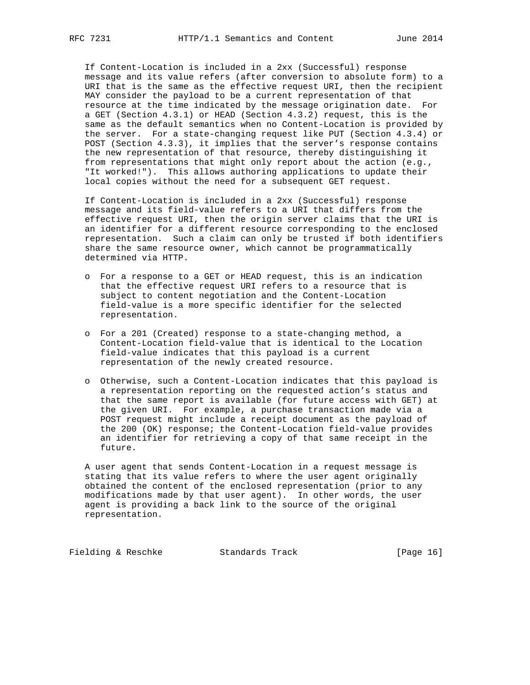If Content-Location is included in a 2xx (Successful) response message and its value refers (after conversion to absolute form) to a URI that is the same as the effective request URI, then the recipient MAY consider the payload to be a current representation of that resource at the time indicated by the message origination date. For a GET (Section 4.3.1) or HEAD (Section 4.3.2) request, this is the same as the default semantics when no Content-Location is provided by the server. For a state-changing request like PUT (Section 4.3.4) or POST (Section 4.3.3), it implies that the server's response contains the new representation of that resource, thereby distinguishing it from representations that might only report about the action (e.g., "It worked!"). This allows authoring applications to update their local copies without the need for a subsequent GET request.

 If Content-Location is included in a 2xx (Successful) response message and its field-value refers to a URI that differs from the effective request URI, then the origin server claims that the URI is an identifier for a different resource corresponding to the enclosed representation. Such a claim can only be trusted if both identifiers share the same resource owner, which cannot be programmatically determined via HTTP.

- o For a response to a GET or HEAD request, this is an indication that the effective request URI refers to a resource that is subject to content negotiation and the Content-Location field-value is a more specific identifier for the selected representation.
- o For a 201 (Created) response to a state-changing method, a Content-Location field-value that is identical to the Location field-value indicates that this payload is a current representation of the newly created resource.
- o Otherwise, such a Content-Location indicates that this payload is a representation reporting on the requested action's status and that the same report is available (for future access with GET) at the given URI. For example, a purchase transaction made via a POST request might include a receipt document as the payload of the 200 (OK) response; the Content-Location field-value provides an identifier for retrieving a copy of that same receipt in the future.

 A user agent that sends Content-Location in a request message is stating that its value refers to where the user agent originally obtained the content of the enclosed representation (prior to any modifications made by that user agent). In other words, the user agent is providing a back link to the source of the original representation.

Fielding & Reschke Standards Track [Page 16]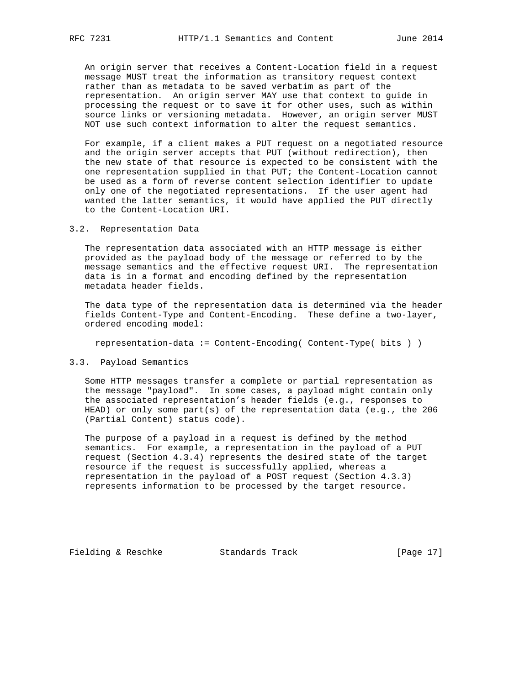An origin server that receives a Content-Location field in a request message MUST treat the information as transitory request context rather than as metadata to be saved verbatim as part of the representation. An origin server MAY use that context to guide in processing the request or to save it for other uses, such as within source links or versioning metadata. However, an origin server MUST NOT use such context information to alter the request semantics.

 For example, if a client makes a PUT request on a negotiated resource and the origin server accepts that PUT (without redirection), then the new state of that resource is expected to be consistent with the one representation supplied in that PUT; the Content-Location cannot be used as a form of reverse content selection identifier to update only one of the negotiated representations. If the user agent had wanted the latter semantics, it would have applied the PUT directly to the Content-Location URI.

## 3.2. Representation Data

 The representation data associated with an HTTP message is either provided as the payload body of the message or referred to by the message semantics and the effective request URI. The representation data is in a format and encoding defined by the representation metadata header fields.

 The data type of the representation data is determined via the header fields Content-Type and Content-Encoding. These define a two-layer, ordered encoding model:

representation-data := Content-Encoding( Content-Type( bits ) )

#### 3.3. Payload Semantics

 Some HTTP messages transfer a complete or partial representation as the message "payload". In some cases, a payload might contain only the associated representation's header fields (e.g., responses to HEAD) or only some part(s) of the representation data (e.g., the 206 (Partial Content) status code).

 The purpose of a payload in a request is defined by the method semantics. For example, a representation in the payload of a PUT request (Section 4.3.4) represents the desired state of the target resource if the request is successfully applied, whereas a representation in the payload of a POST request (Section 4.3.3) represents information to be processed by the target resource.

Fielding & Reschke Standards Track [Page 17]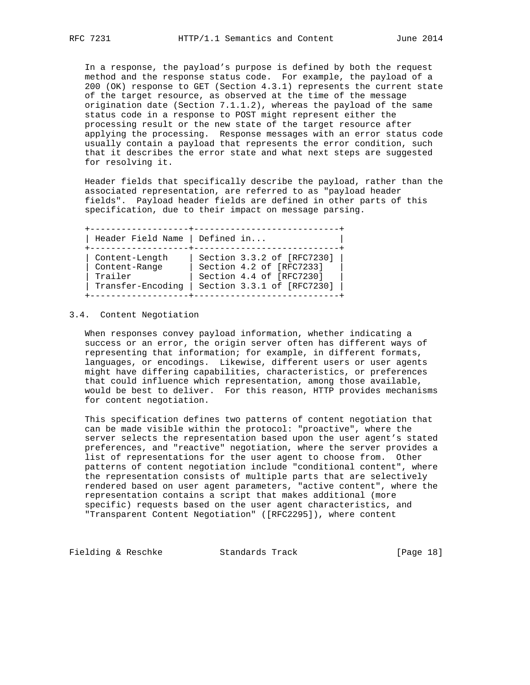In a response, the payload's purpose is defined by both the request method and the response status code. For example, the payload of a 200 (OK) response to GET (Section 4.3.1) represents the current state of the target resource, as observed at the time of the message origination date (Section 7.1.1.2), whereas the payload of the same status code in a response to POST might represent either the processing result or the new state of the target resource after applying the processing. Response messages with an error status code usually contain a payload that represents the error condition, such that it describes the error state and what next steps are suggested for resolving it.

 Header fields that specifically describe the payload, rather than the associated representation, are referred to as "payload header fields". Payload header fields are defined in other parts of this specification, due to their impact on message parsing.

 +-------------------+----------------------------+ | Header Field Name | Defined in... | +-------------------+----------------------------+ | Content-Length | Section 3.3.2 of [RFC7230] | | Content-Range | Section 4.2 of [RFC7233] | | Trailer | Section 4.4 of [RFC7230] | | Transfer-Encoding | Section 3.3.1 of [RFC7230] | +-------------------+----------------------------+

## 3.4. Content Negotiation

 When responses convey payload information, whether indicating a success or an error, the origin server often has different ways of representing that information; for example, in different formats, languages, or encodings. Likewise, different users or user agents might have differing capabilities, characteristics, or preferences that could influence which representation, among those available, would be best to deliver. For this reason, HTTP provides mechanisms for content negotiation.

 This specification defines two patterns of content negotiation that can be made visible within the protocol: "proactive", where the server selects the representation based upon the user agent's stated preferences, and "reactive" negotiation, where the server provides a list of representations for the user agent to choose from. Other patterns of content negotiation include "conditional content", where the representation consists of multiple parts that are selectively rendered based on user agent parameters, "active content", where the representation contains a script that makes additional (more specific) requests based on the user agent characteristics, and "Transparent Content Negotiation" ([RFC2295]), where content

Fielding & Reschke Standards Track [Page 18]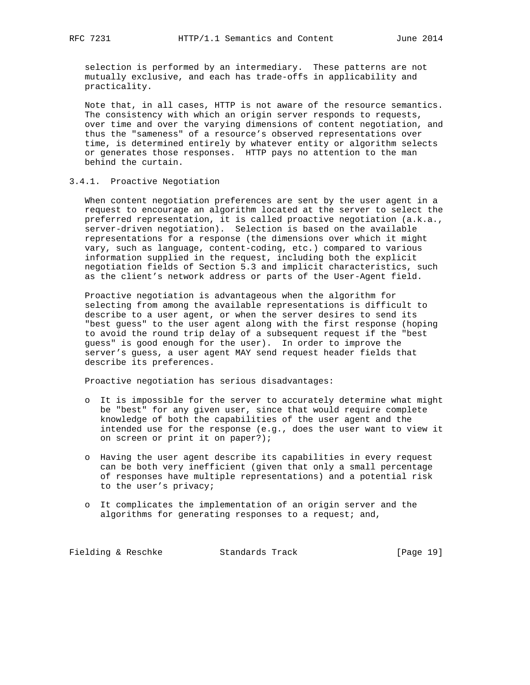selection is performed by an intermediary. These patterns are not mutually exclusive, and each has trade-offs in applicability and practicality.

 Note that, in all cases, HTTP is not aware of the resource semantics. The consistency with which an origin server responds to requests, over time and over the varying dimensions of content negotiation, and thus the "sameness" of a resource's observed representations over time, is determined entirely by whatever entity or algorithm selects or generates those responses. HTTP pays no attention to the man behind the curtain.

# 3.4.1. Proactive Negotiation

 When content negotiation preferences are sent by the user agent in a request to encourage an algorithm located at the server to select the preferred representation, it is called proactive negotiation (a.k.a., server-driven negotiation). Selection is based on the available representations for a response (the dimensions over which it might vary, such as language, content-coding, etc.) compared to various information supplied in the request, including both the explicit negotiation fields of Section 5.3 and implicit characteristics, such as the client's network address or parts of the User-Agent field.

 Proactive negotiation is advantageous when the algorithm for selecting from among the available representations is difficult to describe to a user agent, or when the server desires to send its "best guess" to the user agent along with the first response (hoping to avoid the round trip delay of a subsequent request if the "best guess" is good enough for the user). In order to improve the server's guess, a user agent MAY send request header fields that describe its preferences.

Proactive negotiation has serious disadvantages:

- o It is impossible for the server to accurately determine what might be "best" for any given user, since that would require complete knowledge of both the capabilities of the user agent and the intended use for the response (e.g., does the user want to view it on screen or print it on paper?);
- o Having the user agent describe its capabilities in every request can be both very inefficient (given that only a small percentage of responses have multiple representations) and a potential risk to the user's privacy;
- o It complicates the implementation of an origin server and the algorithms for generating responses to a request; and,

Fielding & Reschke Standards Track [Page 19]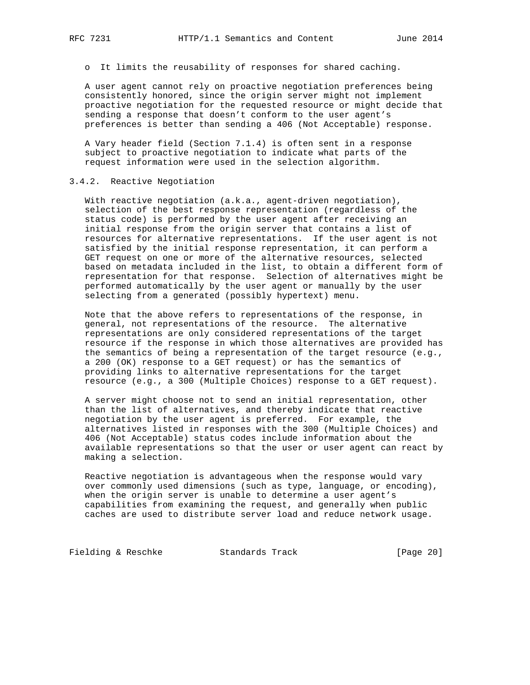o It limits the reusability of responses for shared caching.

 A user agent cannot rely on proactive negotiation preferences being consistently honored, since the origin server might not implement proactive negotiation for the requested resource or might decide that sending a response that doesn't conform to the user agent's preferences is better than sending a 406 (Not Acceptable) response.

 A Vary header field (Section 7.1.4) is often sent in a response subject to proactive negotiation to indicate what parts of the request information were used in the selection algorithm.

## 3.4.2. Reactive Negotiation

 With reactive negotiation (a.k.a., agent-driven negotiation), selection of the best response representation (regardless of the status code) is performed by the user agent after receiving an initial response from the origin server that contains a list of resources for alternative representations. If the user agent is not satisfied by the initial response representation, it can perform a GET request on one or more of the alternative resources, selected based on metadata included in the list, to obtain a different form of representation for that response. Selection of alternatives might be performed automatically by the user agent or manually by the user selecting from a generated (possibly hypertext) menu.

 Note that the above refers to representations of the response, in general, not representations of the resource. The alternative representations are only considered representations of the target resource if the response in which those alternatives are provided has the semantics of being a representation of the target resource (e.g., a 200 (OK) response to a GET request) or has the semantics of providing links to alternative representations for the target resource (e.g., a 300 (Multiple Choices) response to a GET request).

 A server might choose not to send an initial representation, other than the list of alternatives, and thereby indicate that reactive negotiation by the user agent is preferred. For example, the alternatives listed in responses with the 300 (Multiple Choices) and 406 (Not Acceptable) status codes include information about the available representations so that the user or user agent can react by making a selection.

 Reactive negotiation is advantageous when the response would vary over commonly used dimensions (such as type, language, or encoding), when the origin server is unable to determine a user agent's capabilities from examining the request, and generally when public caches are used to distribute server load and reduce network usage.

Fielding & Reschke Standards Track [Page 20]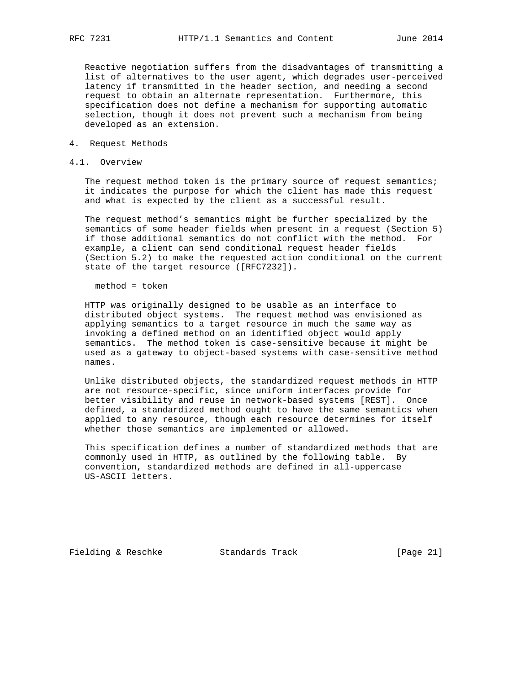Reactive negotiation suffers from the disadvantages of transmitting a list of alternatives to the user agent, which degrades user-perceived latency if transmitted in the header section, and needing a second request to obtain an alternate representation. Furthermore, this specification does not define a mechanism for supporting automatic selection, though it does not prevent such a mechanism from being developed as an extension.

- 4. Request Methods
- 4.1. Overview

 The request method token is the primary source of request semantics; it indicates the purpose for which the client has made this request and what is expected by the client as a successful result.

 The request method's semantics might be further specialized by the semantics of some header fields when present in a request (Section 5) if those additional semantics do not conflict with the method. For example, a client can send conditional request header fields (Section 5.2) to make the requested action conditional on the current state of the target resource ([RFC7232]).

method = token

 HTTP was originally designed to be usable as an interface to distributed object systems. The request method was envisioned as applying semantics to a target resource in much the same way as invoking a defined method on an identified object would apply semantics. The method token is case-sensitive because it might be used as a gateway to object-based systems with case-sensitive method names.

 Unlike distributed objects, the standardized request methods in HTTP are not resource-specific, since uniform interfaces provide for better visibility and reuse in network-based systems [REST]. Once defined, a standardized method ought to have the same semantics when applied to any resource, though each resource determines for itself whether those semantics are implemented or allowed.

 This specification defines a number of standardized methods that are commonly used in HTTP, as outlined by the following table. By convention, standardized methods are defined in all-uppercase US-ASCII letters.

Fielding & Reschke Standards Track [Page 21]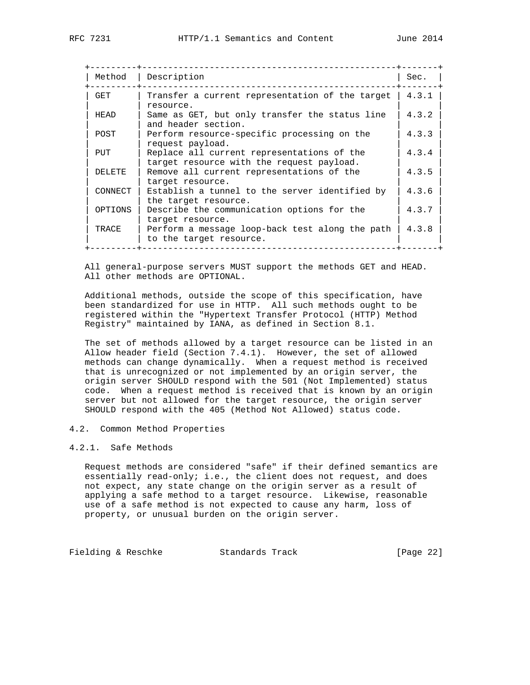| Method  | Description                                                                             | Sec.  |
|---------|-----------------------------------------------------------------------------------------|-------|
| GET     | Transfer a current representation of the target<br>resource.                            | 4.3.1 |
| HEAD    | Same as GET, but only transfer the status line<br>and header section.                   | 4.3.2 |
| POST    | Perform resource-specific processing on the<br>request payload.                         | 4.3.3 |
| PUT     | Replace all current representations of the<br>target resource with the request payload. | 4.3.4 |
| DELETE  | Remove all current representations of the<br>target resource.                           | 4.3.5 |
| CONNECT | Establish a tunnel to the server identified by<br>the target resource.                  | 4.3.6 |
| OPTIONS | Describe the communication options for the<br>target resource.                          | 4.3.7 |
| TRACE   | Perform a message loop-back test along the path<br>to the target resource.              | 4.3.8 |

 All general-purpose servers MUST support the methods GET and HEAD. All other methods are OPTIONAL.

 Additional methods, outside the scope of this specification, have been standardized for use in HTTP. All such methods ought to be registered within the "Hypertext Transfer Protocol (HTTP) Method Registry" maintained by IANA, as defined in Section 8.1.

 The set of methods allowed by a target resource can be listed in an Allow header field (Section 7.4.1). However, the set of allowed methods can change dynamically. When a request method is received that is unrecognized or not implemented by an origin server, the origin server SHOULD respond with the 501 (Not Implemented) status code. When a request method is received that is known by an origin server but not allowed for the target resource, the origin server SHOULD respond with the 405 (Method Not Allowed) status code.

#### 4.2. Common Method Properties

## 4.2.1. Safe Methods

 Request methods are considered "safe" if their defined semantics are essentially read-only; i.e., the client does not request, and does not expect, any state change on the origin server as a result of applying a safe method to a target resource. Likewise, reasonable use of a safe method is not expected to cause any harm, loss of property, or unusual burden on the origin server.

Fielding & Reschke Standards Track [Page 22]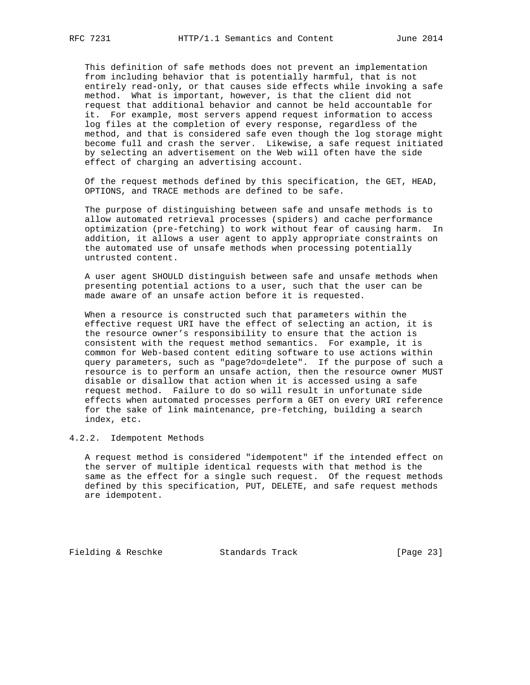This definition of safe methods does not prevent an implementation from including behavior that is potentially harmful, that is not entirely read-only, or that causes side effects while invoking a safe method. What is important, however, is that the client did not request that additional behavior and cannot be held accountable for it. For example, most servers append request information to access log files at the completion of every response, regardless of the method, and that is considered safe even though the log storage might become full and crash the server. Likewise, a safe request initiated by selecting an advertisement on the Web will often have the side effect of charging an advertising account.

 Of the request methods defined by this specification, the GET, HEAD, OPTIONS, and TRACE methods are defined to be safe.

 The purpose of distinguishing between safe and unsafe methods is to allow automated retrieval processes (spiders) and cache performance optimization (pre-fetching) to work without fear of causing harm. In addition, it allows a user agent to apply appropriate constraints on the automated use of unsafe methods when processing potentially untrusted content.

 A user agent SHOULD distinguish between safe and unsafe methods when presenting potential actions to a user, such that the user can be made aware of an unsafe action before it is requested.

 When a resource is constructed such that parameters within the effective request URI have the effect of selecting an action, it is the resource owner's responsibility to ensure that the action is consistent with the request method semantics. For example, it is common for Web-based content editing software to use actions within query parameters, such as "page?do=delete". If the purpose of such a resource is to perform an unsafe action, then the resource owner MUST disable or disallow that action when it is accessed using a safe request method. Failure to do so will result in unfortunate side effects when automated processes perform a GET on every URI reference for the sake of link maintenance, pre-fetching, building a search index, etc.

4.2.2. Idempotent Methods

 A request method is considered "idempotent" if the intended effect on the server of multiple identical requests with that method is the same as the effect for a single such request. Of the request methods defined by this specification, PUT, DELETE, and safe request methods are idempotent.

Fielding & Reschke Standards Track [Page 23]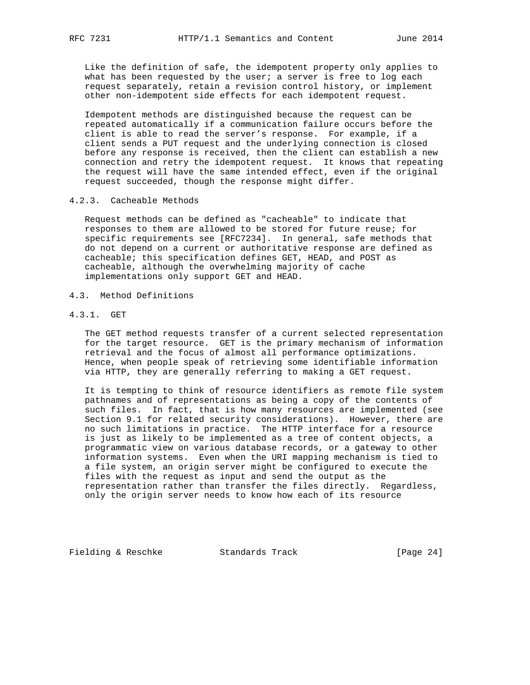Like the definition of safe, the idempotent property only applies to what has been requested by the user; a server is free to log each request separately, retain a revision control history, or implement other non-idempotent side effects for each idempotent request.

 Idempotent methods are distinguished because the request can be repeated automatically if a communication failure occurs before the client is able to read the server's response. For example, if a client sends a PUT request and the underlying connection is closed before any response is received, then the client can establish a new connection and retry the idempotent request. It knows that repeating the request will have the same intended effect, even if the original request succeeded, though the response might differ.

## 4.2.3. Cacheable Methods

 Request methods can be defined as "cacheable" to indicate that responses to them are allowed to be stored for future reuse; for specific requirements see [RFC7234]. In general, safe methods that do not depend on a current or authoritative response are defined as cacheable; this specification defines GET, HEAD, and POST as cacheable, although the overwhelming majority of cache implementations only support GET and HEAD.

# 4.3. Method Definitions

# 4.3.1. GET

 The GET method requests transfer of a current selected representation for the target resource. GET is the primary mechanism of information retrieval and the focus of almost all performance optimizations. Hence, when people speak of retrieving some identifiable information via HTTP, they are generally referring to making a GET request.

 It is tempting to think of resource identifiers as remote file system pathnames and of representations as being a copy of the contents of such files. In fact, that is how many resources are implemented (see Section 9.1 for related security considerations). However, there are no such limitations in practice. The HTTP interface for a resource is just as likely to be implemented as a tree of content objects, a programmatic view on various database records, or a gateway to other information systems. Even when the URI mapping mechanism is tied to a file system, an origin server might be configured to execute the files with the request as input and send the output as the representation rather than transfer the files directly. Regardless, only the origin server needs to know how each of its resource

Fielding & Reschke Standards Track [Page 24]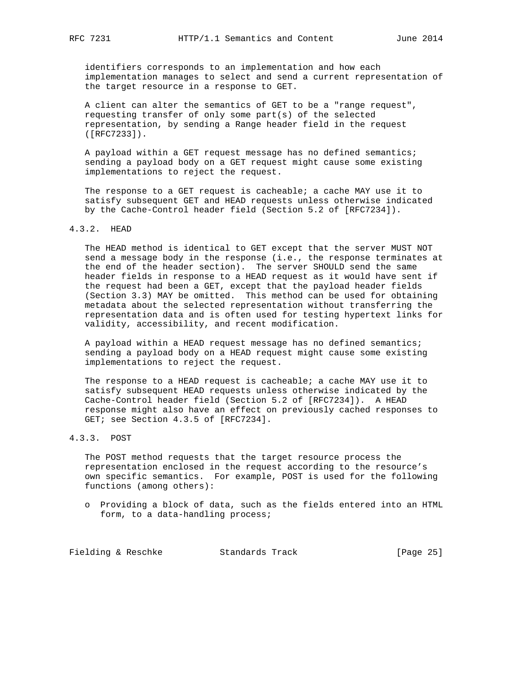identifiers corresponds to an implementation and how each implementation manages to select and send a current representation of the target resource in a response to GET.

 A client can alter the semantics of GET to be a "range request", requesting transfer of only some part(s) of the selected representation, by sending a Range header field in the request ([RFC7233]).

 A payload within a GET request message has no defined semantics; sending a payload body on a GET request might cause some existing implementations to reject the request.

The response to a GET request is cacheable; a cache MAY use it to satisfy subsequent GET and HEAD requests unless otherwise indicated by the Cache-Control header field (Section 5.2 of [RFC7234]).

# 4.3.2. HEAD

 The HEAD method is identical to GET except that the server MUST NOT send a message body in the response (i.e., the response terminates at the end of the header section). The server SHOULD send the same header fields in response to a HEAD request as it would have sent if the request had been a GET, except that the payload header fields (Section 3.3) MAY be omitted. This method can be used for obtaining metadata about the selected representation without transferring the representation data and is often used for testing hypertext links for validity, accessibility, and recent modification.

 A payload within a HEAD request message has no defined semantics; sending a payload body on a HEAD request might cause some existing implementations to reject the request.

 The response to a HEAD request is cacheable; a cache MAY use it to satisfy subsequent HEAD requests unless otherwise indicated by the Cache-Control header field (Section 5.2 of [RFC7234]). A HEAD response might also have an effect on previously cached responses to GET; see Section 4.3.5 of [RFC7234].

## 4.3.3. POST

 The POST method requests that the target resource process the representation enclosed in the request according to the resource's own specific semantics. For example, POST is used for the following functions (among others):

 o Providing a block of data, such as the fields entered into an HTML form, to a data-handling process;

Fielding & Reschke Standards Track [Page 25]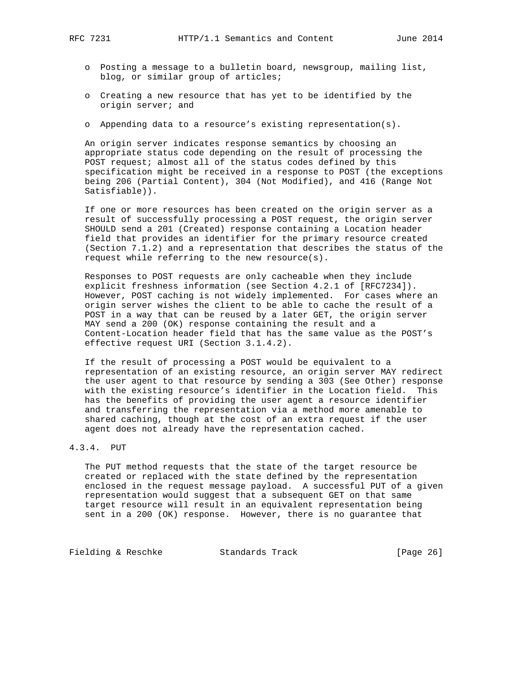- o Posting a message to a bulletin board, newsgroup, mailing list, blog, or similar group of articles;
- o Creating a new resource that has yet to be identified by the origin server; and
- o Appending data to a resource's existing representation(s).

 An origin server indicates response semantics by choosing an appropriate status code depending on the result of processing the POST request; almost all of the status codes defined by this specification might be received in a response to POST (the exceptions being 206 (Partial Content), 304 (Not Modified), and 416 (Range Not Satisfiable)).

 If one or more resources has been created on the origin server as a result of successfully processing a POST request, the origin server SHOULD send a 201 (Created) response containing a Location header field that provides an identifier for the primary resource created (Section 7.1.2) and a representation that describes the status of the request while referring to the new resource(s).

 Responses to POST requests are only cacheable when they include explicit freshness information (see Section 4.2.1 of [RFC7234]). However, POST caching is not widely implemented. For cases where an origin server wishes the client to be able to cache the result of a POST in a way that can be reused by a later GET, the origin server MAY send a 200 (OK) response containing the result and a Content-Location header field that has the same value as the POST's effective request URI (Section 3.1.4.2).

 If the result of processing a POST would be equivalent to a representation of an existing resource, an origin server MAY redirect the user agent to that resource by sending a 303 (See Other) response with the existing resource's identifier in the Location field. This has the benefits of providing the user agent a resource identifier and transferring the representation via a method more amenable to shared caching, though at the cost of an extra request if the user agent does not already have the representation cached.

## 4.3.4. PUT

 The PUT method requests that the state of the target resource be created or replaced with the state defined by the representation enclosed in the request message payload. A successful PUT of a given representation would suggest that a subsequent GET on that same target resource will result in an equivalent representation being sent in a 200 (OK) response. However, there is no guarantee that

Fielding & Reschke Standards Track [Page 26]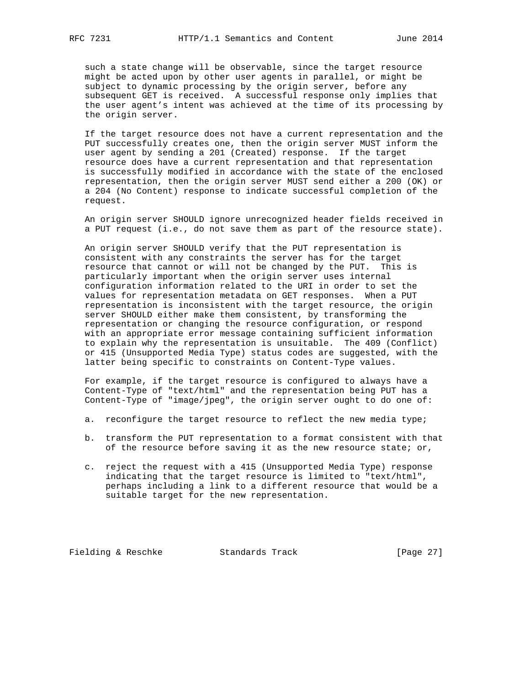such a state change will be observable, since the target resource might be acted upon by other user agents in parallel, or might be subject to dynamic processing by the origin server, before any subsequent GET is received. A successful response only implies that the user agent's intent was achieved at the time of its processing by the origin server.

 If the target resource does not have a current representation and the PUT successfully creates one, then the origin server MUST inform the user agent by sending a 201 (Created) response. If the target resource does have a current representation and that representation is successfully modified in accordance with the state of the enclosed representation, then the origin server MUST send either a 200 (OK) or a 204 (No Content) response to indicate successful completion of the request.

 An origin server SHOULD ignore unrecognized header fields received in a PUT request (i.e., do not save them as part of the resource state).

 An origin server SHOULD verify that the PUT representation is consistent with any constraints the server has for the target resource that cannot or will not be changed by the PUT. This is particularly important when the origin server uses internal configuration information related to the URI in order to set the values for representation metadata on GET responses. When a PUT representation is inconsistent with the target resource, the origin server SHOULD either make them consistent, by transforming the representation or changing the resource configuration, or respond with an appropriate error message containing sufficient information to explain why the representation is unsuitable. The 409 (Conflict) or 415 (Unsupported Media Type) status codes are suggested, with the latter being specific to constraints on Content-Type values.

 For example, if the target resource is configured to always have a Content-Type of "text/html" and the representation being PUT has a Content-Type of "image/jpeg", the origin server ought to do one of:

- a. reconfigure the target resource to reflect the new media type;
- b. transform the PUT representation to a format consistent with that of the resource before saving it as the new resource state; or,
- c. reject the request with a 415 (Unsupported Media Type) response indicating that the target resource is limited to "text/html", perhaps including a link to a different resource that would be a suitable target for the new representation.

Fielding & Reschke Standards Track [Page 27]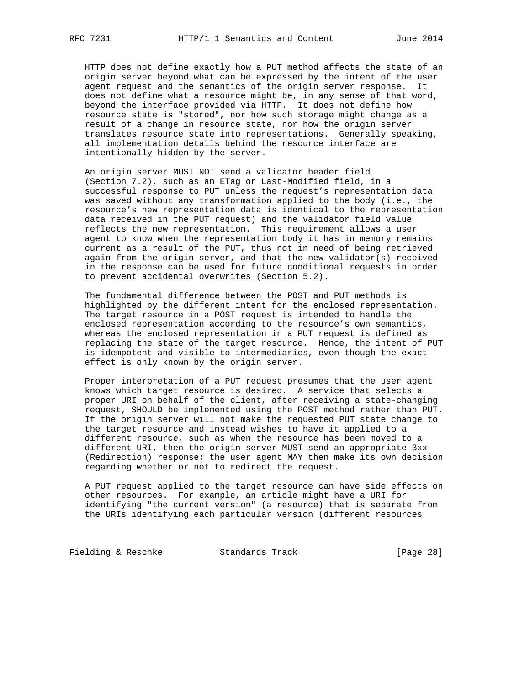HTTP does not define exactly how a PUT method affects the state of an origin server beyond what can be expressed by the intent of the user agent request and the semantics of the origin server response. It does not define what a resource might be, in any sense of that word, beyond the interface provided via HTTP. It does not define how resource state is "stored", nor how such storage might change as a result of a change in resource state, nor how the origin server translates resource state into representations. Generally speaking, all implementation details behind the resource interface are intentionally hidden by the server.

 An origin server MUST NOT send a validator header field (Section 7.2), such as an ETag or Last-Modified field, in a successful response to PUT unless the request's representation data was saved without any transformation applied to the body (i.e., the resource's new representation data is identical to the representation data received in the PUT request) and the validator field value reflects the new representation. This requirement allows a user agent to know when the representation body it has in memory remains current as a result of the PUT, thus not in need of being retrieved again from the origin server, and that the new validator(s) received in the response can be used for future conditional requests in order to prevent accidental overwrites (Section 5.2).

 The fundamental difference between the POST and PUT methods is highlighted by the different intent for the enclosed representation. The target resource in a POST request is intended to handle the enclosed representation according to the resource's own semantics, whereas the enclosed representation in a PUT request is defined as replacing the state of the target resource. Hence, the intent of PUT is idempotent and visible to intermediaries, even though the exact effect is only known by the origin server.

 Proper interpretation of a PUT request presumes that the user agent knows which target resource is desired. A service that selects a proper URI on behalf of the client, after receiving a state-changing request, SHOULD be implemented using the POST method rather than PUT. If the origin server will not make the requested PUT state change to the target resource and instead wishes to have it applied to a different resource, such as when the resource has been moved to a different URI, then the origin server MUST send an appropriate 3xx (Redirection) response; the user agent MAY then make its own decision regarding whether or not to redirect the request.

 A PUT request applied to the target resource can have side effects on other resources. For example, an article might have a URI for identifying "the current version" (a resource) that is separate from the URIs identifying each particular version (different resources

Fielding & Reschke Standards Track [Page 28]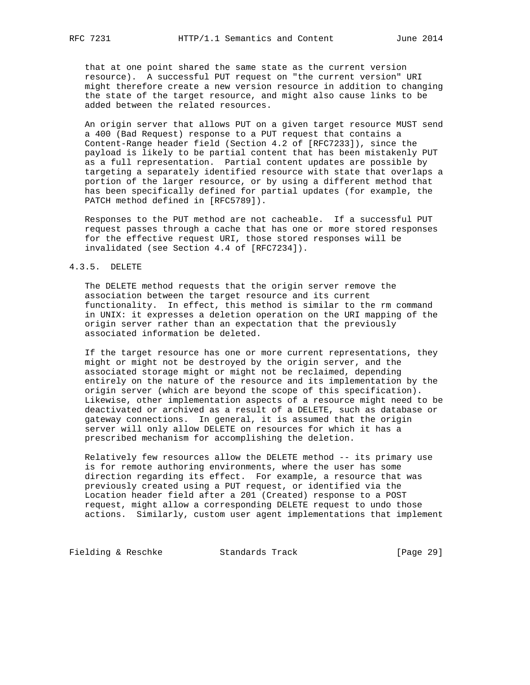that at one point shared the same state as the current version resource). A successful PUT request on "the current version" URI might therefore create a new version resource in addition to changing the state of the target resource, and might also cause links to be added between the related resources.

 An origin server that allows PUT on a given target resource MUST send a 400 (Bad Request) response to a PUT request that contains a Content-Range header field (Section 4.2 of [RFC7233]), since the payload is likely to be partial content that has been mistakenly PUT as a full representation. Partial content updates are possible by targeting a separately identified resource with state that overlaps a portion of the larger resource, or by using a different method that has been specifically defined for partial updates (for example, the PATCH method defined in [RFC5789]).

 Responses to the PUT method are not cacheable. If a successful PUT request passes through a cache that has one or more stored responses for the effective request URI, those stored responses will be invalidated (see Section 4.4 of [RFC7234]).

### 4.3.5. DELETE

 The DELETE method requests that the origin server remove the association between the target resource and its current functionality. In effect, this method is similar to the rm command in UNIX: it expresses a deletion operation on the URI mapping of the origin server rather than an expectation that the previously associated information be deleted.

 If the target resource has one or more current representations, they might or might not be destroyed by the origin server, and the associated storage might or might not be reclaimed, depending entirely on the nature of the resource and its implementation by the origin server (which are beyond the scope of this specification). Likewise, other implementation aspects of a resource might need to be deactivated or archived as a result of a DELETE, such as database or gateway connections. In general, it is assumed that the origin server will only allow DELETE on resources for which it has a prescribed mechanism for accomplishing the deletion.

 Relatively few resources allow the DELETE method -- its primary use is for remote authoring environments, where the user has some direction regarding its effect. For example, a resource that was previously created using a PUT request, or identified via the Location header field after a 201 (Created) response to a POST request, might allow a corresponding DELETE request to undo those actions. Similarly, custom user agent implementations that implement

Fielding & Reschke Standards Track [Page 29]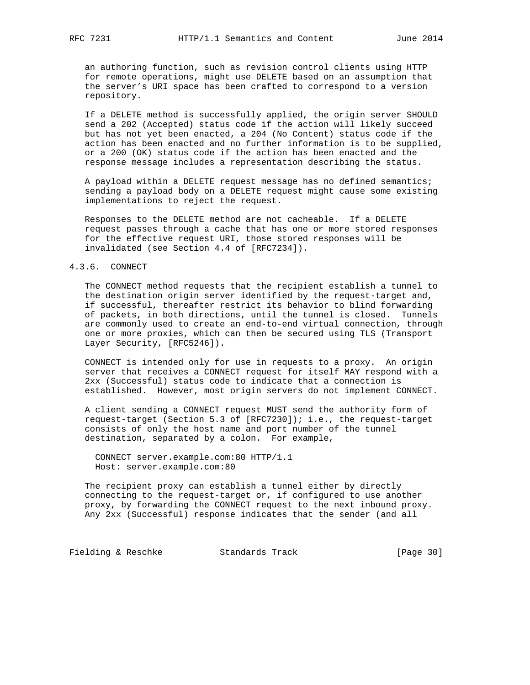an authoring function, such as revision control clients using HTTP for remote operations, might use DELETE based on an assumption that the server's URI space has been crafted to correspond to a version repository.

 If a DELETE method is successfully applied, the origin server SHOULD send a 202 (Accepted) status code if the action will likely succeed but has not yet been enacted, a 204 (No Content) status code if the action has been enacted and no further information is to be supplied, or a 200 (OK) status code if the action has been enacted and the response message includes a representation describing the status.

 A payload within a DELETE request message has no defined semantics; sending a payload body on a DELETE request might cause some existing implementations to reject the request.

 Responses to the DELETE method are not cacheable. If a DELETE request passes through a cache that has one or more stored responses for the effective request URI, those stored responses will be invalidated (see Section 4.4 of [RFC7234]).

### 4.3.6. CONNECT

 The CONNECT method requests that the recipient establish a tunnel to the destination origin server identified by the request-target and, if successful, thereafter restrict its behavior to blind forwarding of packets, in both directions, until the tunnel is closed. Tunnels are commonly used to create an end-to-end virtual connection, through one or more proxies, which can then be secured using TLS (Transport Layer Security, [RFC5246]).

 CONNECT is intended only for use in requests to a proxy. An origin server that receives a CONNECT request for itself MAY respond with a 2xx (Successful) status code to indicate that a connection is established. However, most origin servers do not implement CONNECT.

 A client sending a CONNECT request MUST send the authority form of request-target (Section 5.3 of [RFC7230]); i.e., the request-target consists of only the host name and port number of the tunnel destination, separated by a colon. For example,

 CONNECT server.example.com:80 HTTP/1.1 Host: server.example.com:80

 The recipient proxy can establish a tunnel either by directly connecting to the request-target or, if configured to use another proxy, by forwarding the CONNECT request to the next inbound proxy. Any 2xx (Successful) response indicates that the sender (and all

Fielding & Reschke Standards Track [Page 30]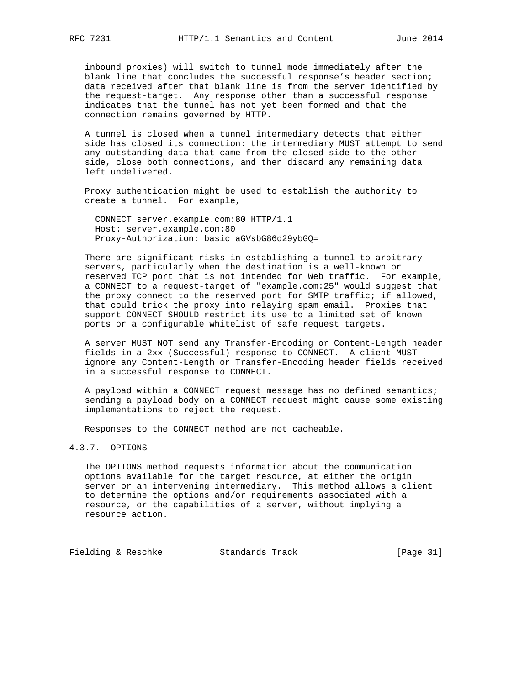inbound proxies) will switch to tunnel mode immediately after the blank line that concludes the successful response's header section; data received after that blank line is from the server identified by the request-target. Any response other than a successful response indicates that the tunnel has not yet been formed and that the connection remains governed by HTTP.

 A tunnel is closed when a tunnel intermediary detects that either side has closed its connection: the intermediary MUST attempt to send any outstanding data that came from the closed side to the other side, close both connections, and then discard any remaining data left undelivered.

 Proxy authentication might be used to establish the authority to create a tunnel. For example,

 CONNECT server.example.com:80 HTTP/1.1 Host: server.example.com:80 Proxy-Authorization: basic aGVsbG86d29ybGQ=

 There are significant risks in establishing a tunnel to arbitrary servers, particularly when the destination is a well-known or reserved TCP port that is not intended for Web traffic. For example, a CONNECT to a request-target of "example.com:25" would suggest that the proxy connect to the reserved port for SMTP traffic; if allowed, that could trick the proxy into relaying spam email. Proxies that support CONNECT SHOULD restrict its use to a limited set of known ports or a configurable whitelist of safe request targets.

 A server MUST NOT send any Transfer-Encoding or Content-Length header fields in a 2xx (Successful) response to CONNECT. A client MUST ignore any Content-Length or Transfer-Encoding header fields received in a successful response to CONNECT.

 A payload within a CONNECT request message has no defined semantics; sending a payload body on a CONNECT request might cause some existing implementations to reject the request.

Responses to the CONNECT method are not cacheable.

# 4.3.7. OPTIONS

 The OPTIONS method requests information about the communication options available for the target resource, at either the origin server or an intervening intermediary. This method allows a client to determine the options and/or requirements associated with a resource, or the capabilities of a server, without implying a resource action.

Fielding & Reschke Standards Track [Page 31]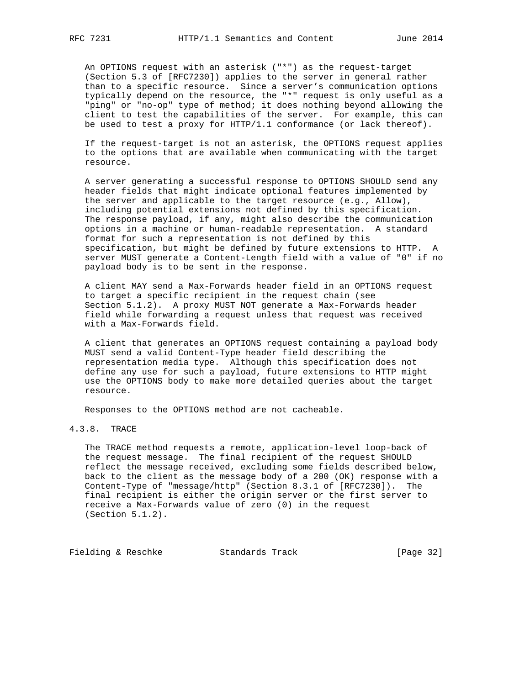An OPTIONS request with an asterisk ("\*") as the request-target (Section 5.3 of [RFC7230]) applies to the server in general rather than to a specific resource. Since a server's communication options typically depend on the resource, the "\*" request is only useful as a "ping" or "no-op" type of method; it does nothing beyond allowing the client to test the capabilities of the server. For example, this can be used to test a proxy for HTTP/1.1 conformance (or lack thereof).

 If the request-target is not an asterisk, the OPTIONS request applies to the options that are available when communicating with the target resource.

 A server generating a successful response to OPTIONS SHOULD send any header fields that might indicate optional features implemented by the server and applicable to the target resource (e.g., Allow), including potential extensions not defined by this specification. The response payload, if any, might also describe the communication options in a machine or human-readable representation. A standard format for such a representation is not defined by this specification, but might be defined by future extensions to HTTP. A server MUST generate a Content-Length field with a value of "0" if no payload body is to be sent in the response.

 A client MAY send a Max-Forwards header field in an OPTIONS request to target a specific recipient in the request chain (see Section 5.1.2). A proxy MUST NOT generate a Max-Forwards header field while forwarding a request unless that request was received with a Max-Forwards field.

 A client that generates an OPTIONS request containing a payload body MUST send a valid Content-Type header field describing the representation media type. Although this specification does not define any use for such a payload, future extensions to HTTP might use the OPTIONS body to make more detailed queries about the target resource.

Responses to the OPTIONS method are not cacheable.

# 4.3.8. TRACE

 The TRACE method requests a remote, application-level loop-back of the request message. The final recipient of the request SHOULD reflect the message received, excluding some fields described below, back to the client as the message body of a 200 (OK) response with a Content-Type of "message/http" (Section 8.3.1 of [RFC7230]). The final recipient is either the origin server or the first server to receive a Max-Forwards value of zero (0) in the request (Section 5.1.2).

Fielding & Reschke Standards Track [Page 32]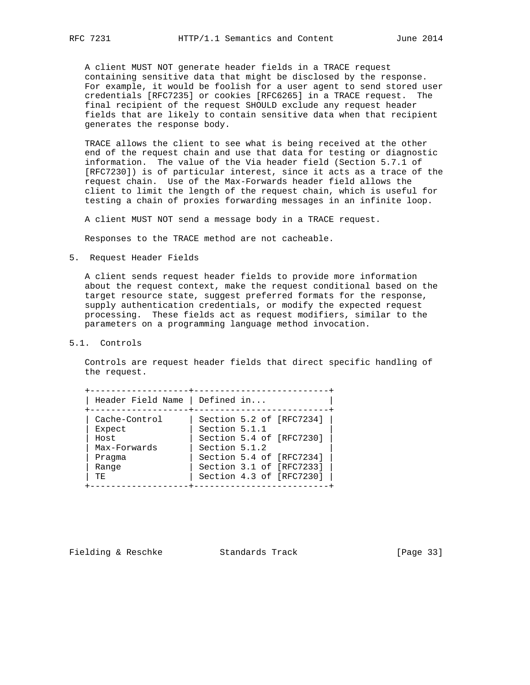A client MUST NOT generate header fields in a TRACE request containing sensitive data that might be disclosed by the response.

 For example, it would be foolish for a user agent to send stored user credentials [RFC7235] or cookies [RFC6265] in a TRACE request. The final recipient of the request SHOULD exclude any request header fields that are likely to contain sensitive data when that recipient generates the response body.

 TRACE allows the client to see what is being received at the other end of the request chain and use that data for testing or diagnostic information. The value of the Via header field (Section 5.7.1 of [RFC7230]) is of particular interest, since it acts as a trace of the request chain. Use of the Max-Forwards header field allows the client to limit the length of the request chain, which is useful for testing a chain of proxies forwarding messages in an infinite loop.

A client MUST NOT send a message body in a TRACE request.

Responses to the TRACE method are not cacheable.

5. Request Header Fields

 A client sends request header fields to provide more information about the request context, make the request conditional based on the target resource state, suggest preferred formats for the response, supply authentication credentials, or modify the expected request processing. These fields act as request modifiers, similar to the parameters on a programming language method invocation.

5.1. Controls

 Controls are request header fields that direct specific handling of the request.

| Header Field Name   Defined in |                          |
|--------------------------------|--------------------------|
| Cache-Control                  | Section 5.2 of [RFC7234] |
| Expect                         | Section 5.1.1            |
| Host                           | Section 5.4 of [RFC7230] |
| Max-Forwards                   | Section 5.1.2            |
| Pragma                         | Section 5.4 of [RFC7234] |
| Range                          | Section 3.1 of [RFC7233] |
| TЕ.                            | Section 4.3 of [RFC7230] |

Fielding & Reschke Standards Track [Page 33]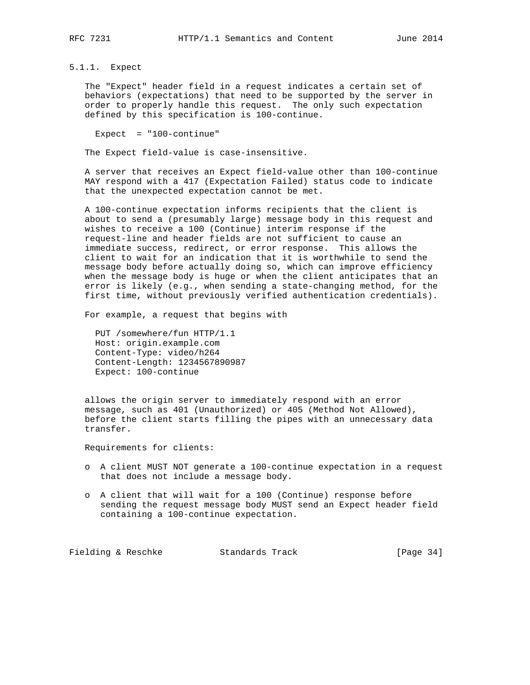5.1.1. Expect

 The "Expect" header field in a request indicates a certain set of behaviors (expectations) that need to be supported by the server in order to properly handle this request. The only such expectation defined by this specification is 100-continue.

Expect = "100-continue"

The Expect field-value is case-insensitive.

 A server that receives an Expect field-value other than 100-continue MAY respond with a 417 (Expectation Failed) status code to indicate that the unexpected expectation cannot be met.

 A 100-continue expectation informs recipients that the client is about to send a (presumably large) message body in this request and wishes to receive a 100 (Continue) interim response if the request-line and header fields are not sufficient to cause an immediate success, redirect, or error response. This allows the client to wait for an indication that it is worthwhile to send the message body before actually doing so, which can improve efficiency when the message body is huge or when the client anticipates that an error is likely (e.g., when sending a state-changing method, for the first time, without previously verified authentication credentials).

For example, a request that begins with

 PUT /somewhere/fun HTTP/1.1 Host: origin.example.com Content-Type: video/h264 Content-Length: 1234567890987 Expect: 100-continue

 allows the origin server to immediately respond with an error message, such as 401 (Unauthorized) or 405 (Method Not Allowed), before the client starts filling the pipes with an unnecessary data transfer.

Requirements for clients:

- o A client MUST NOT generate a 100-continue expectation in a request that does not include a message body.
- o A client that will wait for a 100 (Continue) response before sending the request message body MUST send an Expect header field containing a 100-continue expectation.

Fielding & Reschke Standards Track [Page 34]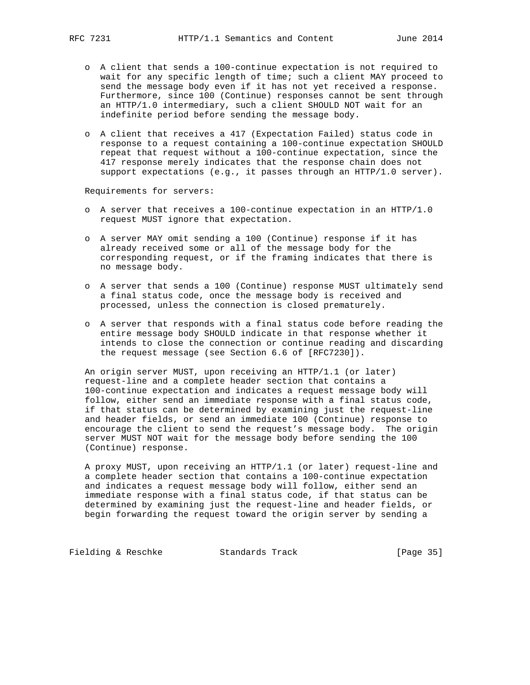- o A client that sends a 100-continue expectation is not required to wait for any specific length of time; such a client MAY proceed to send the message body even if it has not yet received a response. Furthermore, since 100 (Continue) responses cannot be sent through an HTTP/1.0 intermediary, such a client SHOULD NOT wait for an indefinite period before sending the message body.
- o A client that receives a 417 (Expectation Failed) status code in response to a request containing a 100-continue expectation SHOULD repeat that request without a 100-continue expectation, since the 417 response merely indicates that the response chain does not support expectations (e.g., it passes through an HTTP/1.0 server).

Requirements for servers:

- o A server that receives a 100-continue expectation in an HTTP/1.0 request MUST ignore that expectation.
- o A server MAY omit sending a 100 (Continue) response if it has already received some or all of the message body for the corresponding request, or if the framing indicates that there is no message body.
- o A server that sends a 100 (Continue) response MUST ultimately send a final status code, once the message body is received and processed, unless the connection is closed prematurely.
- o A server that responds with a final status code before reading the entire message body SHOULD indicate in that response whether it intends to close the connection or continue reading and discarding the request message (see Section 6.6 of [RFC7230]).

 An origin server MUST, upon receiving an HTTP/1.1 (or later) request-line and a complete header section that contains a 100-continue expectation and indicates a request message body will follow, either send an immediate response with a final status code, if that status can be determined by examining just the request-line and header fields, or send an immediate 100 (Continue) response to encourage the client to send the request's message body. The origin server MUST NOT wait for the message body before sending the 100 (Continue) response.

 A proxy MUST, upon receiving an HTTP/1.1 (or later) request-line and a complete header section that contains a 100-continue expectation and indicates a request message body will follow, either send an immediate response with a final status code, if that status can be determined by examining just the request-line and header fields, or begin forwarding the request toward the origin server by sending a

Fielding & Reschke Standards Track [Page 35]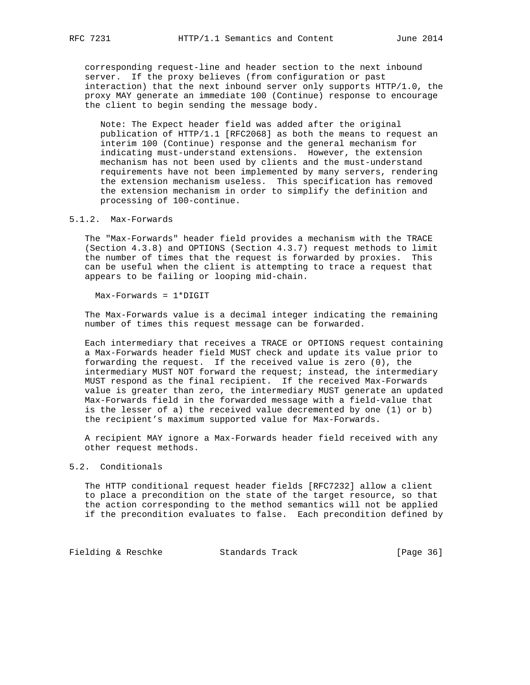corresponding request-line and header section to the next inbound server. If the proxy believes (from configuration or past interaction) that the next inbound server only supports HTTP/1.0, the proxy MAY generate an immediate 100 (Continue) response to encourage the client to begin sending the message body.

 Note: The Expect header field was added after the original publication of HTTP/1.1 [RFC2068] as both the means to request an interim 100 (Continue) response and the general mechanism for indicating must-understand extensions. However, the extension mechanism has not been used by clients and the must-understand requirements have not been implemented by many servers, rendering the extension mechanism useless. This specification has removed the extension mechanism in order to simplify the definition and processing of 100-continue.

### 5.1.2. Max-Forwards

 The "Max-Forwards" header field provides a mechanism with the TRACE (Section 4.3.8) and OPTIONS (Section 4.3.7) request methods to limit the number of times that the request is forwarded by proxies. This can be useful when the client is attempting to trace a request that appears to be failing or looping mid-chain.

Max-Forwards = 1\*DIGIT

 The Max-Forwards value is a decimal integer indicating the remaining number of times this request message can be forwarded.

 Each intermediary that receives a TRACE or OPTIONS request containing a Max-Forwards header field MUST check and update its value prior to forwarding the request. If the received value is zero (0), the intermediary MUST NOT forward the request; instead, the intermediary MUST respond as the final recipient. If the received Max-Forwards value is greater than zero, the intermediary MUST generate an updated Max-Forwards field in the forwarded message with a field-value that is the lesser of a) the received value decremented by one (1) or b) the recipient's maximum supported value for Max-Forwards.

 A recipient MAY ignore a Max-Forwards header field received with any other request methods.

# 5.2. Conditionals

 The HTTP conditional request header fields [RFC7232] allow a client to place a precondition on the state of the target resource, so that the action corresponding to the method semantics will not be applied if the precondition evaluates to false. Each precondition defined by

Fielding & Reschke Standards Track [Page 36]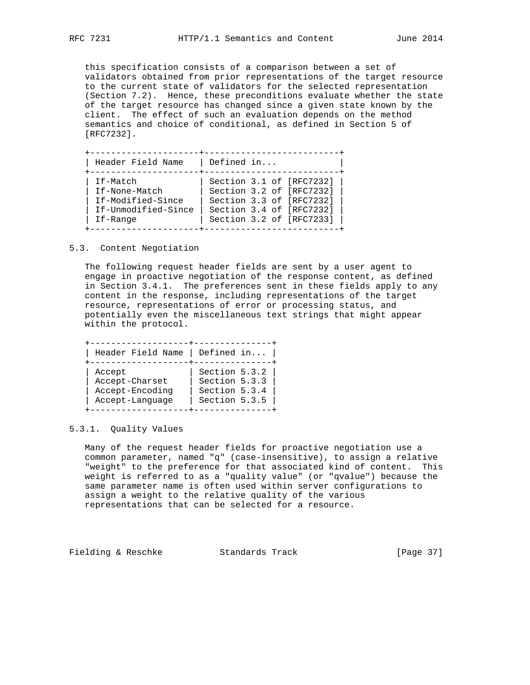this specification consists of a comparison between a set of validators obtained from prior representations of the target resource to the current state of validators for the selected representation (Section 7.2). Hence, these preconditions evaluate whether the state of the target resource has changed since a given state known by the client. The effect of such an evaluation depends on the method semantics and choice of conditional, as defined in Section 5 of [RFC7232].

| Header Field Name   | Defined in               |
|---------------------|--------------------------|
| If-Match            | Section 3.1 of [RFC7232] |
| If-None-Match       | Section 3.2 of [RFC7232] |
| If-Modified-Since   | Section 3.3 of [RFC7232] |
| If-Unmodified-Since | Section 3.4 of [RFC7232] |
| If-Range            | Section 3.2 of [RFC7233] |

5.3. Content Negotiation

 The following request header fields are sent by a user agent to engage in proactive negotiation of the response content, as defined in Section 3.4.1. The preferences sent in these fields apply to any content in the response, including representations of the target resource, representations of error or processing status, and potentially even the miscellaneous text strings that might appear within the protocol.

| Header Field Name | Defined in    |
|-------------------|---------------|
| Accept            | Section 5.3.2 |
| Accept-Charset    | Section 5.3.3 |
| Accept-Encoding   | Section 5.3.4 |
| Accept-Language   | Section 5.3.5 |

## 5.3.1. Quality Values

 Many of the request header fields for proactive negotiation use a common parameter, named "q" (case-insensitive), to assign a relative "weight" to the preference for that associated kind of content. This weight is referred to as a "quality value" (or "qvalue") because the same parameter name is often used within server configurations to assign a weight to the relative quality of the various representations that can be selected for a resource.

Fielding & Reschke Standards Track [Page 37]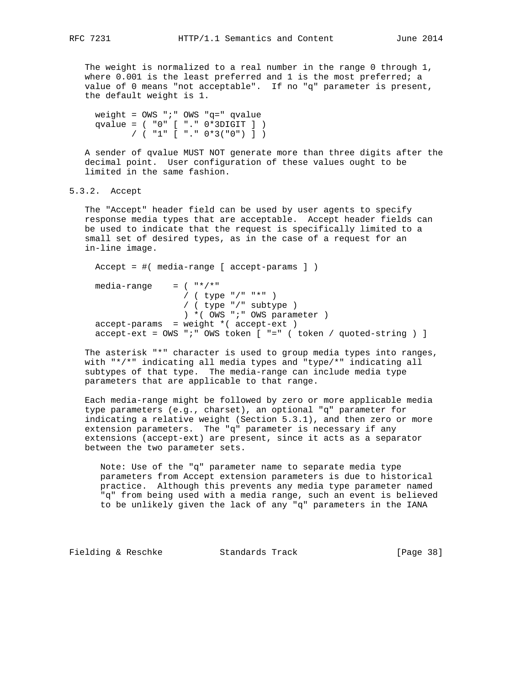The weight is normalized to a real number in the range 0 through 1, where 0.001 is the least preferred and 1 is the most preferred; a value of 0 means "not acceptable". If no "q" parameter is present, the default weight is 1.

```
 weight = OWS ";" OWS "q=" qvalue
 qvalue = ( "0" [ "." 0*3DIGIT ] )
       / ( "1" [ "." 0*3("0") ] )
```
 A sender of qvalue MUST NOT generate more than three digits after the decimal point. User configuration of these values ought to be limited in the same fashion.

5.3.2. Accept

 The "Accept" header field can be used by user agents to specify response media types that are acceptable. Accept header fields can be used to indicate that the request is specifically limited to a small set of desired types, as in the case of a request for an in-line image.

```
 Accept = #( media-range [ accept-params ] )
media-range = ( "*/*"
                  / ( type "/" "*" )
                  / ( type "/" subtype )
                  ) *( OWS ";" OWS parameter )
 accept-params = weight *( accept-ext )
accept-ext = OWS " i" OWS token [ " =" ( token / quoted-string ) ]
```
 The asterisk "\*" character is used to group media types into ranges, with "\*/\*" indicating all media types and "type/\*" indicating all subtypes of that type. The media-range can include media type parameters that are applicable to that range.

 Each media-range might be followed by zero or more applicable media type parameters (e.g., charset), an optional "q" parameter for indicating a relative weight (Section 5.3.1), and then zero or more extension parameters. The "q" parameter is necessary if any extensions (accept-ext) are present, since it acts as a separator between the two parameter sets.

 Note: Use of the "q" parameter name to separate media type parameters from Accept extension parameters is due to historical practice. Although this prevents any media type parameter named "q" from being used with a media range, such an event is believed to be unlikely given the lack of any "q" parameters in the IANA

Fielding & Reschke Standards Track [Page 38]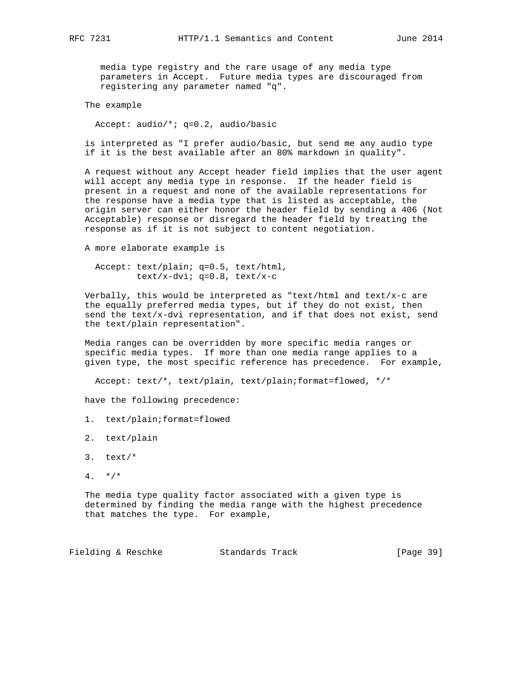media type registry and the rare usage of any media type parameters in Accept. Future media types are discouraged from registering any parameter named "q".

The example

Accept: audio/\*; q=0.2, audio/basic

 is interpreted as "I prefer audio/basic, but send me any audio type if it is the best available after an 80% markdown in quality".

 A request without any Accept header field implies that the user agent will accept any media type in response. If the header field is present in a request and none of the available representations for the response have a media type that is listed as acceptable, the origin server can either honor the header field by sending a 406 (Not Acceptable) response or disregard the header field by treating the response as if it is not subject to content negotiation.

A more elaborate example is

```
 Accept: text/plain; q=0.5, text/html,
        text/x-dvi; q=0.8, text/x-c
```
 Verbally, this would be interpreted as "text/html and text/x-c are the equally preferred media types, but if they do not exist, then send the text/ $x$ -dvi representation, and if that does not exist, send the text/plain representation".

 Media ranges can be overridden by more specific media ranges or specific media types. If more than one media range applies to a given type, the most specific reference has precedence. For example,

Accept: text/\*, text/plain, text/plain;format=flowed, \*/\*

have the following precedence:

- 1. text/plain;format=flowed
- 2. text/plain
- 3. text/\*
- $4. *$ /\*

 The media type quality factor associated with a given type is determined by finding the media range with the highest precedence that matches the type. For example,

Fielding & Reschke Standards Track [Page 39]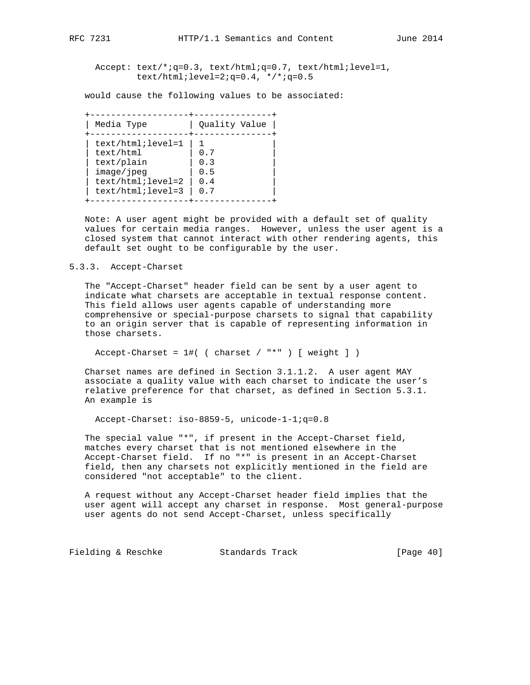Accept: text/\*;q=0.3, text/html;q=0.7, text/html;level=1, text/html; level=2;  $q=0.4$ ,  $*/*$ ;  $q=0.5$ 

would cause the following values to be associated:

 +-------------------+---------------+ | Media Type | Quality Value | +-------------------+---------------+ | text/html;level=1  $| 1$  $\vert$  text/html  $\vert$  0.7  $\vert$ | text/plain | 0.3 | | image/jpeg | 0.5 |  $\vert$  text/html; level=2  $\vert$  0.4 | text/html;level=3  $| 0.7 |$ +-------------------+---------------+

 Note: A user agent might be provided with a default set of quality values for certain media ranges. However, unless the user agent is a closed system that cannot interact with other rendering agents, this default set ought to be configurable by the user.

## 5.3.3. Accept-Charset

 The "Accept-Charset" header field can be sent by a user agent to indicate what charsets are acceptable in textual response content. This field allows user agents capable of understanding more comprehensive or special-purpose charsets to signal that capability to an origin server that is capable of representing information in those charsets.

Accept-Charset =  $1\#$  ( charset / "\*" ) [ weight ] )

 Charset names are defined in Section 3.1.1.2. A user agent MAY associate a quality value with each charset to indicate the user's relative preference for that charset, as defined in Section 5.3.1. An example is

Accept-Charset: iso-8859-5, unicode-1-1;q=0.8

 The special value "\*", if present in the Accept-Charset field, matches every charset that is not mentioned elsewhere in the Accept-Charset field. If no "\*" is present in an Accept-Charset field, then any charsets not explicitly mentioned in the field are considered "not acceptable" to the client.

 A request without any Accept-Charset header field implies that the user agent will accept any charset in response. Most general-purpose user agents do not send Accept-Charset, unless specifically

Fielding & Reschke Standards Track [Page 40]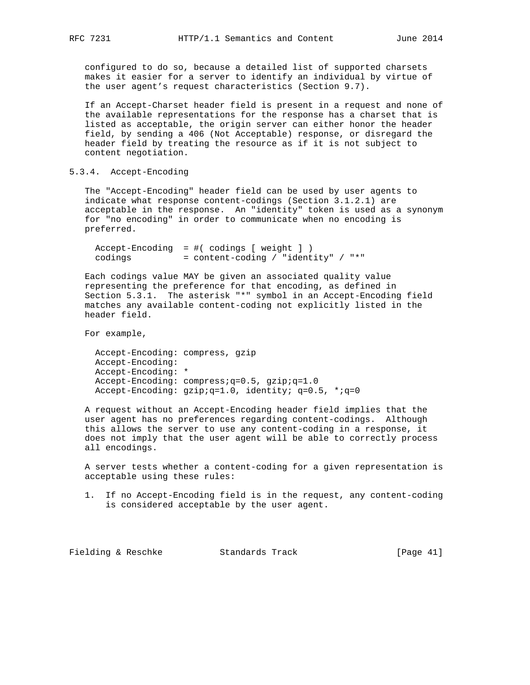configured to do so, because a detailed list of supported charsets makes it easier for a server to identify an individual by virtue of the user agent's request characteristics (Section 9.7).

 If an Accept-Charset header field is present in a request and none of the available representations for the response has a charset that is listed as acceptable, the origin server can either honor the header field, by sending a 406 (Not Acceptable) response, or disregard the header field by treating the resource as if it is not subject to content negotiation.

# 5.3.4. Accept-Encoding

 The "Accept-Encoding" header field can be used by user agents to indicate what response content-codings (Section 3.1.2.1) are acceptable in the response. An "identity" token is used as a synonym for "no encoding" in order to communicate when no encoding is preferred.

```
 Accept-Encoding = #( codings [ weight ] )
codings = content-coding / "identity" / "*"
```
 Each codings value MAY be given an associated quality value representing the preference for that encoding, as defined in Section 5.3.1. The asterisk "\*" symbol in an Accept-Encoding field matches any available content-coding not explicitly listed in the header field.

For example,

 Accept-Encoding: compress, gzip Accept-Encoding: Accept-Encoding: \* Accept-Encoding: compress;q=0.5, gzip;q=1.0 Accept-Encoding: gzip;q=1.0, identity; q=0.5, \*;q=0

 A request without an Accept-Encoding header field implies that the user agent has no preferences regarding content-codings. Although this allows the server to use any content-coding in a response, it does not imply that the user agent will be able to correctly process all encodings.

 A server tests whether a content-coding for a given representation is acceptable using these rules:

 1. If no Accept-Encoding field is in the request, any content-coding is considered acceptable by the user agent.

Fielding & Reschke Standards Track [Page 41]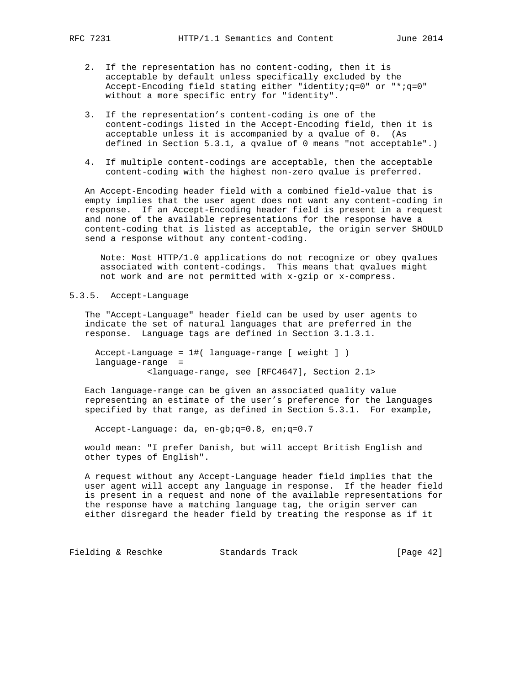- 2. If the representation has no content-coding, then it is acceptable by default unless specifically excluded by the Accept-Encoding field stating either "identity;q=0" or "\*;q=0" without a more specific entry for "identity".
- 3. If the representation's content-coding is one of the content-codings listed in the Accept-Encoding field, then it is acceptable unless it is accompanied by a qvalue of 0. (As defined in Section 5.3.1, a qvalue of 0 means "not acceptable".)
- 4. If multiple content-codings are acceptable, then the acceptable content-coding with the highest non-zero qvalue is preferred.

 An Accept-Encoding header field with a combined field-value that is empty implies that the user agent does not want any content-coding in response. If an Accept-Encoding header field is present in a request and none of the available representations for the response have a content-coding that is listed as acceptable, the origin server SHOULD send a response without any content-coding.

 Note: Most HTTP/1.0 applications do not recognize or obey qvalues associated with content-codings. This means that qvalues might not work and are not permitted with x-gzip or x-compress.

# 5.3.5. Accept-Language

 The "Accept-Language" header field can be used by user agents to indicate the set of natural languages that are preferred in the response. Language tags are defined in Section 3.1.3.1.

 Accept-Language = 1#( language-range [ weight ] ) language-range = <language-range, see [RFC4647], Section 2.1>

 Each language-range can be given an associated quality value representing an estimate of the user's preference for the languages specified by that range, as defined in Section 5.3.1. For example,

Accept-Language: da, en-gb;q=0.8, en;q=0.7

 would mean: "I prefer Danish, but will accept British English and other types of English".

 A request without any Accept-Language header field implies that the user agent will accept any language in response. If the header field is present in a request and none of the available representations for the response have a matching language tag, the origin server can either disregard the header field by treating the response as if it

Fielding & Reschke Standards Track [Page 42]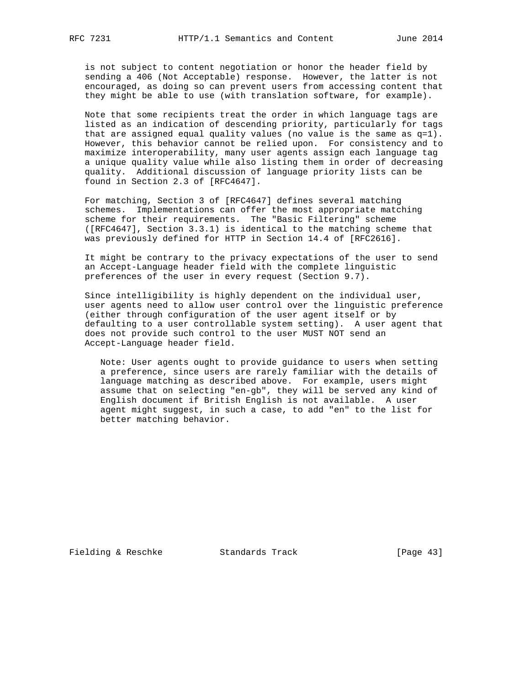is not subject to content negotiation or honor the header field by sending a 406 (Not Acceptable) response. However, the latter is not encouraged, as doing so can prevent users from accessing content that they might be able to use (with translation software, for example).

 Note that some recipients treat the order in which language tags are listed as an indication of descending priority, particularly for tags that are assigned equal quality values (no value is the same as  $q=1$ ). However, this behavior cannot be relied upon. For consistency and to maximize interoperability, many user agents assign each language tag a unique quality value while also listing them in order of decreasing quality. Additional discussion of language priority lists can be found in Section 2.3 of [RFC4647].

 For matching, Section 3 of [RFC4647] defines several matching schemes. Implementations can offer the most appropriate matching scheme for their requirements. The "Basic Filtering" scheme ([RFC4647], Section 3.3.1) is identical to the matching scheme that was previously defined for HTTP in Section 14.4 of [RFC2616].

 It might be contrary to the privacy expectations of the user to send an Accept-Language header field with the complete linguistic preferences of the user in every request (Section 9.7).

 Since intelligibility is highly dependent on the individual user, user agents need to allow user control over the linguistic preference (either through configuration of the user agent itself or by defaulting to a user controllable system setting). A user agent that does not provide such control to the user MUST NOT send an Accept-Language header field.

 Note: User agents ought to provide guidance to users when setting a preference, since users are rarely familiar with the details of language matching as described above. For example, users might assume that on selecting "en-gb", they will be served any kind of English document if British English is not available. A user agent might suggest, in such a case, to add "en" to the list for better matching behavior.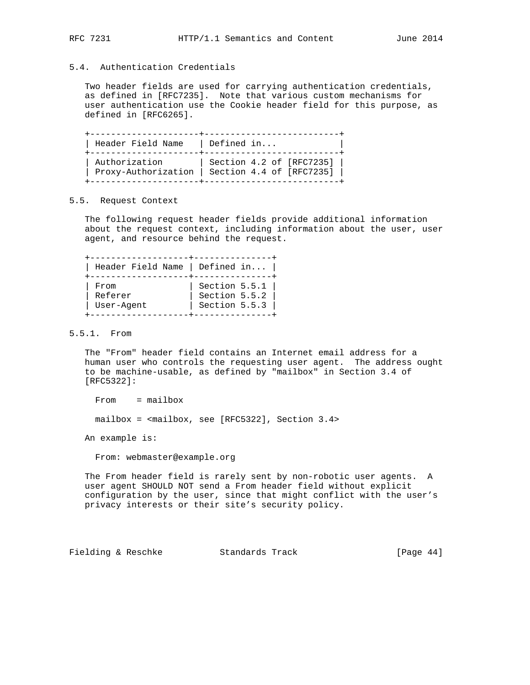# 5.4. Authentication Credentials

 Two header fields are used for carrying authentication credentials, as defined in [RFC7235]. Note that various custom mechanisms for user authentication use the Cookie header field for this purpose, as defined in [RFC6265].

| Header Field Name   | Defined in               |
|---------------------|--------------------------|
| Authorization       | Section 4.2 of [RFC7235] |
| Proxy-Authorization | Section 4.4 of [RFC7235] |

## 5.5. Request Context

 The following request header fields provide additional information about the request context, including information about the user, user agent, and resource behind the request.

| Header Field Name   Defined in $ $ |               |
|------------------------------------|---------------|
| From                               | Section 5.5.1 |
| Referer                            | Section 5.5.2 |
| User-Agent                         | Section 5.5.3 |

# 5.5.1. From

 The "From" header field contains an Internet email address for a human user who controls the requesting user agent. The address ought to be machine-usable, as defined by "mailbox" in Section 3.4 of [RFC5322]:

From = mailbox

mailbox = <mailbox, see [RFC5322], Section 3.4>

An example is:

From: webmaster@example.org

 The From header field is rarely sent by non-robotic user agents. A user agent SHOULD NOT send a From header field without explicit configuration by the user, since that might conflict with the user's privacy interests or their site's security policy.

Fielding & Reschke Standards Track [Page 44]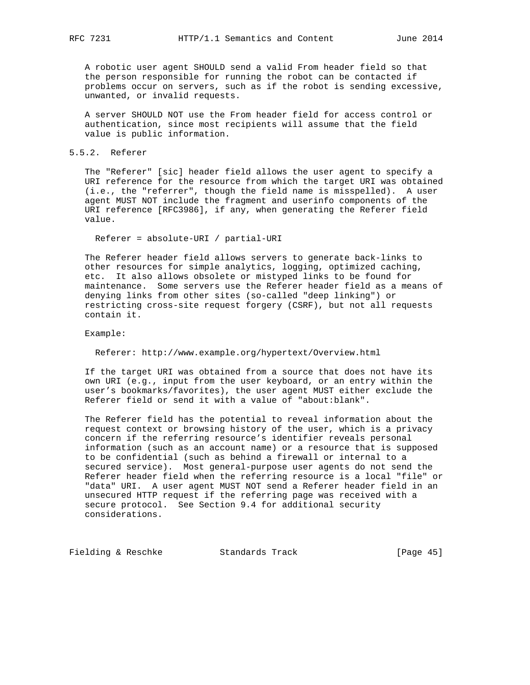A robotic user agent SHOULD send a valid From header field so that the person responsible for running the robot can be contacted if problems occur on servers, such as if the robot is sending excessive, unwanted, or invalid requests.

 A server SHOULD NOT use the From header field for access control or authentication, since most recipients will assume that the field value is public information.

## 5.5.2. Referer

 The "Referer" [sic] header field allows the user agent to specify a URI reference for the resource from which the target URI was obtained (i.e., the "referrer", though the field name is misspelled). A user agent MUST NOT include the fragment and userinfo components of the URI reference [RFC3986], if any, when generating the Referer field value.

Referer = absolute-URI / partial-URI

 The Referer header field allows servers to generate back-links to other resources for simple analytics, logging, optimized caching, etc. It also allows obsolete or mistyped links to be found for maintenance. Some servers use the Referer header field as a means of denying links from other sites (so-called "deep linking") or restricting cross-site request forgery (CSRF), but not all requests contain it.

Example:

Referer: http://www.example.org/hypertext/Overview.html

 If the target URI was obtained from a source that does not have its own URI (e.g., input from the user keyboard, or an entry within the user's bookmarks/favorites), the user agent MUST either exclude the Referer field or send it with a value of "about:blank".

 The Referer field has the potential to reveal information about the request context or browsing history of the user, which is a privacy concern if the referring resource's identifier reveals personal information (such as an account name) or a resource that is supposed to be confidential (such as behind a firewall or internal to a secured service). Most general-purpose user agents do not send the Referer header field when the referring resource is a local "file" or "data" URI. A user agent MUST NOT send a Referer header field in an unsecured HTTP request if the referring page was received with a secure protocol. See Section 9.4 for additional security considerations.

Fielding & Reschke Standards Track [Page 45]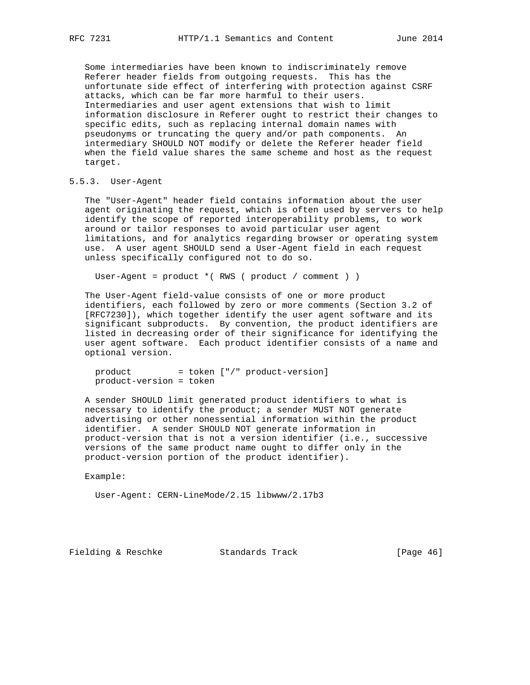Some intermediaries have been known to indiscriminately remove Referer header fields from outgoing requests. This has the unfortunate side effect of interfering with protection against CSRF attacks, which can be far more harmful to their users. Intermediaries and user agent extensions that wish to limit information disclosure in Referer ought to restrict their changes to specific edits, such as replacing internal domain names with pseudonyms or truncating the query and/or path components. An intermediary SHOULD NOT modify or delete the Referer header field when the field value shares the same scheme and host as the request target.

# 5.5.3. User-Agent

 The "User-Agent" header field contains information about the user agent originating the request, which is often used by servers to help identify the scope of reported interoperability problems, to work around or tailor responses to avoid particular user agent limitations, and for analytics regarding browser or operating system use. A user agent SHOULD send a User-Agent field in each request unless specifically configured not to do so.

User-Agent = product \*( RWS ( product / comment ) )

 The User-Agent field-value consists of one or more product identifiers, each followed by zero or more comments (Section 3.2 of [RFC7230]), which together identify the user agent software and its significant subproducts. By convention, the product identifiers are listed in decreasing order of their significance for identifying the user agent software. Each product identifier consists of a name and optional version.

product = token ["/" product-version] product-version = token

 A sender SHOULD limit generated product identifiers to what is necessary to identify the product; a sender MUST NOT generate advertising or other nonessential information within the product identifier. A sender SHOULD NOT generate information in product-version that is not a version identifier (i.e., successive versions of the same product name ought to differ only in the product-version portion of the product identifier).

Example:

User-Agent: CERN-LineMode/2.15 libwww/2.17b3

Fielding & Reschke Standards Track [Page 46]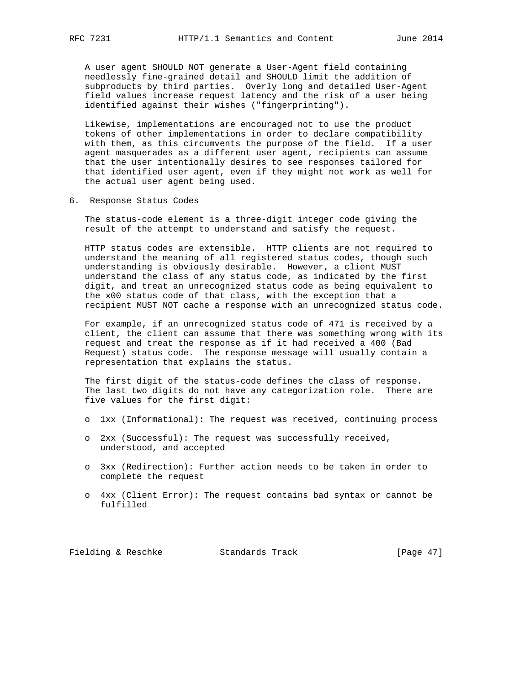A user agent SHOULD NOT generate a User-Agent field containing needlessly fine-grained detail and SHOULD limit the addition of subproducts by third parties. Overly long and detailed User-Agent field values increase request latency and the risk of a user being identified against their wishes ("fingerprinting").

 Likewise, implementations are encouraged not to use the product tokens of other implementations in order to declare compatibility with them, as this circumvents the purpose of the field. If a user agent masquerades as a different user agent, recipients can assume that the user intentionally desires to see responses tailored for that identified user agent, even if they might not work as well for the actual user agent being used.

6. Response Status Codes

 The status-code element is a three-digit integer code giving the result of the attempt to understand and satisfy the request.

 HTTP status codes are extensible. HTTP clients are not required to understand the meaning of all registered status codes, though such understanding is obviously desirable. However, a client MUST understand the class of any status code, as indicated by the first digit, and treat an unrecognized status code as being equivalent to the x00 status code of that class, with the exception that a recipient MUST NOT cache a response with an unrecognized status code.

 For example, if an unrecognized status code of 471 is received by a client, the client can assume that there was something wrong with its request and treat the response as if it had received a 400 (Bad Request) status code. The response message will usually contain a representation that explains the status.

 The first digit of the status-code defines the class of response. The last two digits do not have any categorization role. There are five values for the first digit:

- o 1xx (Informational): The request was received, continuing process
- o 2xx (Successful): The request was successfully received, understood, and accepted
- o 3xx (Redirection): Further action needs to be taken in order to complete the request
- o 4xx (Client Error): The request contains bad syntax or cannot be fulfilled

Fielding & Reschke Standards Track [Page 47]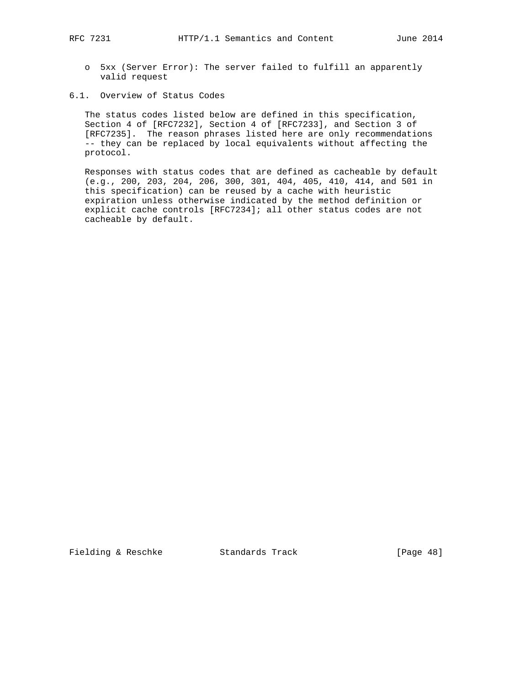- o 5xx (Server Error): The server failed to fulfill an apparently valid request
- 6.1. Overview of Status Codes

 The status codes listed below are defined in this specification, Section 4 of [RFC7232], Section 4 of [RFC7233], and Section 3 of [RFC7235]. The reason phrases listed here are only recommendations -- they can be replaced by local equivalents without affecting the protocol.

 Responses with status codes that are defined as cacheable by default (e.g., 200, 203, 204, 206, 300, 301, 404, 405, 410, 414, and 501 in this specification) can be reused by a cache with heuristic expiration unless otherwise indicated by the method definition or explicit cache controls [RFC7234]; all other status codes are not cacheable by default.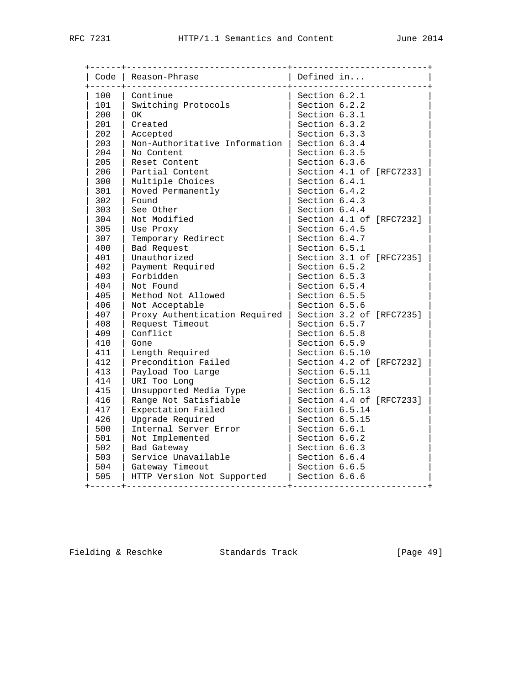| Code | Reason-Phrase                 | Defined in<br><u> - - - - - - - - - - -</u> |
|------|-------------------------------|---------------------------------------------|
| 100  | Continue                      | Section 6.2.1                               |
| 101  | Switching Protocols           | Section 6.2.2                               |
| 200  | <b>OK</b>                     | Section 6.3.1                               |
| 201  | Created                       | Section 6.3.2                               |
| 202  | Accepted                      | Section 6.3.3                               |
| 203  | Non-Authoritative Information | Section 6.3.4                               |
| 204  | No Content                    | Section 6.3.5                               |
| 205  | Reset Content                 | Section 6.3.6                               |
| 206  | Partial Content               | Section 4.1 of [RFC7233]                    |
| 300  | Multiple Choices              | Section 6.4.1                               |
| 301  | Moved Permanently             | Section 6.4.2                               |
| 302  | Found                         | Section 6.4.3                               |
| 303  | See Other                     | Section 6.4.4                               |
| 304  | Not Modified                  | Section 4.1 of [RFC7232]                    |
| 305  | Use Proxy                     | Section 6.4.5                               |
| 307  | Temporary Redirect            | Section 6.4.7                               |
| 400  | Bad Request                   | Section 6.5.1                               |
| 401  | Unauthorized                  | Section 3.1 of [RFC7235]                    |
| 402  | Payment Required              | Section 6.5.2                               |
| 403  | Forbidden                     | Section 6.5.3                               |
| 404  | Not Found                     | Section 6.5.4                               |
| 405  | Method Not Allowed            | Section 6.5.5                               |
| 406  | Not Acceptable                | Section 6.5.6                               |
| 407  | Proxy Authentication Required | Section 3.2 of [RFC7235]                    |
| 408  | Request Timeout               | Section 6.5.7                               |
| 409  | Conflict                      | Section 6.5.8                               |
| 410  | Gone                          | Section 6.5.9                               |
| 411  | Length Required               | Section 6.5.10                              |
| 412  | Precondition Failed           | Section 4.2 of [RFC7232]                    |
| 413  | Payload Too Large             | Section 6.5.11                              |
| 414  | URI Too Long                  | Section 6.5.12                              |
| 415  | Unsupported Media Type        | Section 6.5.13                              |
| 416  | Range Not Satisfiable         | Section 4.4 of [RFC7233]                    |
| 417  | Expectation Failed            | Section 6.5.14                              |
| 426  | Upgrade Required              | Section 6.5.15                              |
| 500  | Internal Server Error         | Section 6.6.1                               |
| 501  | Not Implemented               | Section 6.6.2                               |
| 502  | Bad Gateway                   | Section 6.6.3                               |
| 503  | Service Unavailable           | Section 6.6.4                               |
| 504  | Gateway Timeout               | Section 6.6.5                               |
| 505  | HTTP Version Not Supported    | Section 6.6.6                               |

Fielding & Reschke Standards Track [Page 49]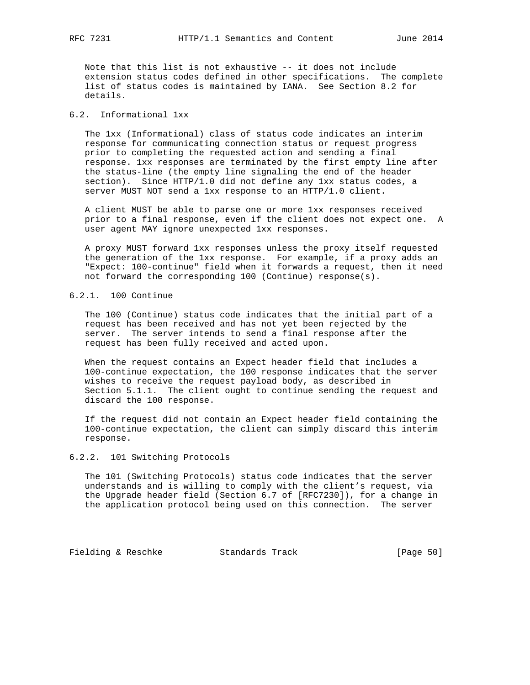Note that this list is not exhaustive -- it does not include extension status codes defined in other specifications. The complete list of status codes is maintained by IANA. See Section 8.2 for details.

# 6.2. Informational 1xx

 The 1xx (Informational) class of status code indicates an interim response for communicating connection status or request progress prior to completing the requested action and sending a final response. 1xx responses are terminated by the first empty line after the status-line (the empty line signaling the end of the header section). Since HTTP/1.0 did not define any 1xx status codes, a server MUST NOT send a 1xx response to an HTTP/1.0 client.

 A client MUST be able to parse one or more 1xx responses received prior to a final response, even if the client does not expect one. A user agent MAY ignore unexpected 1xx responses.

 A proxy MUST forward 1xx responses unless the proxy itself requested the generation of the 1xx response. For example, if a proxy adds an "Expect: 100-continue" field when it forwards a request, then it need not forward the corresponding 100 (Continue) response(s).

# 6.2.1. 100 Continue

 The 100 (Continue) status code indicates that the initial part of a request has been received and has not yet been rejected by the server. The server intends to send a final response after the request has been fully received and acted upon.

 When the request contains an Expect header field that includes a 100-continue expectation, the 100 response indicates that the server wishes to receive the request payload body, as described in Section 5.1.1. The client ought to continue sending the request and discard the 100 response.

 If the request did not contain an Expect header field containing the 100-continue expectation, the client can simply discard this interim response.

## 6.2.2. 101 Switching Protocols

 The 101 (Switching Protocols) status code indicates that the server understands and is willing to comply with the client's request, via the Upgrade header field (Section 6.7 of [RFC7230]), for a change in the application protocol being used on this connection. The server

Fielding & Reschke Standards Track [Page 50]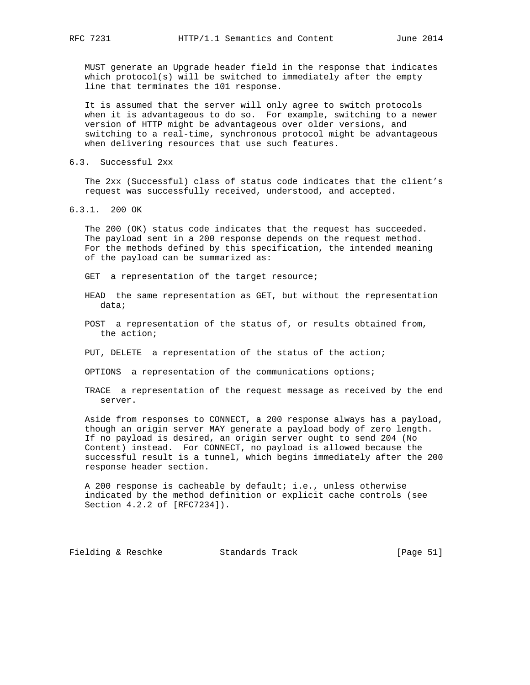MUST generate an Upgrade header field in the response that indicates which protocol(s) will be switched to immediately after the empty line that terminates the 101 response.

 It is assumed that the server will only agree to switch protocols when it is advantageous to do so. For example, switching to a newer version of HTTP might be advantageous over older versions, and switching to a real-time, synchronous protocol might be advantageous when delivering resources that use such features.

6.3. Successful 2xx

 The 2xx (Successful) class of status code indicates that the client's request was successfully received, understood, and accepted.

6.3.1. 200 OK

 The 200 (OK) status code indicates that the request has succeeded. The payload sent in a 200 response depends on the request method. For the methods defined by this specification, the intended meaning of the payload can be summarized as:

- GET a representation of the target resource;
- HEAD the same representation as GET, but without the representation data;
- POST a representation of the status of, or results obtained from, the action;
- PUT, DELETE a representation of the status of the action;
- OPTIONS a representation of the communications options;
- TRACE a representation of the request message as received by the end server.

 Aside from responses to CONNECT, a 200 response always has a payload, though an origin server MAY generate a payload body of zero length. If no payload is desired, an origin server ought to send 204 (No Content) instead. For CONNECT, no payload is allowed because the successful result is a tunnel, which begins immediately after the 200 response header section.

 A 200 response is cacheable by default; i.e., unless otherwise indicated by the method definition or explicit cache controls (see Section 4.2.2 of [RFC7234]).

Fielding & Reschke Standards Track [Page 51]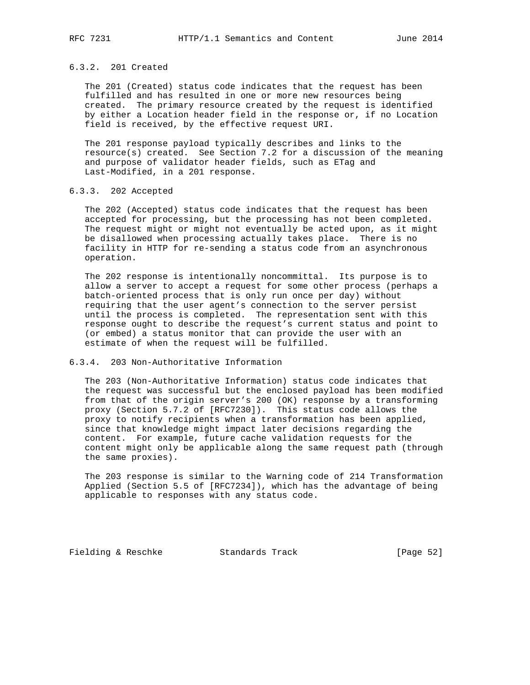# 6.3.2. 201 Created

 The 201 (Created) status code indicates that the request has been fulfilled and has resulted in one or more new resources being created. The primary resource created by the request is identified by either a Location header field in the response or, if no Location field is received, by the effective request URI.

 The 201 response payload typically describes and links to the resource(s) created. See Section 7.2 for a discussion of the meaning and purpose of validator header fields, such as ETag and Last-Modified, in a 201 response.

# 6.3.3. 202 Accepted

 The 202 (Accepted) status code indicates that the request has been accepted for processing, but the processing has not been completed. The request might or might not eventually be acted upon, as it might be disallowed when processing actually takes place. There is no facility in HTTP for re-sending a status code from an asynchronous operation.

 The 202 response is intentionally noncommittal. Its purpose is to allow a server to accept a request for some other process (perhaps a batch-oriented process that is only run once per day) without requiring that the user agent's connection to the server persist until the process is completed. The representation sent with this response ought to describe the request's current status and point to (or embed) a status monitor that can provide the user with an estimate of when the request will be fulfilled.

## 6.3.4. 203 Non-Authoritative Information

 The 203 (Non-Authoritative Information) status code indicates that the request was successful but the enclosed payload has been modified from that of the origin server's 200 (OK) response by a transforming proxy (Section 5.7.2 of [RFC7230]). This status code allows the proxy to notify recipients when a transformation has been applied, since that knowledge might impact later decisions regarding the content. For example, future cache validation requests for the content might only be applicable along the same request path (through the same proxies).

 The 203 response is similar to the Warning code of 214 Transformation Applied (Section 5.5 of [RFC7234]), which has the advantage of being applicable to responses with any status code.

Fielding & Reschke Standards Track [Page 52]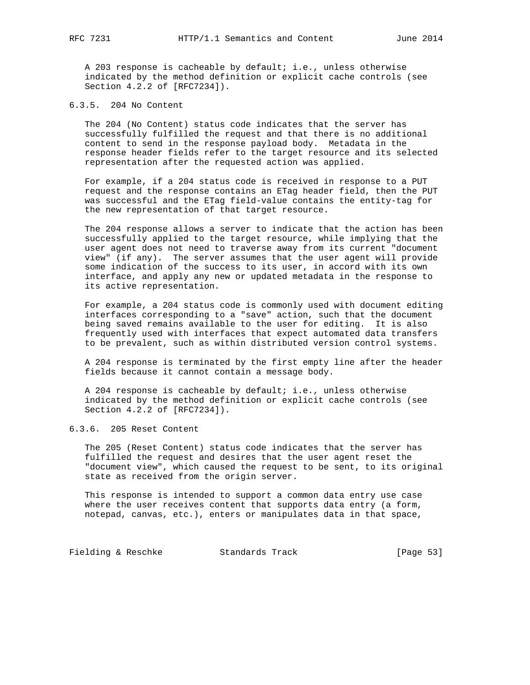A 203 response is cacheable by default; i.e., unless otherwise indicated by the method definition or explicit cache controls (see Section 4.2.2 of [RFC7234]).

6.3.5. 204 No Content

 The 204 (No Content) status code indicates that the server has successfully fulfilled the request and that there is no additional content to send in the response payload body. Metadata in the response header fields refer to the target resource and its selected representation after the requested action was applied.

 For example, if a 204 status code is received in response to a PUT request and the response contains an ETag header field, then the PUT was successful and the ETag field-value contains the entity-tag for the new representation of that target resource.

 The 204 response allows a server to indicate that the action has been successfully applied to the target resource, while implying that the user agent does not need to traverse away from its current "document view" (if any). The server assumes that the user agent will provide some indication of the success to its user, in accord with its own interface, and apply any new or updated metadata in the response to its active representation.

 For example, a 204 status code is commonly used with document editing interfaces corresponding to a "save" action, such that the document being saved remains available to the user for editing. It is also frequently used with interfaces that expect automated data transfers to be prevalent, such as within distributed version control systems.

 A 204 response is terminated by the first empty line after the header fields because it cannot contain a message body.

 A 204 response is cacheable by default; i.e., unless otherwise indicated by the method definition or explicit cache controls (see Section 4.2.2 of [RFC7234]).

6.3.6. 205 Reset Content

 The 205 (Reset Content) status code indicates that the server has fulfilled the request and desires that the user agent reset the "document view", which caused the request to be sent, to its original state as received from the origin server.

 This response is intended to support a common data entry use case where the user receives content that supports data entry (a form, notepad, canvas, etc.), enters or manipulates data in that space,

Fielding & Reschke Standards Track [Page 53]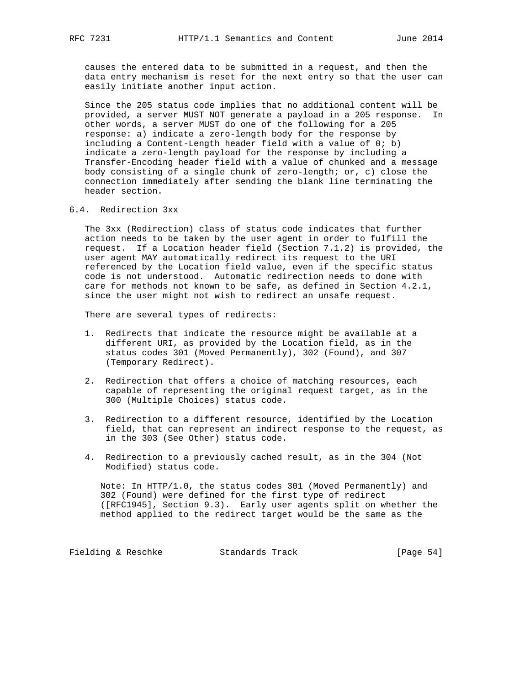causes the entered data to be submitted in a request, and then the data entry mechanism is reset for the next entry so that the user can easily initiate another input action.

 Since the 205 status code implies that no additional content will be provided, a server MUST NOT generate a payload in a 205 response. In other words, a server MUST do one of the following for a 205 response: a) indicate a zero-length body for the response by including a Content-Length header field with a value of 0; b) indicate a zero-length payload for the response by including a Transfer-Encoding header field with a value of chunked and a message body consisting of a single chunk of zero-length; or, c) close the connection immediately after sending the blank line terminating the header section.

# 6.4. Redirection 3xx

 The 3xx (Redirection) class of status code indicates that further action needs to be taken by the user agent in order to fulfill the request. If a Location header field (Section 7.1.2) is provided, the user agent MAY automatically redirect its request to the URI referenced by the Location field value, even if the specific status code is not understood. Automatic redirection needs to done with care for methods not known to be safe, as defined in Section 4.2.1, since the user might not wish to redirect an unsafe request.

There are several types of redirects:

- 1. Redirects that indicate the resource might be available at a different URI, as provided by the Location field, as in the status codes 301 (Moved Permanently), 302 (Found), and 307 (Temporary Redirect).
- 2. Redirection that offers a choice of matching resources, each capable of representing the original request target, as in the 300 (Multiple Choices) status code.
- 3. Redirection to a different resource, identified by the Location field, that can represent an indirect response to the request, as in the 303 (See Other) status code.
- 4. Redirection to a previously cached result, as in the 304 (Not Modified) status code.

 Note: In HTTP/1.0, the status codes 301 (Moved Permanently) and 302 (Found) were defined for the first type of redirect ([RFC1945], Section 9.3). Early user agents split on whether the method applied to the redirect target would be the same as the

Fielding & Reschke Standards Track [Page 54]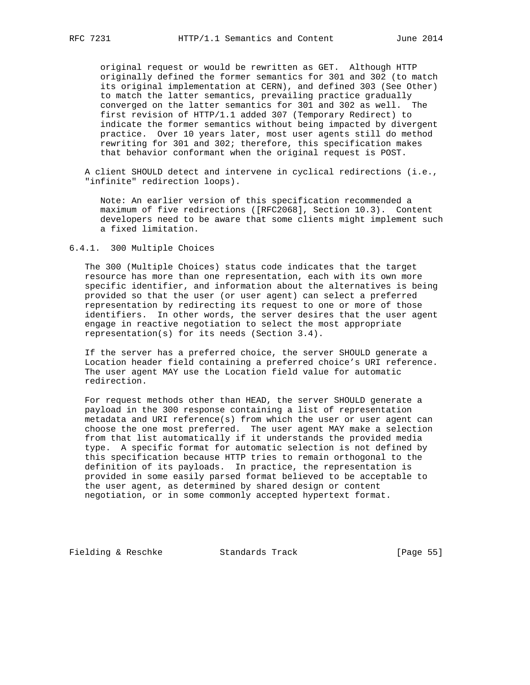original request or would be rewritten as GET. Although HTTP originally defined the former semantics for 301 and 302 (to match its original implementation at CERN), and defined 303 (See Other) to match the latter semantics, prevailing practice gradually converged on the latter semantics for 301 and 302 as well. The first revision of HTTP/1.1 added 307 (Temporary Redirect) to indicate the former semantics without being impacted by divergent practice. Over 10 years later, most user agents still do method rewriting for 301 and 302; therefore, this specification makes that behavior conformant when the original request is POST.

 A client SHOULD detect and intervene in cyclical redirections (i.e., "infinite" redirection loops).

 Note: An earlier version of this specification recommended a maximum of five redirections ([RFC2068], Section 10.3). Content developers need to be aware that some clients might implement such a fixed limitation.

6.4.1. 300 Multiple Choices

 The 300 (Multiple Choices) status code indicates that the target resource has more than one representation, each with its own more specific identifier, and information about the alternatives is being provided so that the user (or user agent) can select a preferred representation by redirecting its request to one or more of those identifiers. In other words, the server desires that the user agent engage in reactive negotiation to select the most appropriate representation(s) for its needs (Section 3.4).

 If the server has a preferred choice, the server SHOULD generate a Location header field containing a preferred choice's URI reference. The user agent MAY use the Location field value for automatic redirection.

 For request methods other than HEAD, the server SHOULD generate a payload in the 300 response containing a list of representation metadata and URI reference(s) from which the user or user agent can choose the one most preferred. The user agent MAY make a selection from that list automatically if it understands the provided media type. A specific format for automatic selection is not defined by this specification because HTTP tries to remain orthogonal to the definition of its payloads. In practice, the representation is provided in some easily parsed format believed to be acceptable to the user agent, as determined by shared design or content negotiation, or in some commonly accepted hypertext format.

Fielding & Reschke Standards Track [Page 55]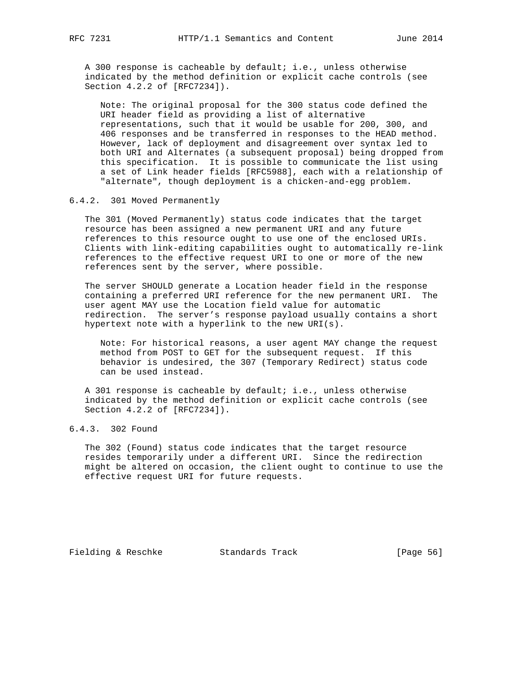A 300 response is cacheable by default; i.e., unless otherwise indicated by the method definition or explicit cache controls (see Section 4.2.2 of [RFC7234]).

 Note: The original proposal for the 300 status code defined the URI header field as providing a list of alternative representations, such that it would be usable for 200, 300, and 406 responses and be transferred in responses to the HEAD method. However, lack of deployment and disagreement over syntax led to both URI and Alternates (a subsequent proposal) being dropped from this specification. It is possible to communicate the list using a set of Link header fields [RFC5988], each with a relationship of "alternate", though deployment is a chicken-and-egg problem.

## 6.4.2. 301 Moved Permanently

 The 301 (Moved Permanently) status code indicates that the target resource has been assigned a new permanent URI and any future references to this resource ought to use one of the enclosed URIs. Clients with link-editing capabilities ought to automatically re-link references to the effective request URI to one or more of the new references sent by the server, where possible.

 The server SHOULD generate a Location header field in the response containing a preferred URI reference for the new permanent URI. The user agent MAY use the Location field value for automatic redirection. The server's response payload usually contains a short hypertext note with a hyperlink to the new URI(s).

 Note: For historical reasons, a user agent MAY change the request method from POST to GET for the subsequent request. If this behavior is undesired, the 307 (Temporary Redirect) status code can be used instead.

 A 301 response is cacheable by default; i.e., unless otherwise indicated by the method definition or explicit cache controls (see Section 4.2.2 of [RFC7234]).

# 6.4.3. 302 Found

 The 302 (Found) status code indicates that the target resource resides temporarily under a different URI. Since the redirection might be altered on occasion, the client ought to continue to use the effective request URI for future requests.

Fielding & Reschke Standards Track [Page 56]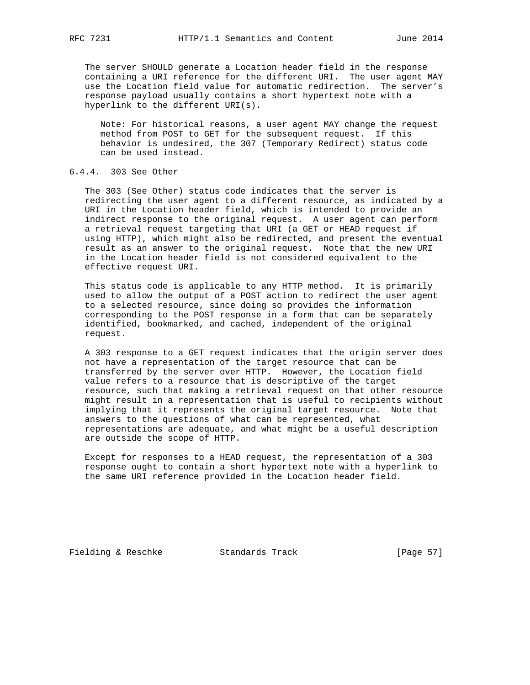The server SHOULD generate a Location header field in the response containing a URI reference for the different URI. The user agent MAY use the Location field value for automatic redirection. The server's response payload usually contains a short hypertext note with a hyperlink to the different URI(s).

 Note: For historical reasons, a user agent MAY change the request method from POST to GET for the subsequent request. If this behavior is undesired, the 307 (Temporary Redirect) status code can be used instead.

# 6.4.4. 303 See Other

 The 303 (See Other) status code indicates that the server is redirecting the user agent to a different resource, as indicated by a URI in the Location header field, which is intended to provide an indirect response to the original request. A user agent can perform a retrieval request targeting that URI (a GET or HEAD request if using HTTP), which might also be redirected, and present the eventual result as an answer to the original request. Note that the new URI in the Location header field is not considered equivalent to the effective request URI.

 This status code is applicable to any HTTP method. It is primarily used to allow the output of a POST action to redirect the user agent to a selected resource, since doing so provides the information corresponding to the POST response in a form that can be separately identified, bookmarked, and cached, independent of the original request.

 A 303 response to a GET request indicates that the origin server does not have a representation of the target resource that can be transferred by the server over HTTP. However, the Location field value refers to a resource that is descriptive of the target resource, such that making a retrieval request on that other resource might result in a representation that is useful to recipients without implying that it represents the original target resource. Note that answers to the questions of what can be represented, what representations are adequate, and what might be a useful description are outside the scope of HTTP.

 Except for responses to a HEAD request, the representation of a 303 response ought to contain a short hypertext note with a hyperlink to the same URI reference provided in the Location header field.

Fielding & Reschke Standards Track [Page 57]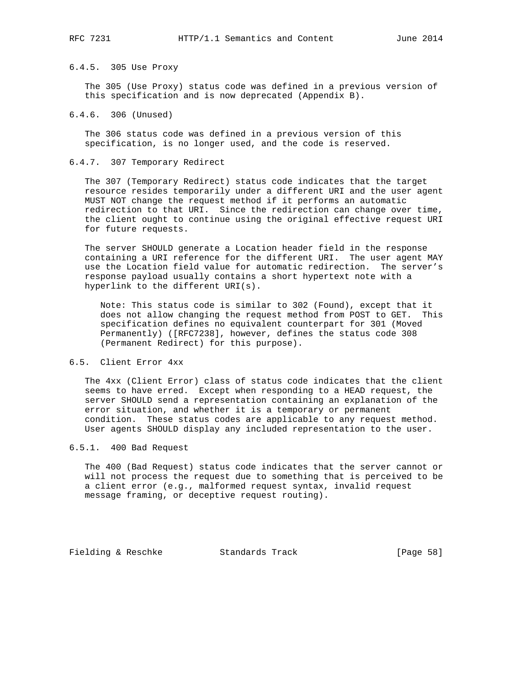# 6.4.5. 305 Use Proxy

 The 305 (Use Proxy) status code was defined in a previous version of this specification and is now deprecated (Appendix B).

6.4.6. 306 (Unused)

 The 306 status code was defined in a previous version of this specification, is no longer used, and the code is reserved.

## 6.4.7. 307 Temporary Redirect

 The 307 (Temporary Redirect) status code indicates that the target resource resides temporarily under a different URI and the user agent MUST NOT change the request method if it performs an automatic redirection to that URI. Since the redirection can change over time, the client ought to continue using the original effective request URI for future requests.

 The server SHOULD generate a Location header field in the response containing a URI reference for the different URI. The user agent MAY use the Location field value for automatic redirection. The server's response payload usually contains a short hypertext note with a hyperlink to the different URI(s).

 Note: This status code is similar to 302 (Found), except that it does not allow changing the request method from POST to GET. This specification defines no equivalent counterpart for 301 (Moved Permanently) ([RFC7238], however, defines the status code 308 (Permanent Redirect) for this purpose).

## 6.5. Client Error 4xx

 The 4xx (Client Error) class of status code indicates that the client seems to have erred. Except when responding to a HEAD request, the server SHOULD send a representation containing an explanation of the error situation, and whether it is a temporary or permanent condition. These status codes are applicable to any request method. User agents SHOULD display any included representation to the user.

## 6.5.1. 400 Bad Request

 The 400 (Bad Request) status code indicates that the server cannot or will not process the request due to something that is perceived to be a client error (e.g., malformed request syntax, invalid request message framing, or deceptive request routing).

Fielding & Reschke Standards Track [Page 58]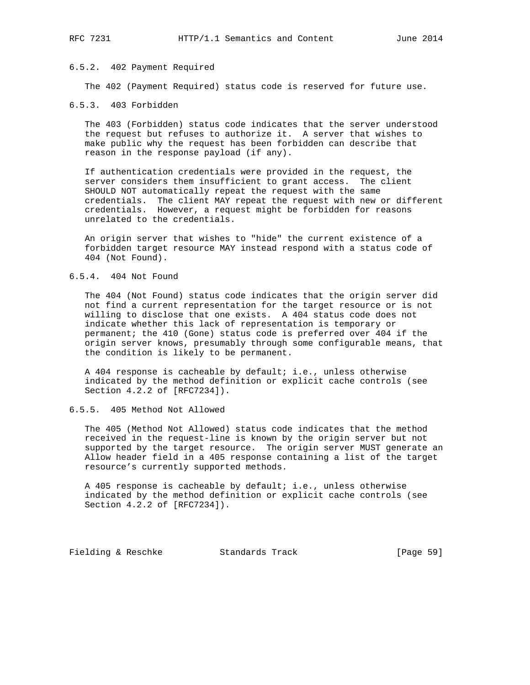# 6.5.2. 402 Payment Required

The 402 (Payment Required) status code is reserved for future use.

## 6.5.3. 403 Forbidden

 The 403 (Forbidden) status code indicates that the server understood the request but refuses to authorize it. A server that wishes to make public why the request has been forbidden can describe that reason in the response payload (if any).

 If authentication credentials were provided in the request, the server considers them insufficient to grant access. The client SHOULD NOT automatically repeat the request with the same credentials. The client MAY repeat the request with new or different credentials. However, a request might be forbidden for reasons unrelated to the credentials.

 An origin server that wishes to "hide" the current existence of a forbidden target resource MAY instead respond with a status code of 404 (Not Found).

## 6.5.4. 404 Not Found

 The 404 (Not Found) status code indicates that the origin server did not find a current representation for the target resource or is not willing to disclose that one exists. A 404 status code does not indicate whether this lack of representation is temporary or permanent; the 410 (Gone) status code is preferred over 404 if the origin server knows, presumably through some configurable means, that the condition is likely to be permanent.

 A 404 response is cacheable by default; i.e., unless otherwise indicated by the method definition or explicit cache controls (see Section 4.2.2 of [RFC7234]).

6.5.5. 405 Method Not Allowed

 The 405 (Method Not Allowed) status code indicates that the method received in the request-line is known by the origin server but not supported by the target resource. The origin server MUST generate an Allow header field in a 405 response containing a list of the target resource's currently supported methods.

 A 405 response is cacheable by default; i.e., unless otherwise indicated by the method definition or explicit cache controls (see Section 4.2.2 of [RFC7234]).

Fielding & Reschke Standards Track [Page 59]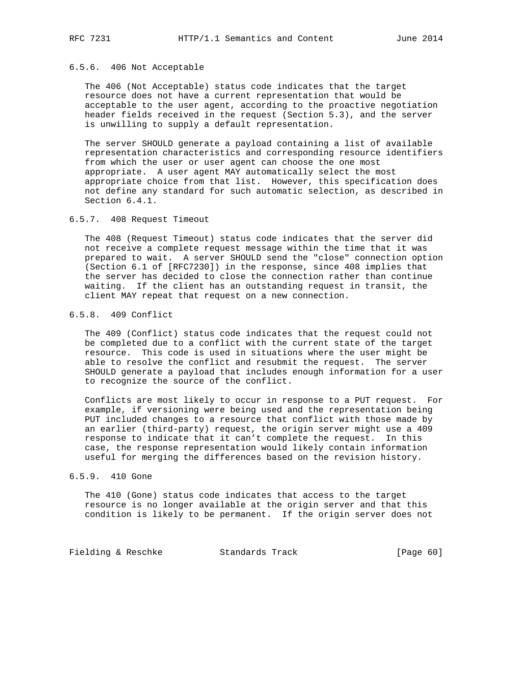## 6.5.6. 406 Not Acceptable

 The 406 (Not Acceptable) status code indicates that the target resource does not have a current representation that would be acceptable to the user agent, according to the proactive negotiation header fields received in the request (Section 5.3), and the server is unwilling to supply a default representation.

 The server SHOULD generate a payload containing a list of available representation characteristics and corresponding resource identifiers from which the user or user agent can choose the one most appropriate. A user agent MAY automatically select the most appropriate choice from that list. However, this specification does not define any standard for such automatic selection, as described in Section 6.4.1.

## 6.5.7. 408 Request Timeout

 The 408 (Request Timeout) status code indicates that the server did not receive a complete request message within the time that it was prepared to wait. A server SHOULD send the "close" connection option (Section 6.1 of [RFC7230]) in the response, since 408 implies that the server has decided to close the connection rather than continue waiting. If the client has an outstanding request in transit, the client MAY repeat that request on a new connection.

# 6.5.8. 409 Conflict

 The 409 (Conflict) status code indicates that the request could not be completed due to a conflict with the current state of the target resource. This code is used in situations where the user might be able to resolve the conflict and resubmit the request. The server SHOULD generate a payload that includes enough information for a user to recognize the source of the conflict.

 Conflicts are most likely to occur in response to a PUT request. For example, if versioning were being used and the representation being PUT included changes to a resource that conflict with those made by an earlier (third-party) request, the origin server might use a 409 response to indicate that it can't complete the request. In this case, the response representation would likely contain information useful for merging the differences based on the revision history.

## 6.5.9. 410 Gone

 The 410 (Gone) status code indicates that access to the target resource is no longer available at the origin server and that this condition is likely to be permanent. If the origin server does not

Fielding & Reschke Standards Track [Page 60]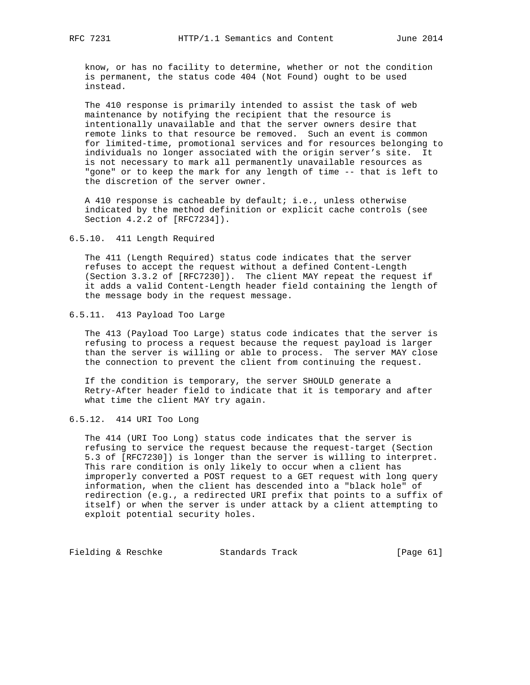know, or has no facility to determine, whether or not the condition is permanent, the status code 404 (Not Found) ought to be used instead.

 The 410 response is primarily intended to assist the task of web maintenance by notifying the recipient that the resource is intentionally unavailable and that the server owners desire that remote links to that resource be removed. Such an event is common for limited-time, promotional services and for resources belonging to individuals no longer associated with the origin server's site. It is not necessary to mark all permanently unavailable resources as "gone" or to keep the mark for any length of time -- that is left to the discretion of the server owner.

 A 410 response is cacheable by default; i.e., unless otherwise indicated by the method definition or explicit cache controls (see Section 4.2.2 of [RFC7234]).

6.5.10. 411 Length Required

 The 411 (Length Required) status code indicates that the server refuses to accept the request without a defined Content-Length (Section 3.3.2 of [RFC7230]). The client MAY repeat the request if it adds a valid Content-Length header field containing the length of the message body in the request message.

## 6.5.11. 413 Payload Too Large

 The 413 (Payload Too Large) status code indicates that the server is refusing to process a request because the request payload is larger than the server is willing or able to process. The server MAY close the connection to prevent the client from continuing the request.

 If the condition is temporary, the server SHOULD generate a Retry-After header field to indicate that it is temporary and after what time the client MAY try again.

# 6.5.12. 414 URI Too Long

 The 414 (URI Too Long) status code indicates that the server is refusing to service the request because the request-target (Section 5.3 of [RFC7230]) is longer than the server is willing to interpret. This rare condition is only likely to occur when a client has improperly converted a POST request to a GET request with long query information, when the client has descended into a "black hole" of redirection (e.g., a redirected URI prefix that points to a suffix of itself) or when the server is under attack by a client attempting to exploit potential security holes.

Fielding & Reschke Standards Track [Page 61]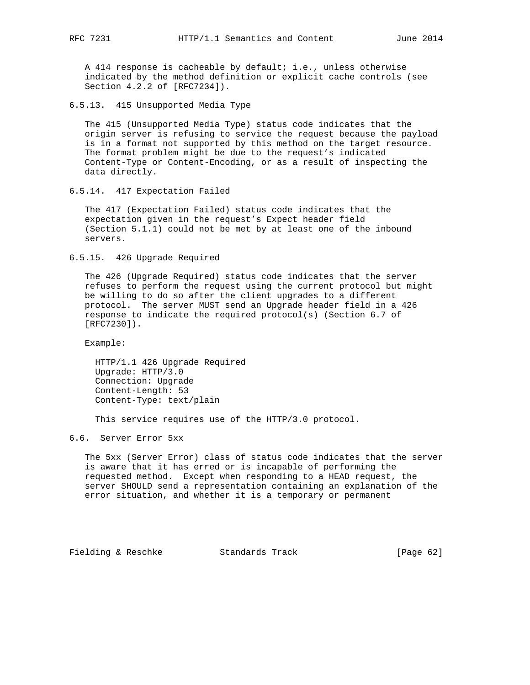A 414 response is cacheable by default; i.e., unless otherwise indicated by the method definition or explicit cache controls (see Section 4.2.2 of [RFC7234]).

6.5.13. 415 Unsupported Media Type

 The 415 (Unsupported Media Type) status code indicates that the origin server is refusing to service the request because the payload is in a format not supported by this method on the target resource. The format problem might be due to the request's indicated Content-Type or Content-Encoding, or as a result of inspecting the data directly.

6.5.14. 417 Expectation Failed

 The 417 (Expectation Failed) status code indicates that the expectation given in the request's Expect header field (Section 5.1.1) could not be met by at least one of the inbound servers.

6.5.15. 426 Upgrade Required

 The 426 (Upgrade Required) status code indicates that the server refuses to perform the request using the current protocol but might be willing to do so after the client upgrades to a different protocol. The server MUST send an Upgrade header field in a 426 response to indicate the required protocol(s) (Section 6.7 of [RFC7230]).

Example:

 HTTP/1.1 426 Upgrade Required Upgrade: HTTP/3.0 Connection: Upgrade Content-Length: 53 Content-Type: text/plain

This service requires use of the HTTP/3.0 protocol.

6.6. Server Error 5xx

 The 5xx (Server Error) class of status code indicates that the server is aware that it has erred or is incapable of performing the requested method. Except when responding to a HEAD request, the server SHOULD send a representation containing an explanation of the error situation, and whether it is a temporary or permanent

Fielding & Reschke Standards Track [Page 62]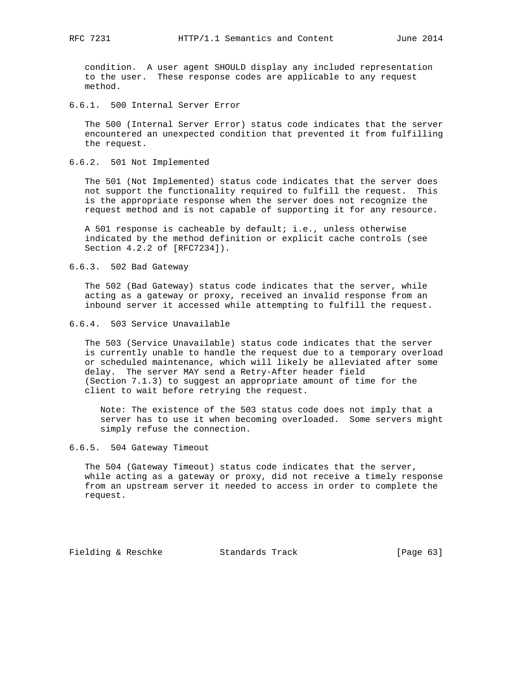condition. A user agent SHOULD display any included representation to the user. These response codes are applicable to any request method.

6.6.1. 500 Internal Server Error

 The 500 (Internal Server Error) status code indicates that the server encountered an unexpected condition that prevented it from fulfilling the request.

6.6.2. 501 Not Implemented

 The 501 (Not Implemented) status code indicates that the server does not support the functionality required to fulfill the request. This is the appropriate response when the server does not recognize the request method and is not capable of supporting it for any resource.

 A 501 response is cacheable by default; i.e., unless otherwise indicated by the method definition or explicit cache controls (see Section 4.2.2 of [RFC7234]).

6.6.3. 502 Bad Gateway

 The 502 (Bad Gateway) status code indicates that the server, while acting as a gateway or proxy, received an invalid response from an inbound server it accessed while attempting to fulfill the request.

6.6.4. 503 Service Unavailable

 The 503 (Service Unavailable) status code indicates that the server is currently unable to handle the request due to a temporary overload or scheduled maintenance, which will likely be alleviated after some delay. The server MAY send a Retry-After header field (Section 7.1.3) to suggest an appropriate amount of time for the client to wait before retrying the request.

 Note: The existence of the 503 status code does not imply that a server has to use it when becoming overloaded. Some servers might simply refuse the connection.

6.6.5. 504 Gateway Timeout

 The 504 (Gateway Timeout) status code indicates that the server, while acting as a gateway or proxy, did not receive a timely response from an upstream server it needed to access in order to complete the request.

Fielding & Reschke Standards Track [Page 63]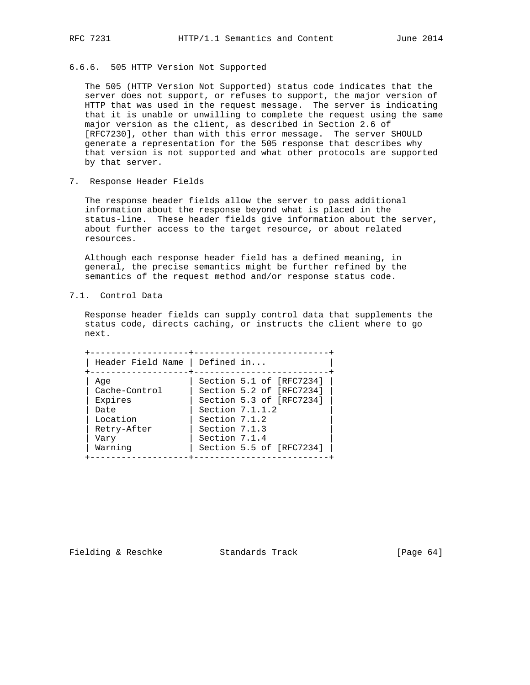# 6.6.6. 505 HTTP Version Not Supported

 The 505 (HTTP Version Not Supported) status code indicates that the server does not support, or refuses to support, the major version of HTTP that was used in the request message. The server is indicating that it is unable or unwilling to complete the request using the same major version as the client, as described in Section 2.6 of [RFC7230], other than with this error message. The server SHOULD generate a representation for the 505 response that describes why that version is not supported and what other protocols are supported by that server.

7. Response Header Fields

 The response header fields allow the server to pass additional information about the response beyond what is placed in the status-line. These header fields give information about the server, about further access to the target resource, or about related resources.

 Although each response header field has a defined meaning, in general, the precise semantics might be further refined by the semantics of the request method and/or response status code.

7.1. Control Data

 Response header fields can supply control data that supplements the status code, directs caching, or instructs the client where to go next.

| Header Field Name   Defined in |                          |
|--------------------------------|--------------------------|
| Aqe                            | Section 5.1 of [RFC7234] |
| Cache-Control                  | Section 5.2 of [RFC7234] |
| Expires                        | Section 5.3 of [RFC7234] |
| Date                           | Section $7.1.1.2$        |
| Location                       | Section 7.1.2            |
| Retry-After                    | Section 7.1.3            |
| Vary                           | Section 7.1.4            |
| Warning                        | Section 5.5 of [RFC7234] |

Fielding & Reschke Standards Track [Page 64]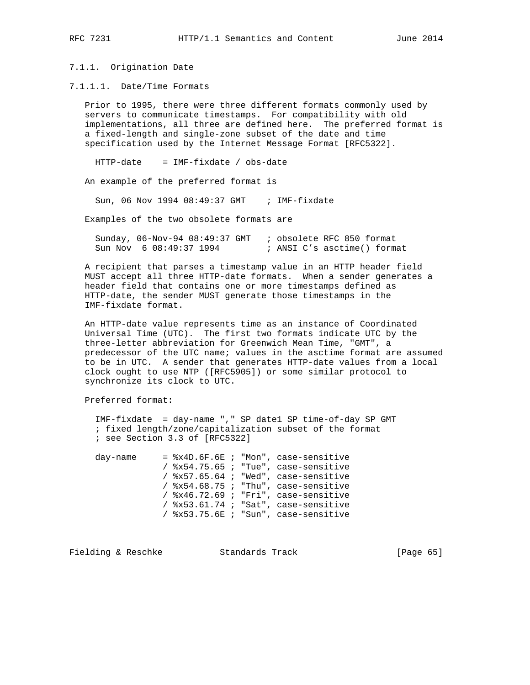# 7.1.1. Origination Date

7.1.1.1. Date/Time Formats

 Prior to 1995, there were three different formats commonly used by servers to communicate timestamps. For compatibility with old implementations, all three are defined here. The preferred format is a fixed-length and single-zone subset of the date and time specification used by the Internet Message Format [RFC5322].

HTTP-date = IMF-fixdate / obs-date

An example of the preferred format is

Sun, 06 Nov 1994 08:49:37 GMT ; IMF-fixdate

Examples of the two obsolete formats are

 Sunday, 06-Nov-94 08:49:37 GMT ; obsolete RFC 850 format Sun Nov 6 08:49:37 1994 ; ANSI C's asctime() format

 A recipient that parses a timestamp value in an HTTP header field MUST accept all three HTTP-date formats. When a sender generates a header field that contains one or more timestamps defined as HTTP-date, the sender MUST generate those timestamps in the IMF-fixdate format.

 An HTTP-date value represents time as an instance of Coordinated Universal Time (UTC). The first two formats indicate UTC by the three-letter abbreviation for Greenwich Mean Time, "GMT", a predecessor of the UTC name; values in the asctime format are assumed to be in UTC. A sender that generates HTTP-date values from a local clock ought to use NTP ([RFC5905]) or some similar protocol to synchronize its clock to UTC.

Preferred format:

 IMF-fixdate = day-name "," SP date1 SP time-of-day SP GMT ; fixed length/zone/capitalization subset of the format ; see Section 3.3 of [RFC5322]

day-name =  $x4D.6F.6E$  ; "Mon", case-sensitive / %x54.75.65 ; "Tue", case-sensitive / %x57.65.64 ; "Wed", case-sensitive / %x54.68.75 ; "Thu", case-sensitive / %x46.72.69 ; "Fri", case-sensitive / %x53.61.74 ; "Sat", case-sensitive / %x53.75.6E ; "Sun", case-sensitive

Fielding & Reschke Standards Track [Page 65]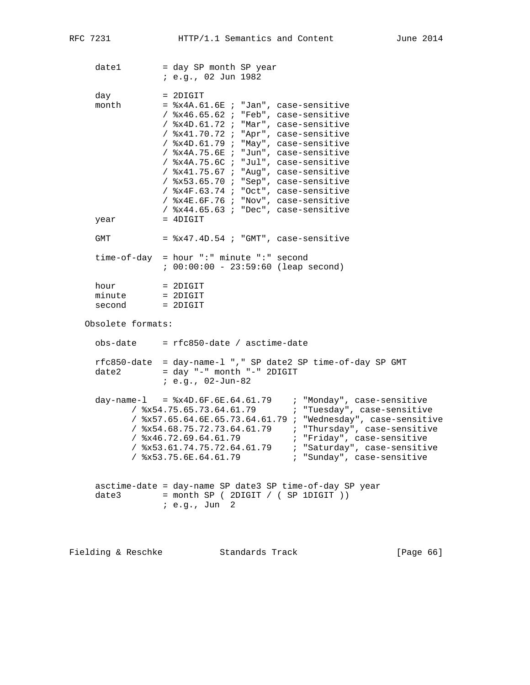date1 = day SP month SP year ; e.g., 02 Jun 1982  $day = 2DIGIT$ month  $=$   $x4A.61.6E$  ; "Jan", case-sensitive / %x46.65.62 ; "Feb", case-sensitive / %x4D.61.72 ; "Mar", case-sensitive / %x41.70.72 ; "Apr", case-sensitive / %x4D.61.79 ; "May", case-sensitive / %x4A.75.6E ; "Jun", case-sensitive / %x4A.75.6C ; "Jul", case-sensitive / %x41.75.67 ; "Aug", case-sensitive / %x53.65.70 ; "Sep", case-sensitive / %x4F.63.74 ; "Oct", case-sensitive / %x4E.6F.76 ; "Nov", case-sensitive / %x44.65.63 ; "Dec", case-sensitive  $year = 4DIGIT$ GMT  $=$   $8x47.4D.54$  ; "GMT", case-sensitive time-of-day = hour ":" minute ":" second ; 00:00:00 - 23:59:60 (leap second) hour = 2DIGIT<br>minute = 2DIGIT minute = 2DIGIT<br>second = 2DIGIT second = 2DIGIT Obsolete formats:  $obs$ -date =  $rfc850$ -date / asctime-date rfc850-date = day-name-l "," SP date2 SP time-of-day SP GMT  $date2 = day "-" month "-" 2DIGIT$  ; e.g., 02-Jun-82 day-name-l = %x4D.6F.6E.64.61.79 ; "Monday", case-sensitive / %x54.75.65.73.64.61.79 ; "Tuesday", case-sensitive / %x57.65.64.6E.65.73.64.61.79 ; "Wednesday", case-sensitive / %x54.68.75.72.73.64.61.79 ; "Thursday", case-sensitive / %x46.72.69.64.61.79 ; "Friday", case-sensitive / %x53.61.74.75.72.64.61.79 ; "Saturday", case-sensitive / %x53.75.6E.64.61.79 ; "Sunday", case-sensitive asctime-date = day-name SP date3 SP time-of-day SP year  $date3$  = month SP ( 2DIGIT / ( SP 1DIGIT )) ; e.g., Jun 2

Fielding & Reschke Standards Track [Page 66]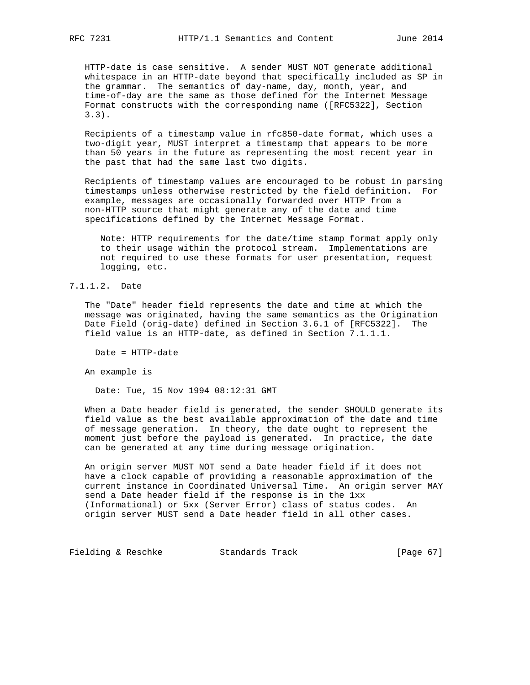HTTP-date is case sensitive. A sender MUST NOT generate additional whitespace in an HTTP-date beyond that specifically included as SP in the grammar. The semantics of day-name, day, month, year, and time-of-day are the same as those defined for the Internet Message Format constructs with the corresponding name ([RFC5322], Section 3.3).

 Recipients of a timestamp value in rfc850-date format, which uses a two-digit year, MUST interpret a timestamp that appears to be more than 50 years in the future as representing the most recent year in the past that had the same last two digits.

 Recipients of timestamp values are encouraged to be robust in parsing timestamps unless otherwise restricted by the field definition. For example, messages are occasionally forwarded over HTTP from a non-HTTP source that might generate any of the date and time specifications defined by the Internet Message Format.

 Note: HTTP requirements for the date/time stamp format apply only to their usage within the protocol stream. Implementations are not required to use these formats for user presentation, request logging, etc.

## 7.1.1.2. Date

 The "Date" header field represents the date and time at which the message was originated, having the same semantics as the Origination Date Field (orig-date) defined in Section 3.6.1 of [RFC5322]. The field value is an HTTP-date, as defined in Section 7.1.1.1.

Date = HTTP-date

An example is

Date: Tue, 15 Nov 1994 08:12:31 GMT

 When a Date header field is generated, the sender SHOULD generate its field value as the best available approximation of the date and time of message generation. In theory, the date ought to represent the moment just before the payload is generated. In practice, the date can be generated at any time during message origination.

 An origin server MUST NOT send a Date header field if it does not have a clock capable of providing a reasonable approximation of the current instance in Coordinated Universal Time. An origin server MAY send a Date header field if the response is in the 1xx (Informational) or 5xx (Server Error) class of status codes. An origin server MUST send a Date header field in all other cases.

Fielding & Reschke Standards Track [Page 67]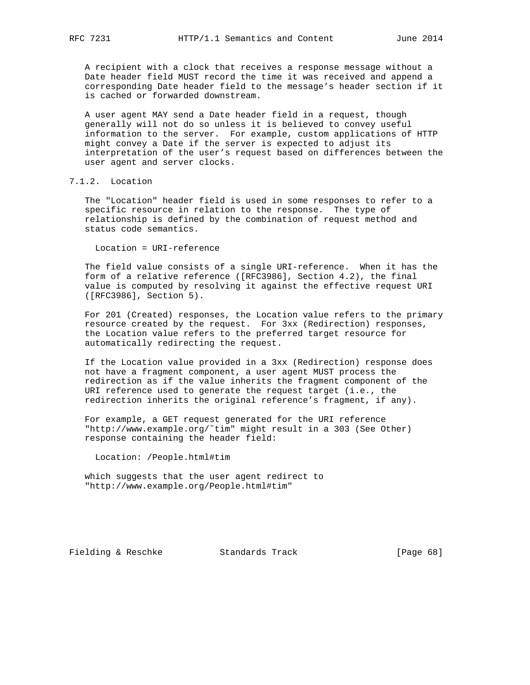A recipient with a clock that receives a response message without a Date header field MUST record the time it was received and append a corresponding Date header field to the message's header section if it is cached or forwarded downstream.

 A user agent MAY send a Date header field in a request, though generally will not do so unless it is believed to convey useful information to the server. For example, custom applications of HTTP might convey a Date if the server is expected to adjust its interpretation of the user's request based on differences between the user agent and server clocks.

# 7.1.2. Location

 The "Location" header field is used in some responses to refer to a specific resource in relation to the response. The type of relationship is defined by the combination of request method and status code semantics.

Location = URI-reference

 The field value consists of a single URI-reference. When it has the form of a relative reference ([RFC3986], Section 4.2), the final value is computed by resolving it against the effective request URI ([RFC3986], Section 5).

 For 201 (Created) responses, the Location value refers to the primary resource created by the request. For 3xx (Redirection) responses, the Location value refers to the preferred target resource for automatically redirecting the request.

 If the Location value provided in a 3xx (Redirection) response does not have a fragment component, a user agent MUST process the redirection as if the value inherits the fragment component of the URI reference used to generate the request target (i.e., the redirection inherits the original reference's fragment, if any).

 For example, a GET request generated for the URI reference "http://www.example.org/˜tim" might result in a 303 (See Other) response containing the header field:

Location: /People.html#tim

 which suggests that the user agent redirect to "http://www.example.org/People.html#tim"

Fielding & Reschke Standards Track [Page 68]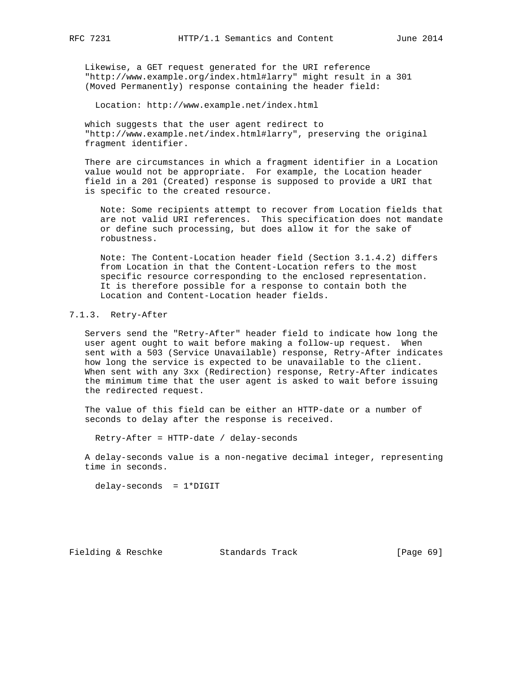Likewise, a GET request generated for the URI reference "http://www.example.org/index.html#larry" might result in a 301 (Moved Permanently) response containing the header field:

Location: http://www.example.net/index.html

 which suggests that the user agent redirect to "http://www.example.net/index.html#larry", preserving the original fragment identifier.

 There are circumstances in which a fragment identifier in a Location value would not be appropriate. For example, the Location header field in a 201 (Created) response is supposed to provide a URI that is specific to the created resource.

 Note: Some recipients attempt to recover from Location fields that are not valid URI references. This specification does not mandate or define such processing, but does allow it for the sake of robustness.

 Note: The Content-Location header field (Section 3.1.4.2) differs from Location in that the Content-Location refers to the most specific resource corresponding to the enclosed representation. It is therefore possible for a response to contain both the Location and Content-Location header fields.

# 7.1.3. Retry-After

 Servers send the "Retry-After" header field to indicate how long the user agent ought to wait before making a follow-up request. When sent with a 503 (Service Unavailable) response, Retry-After indicates how long the service is expected to be unavailable to the client. When sent with any 3xx (Redirection) response, Retry-After indicates the minimum time that the user agent is asked to wait before issuing the redirected request.

 The value of this field can be either an HTTP-date or a number of seconds to delay after the response is received.

Retry-After = HTTP-date / delay-seconds

 A delay-seconds value is a non-negative decimal integer, representing time in seconds.

delay-seconds = 1\*DIGIT

Fielding & Reschke Standards Track [Page 69]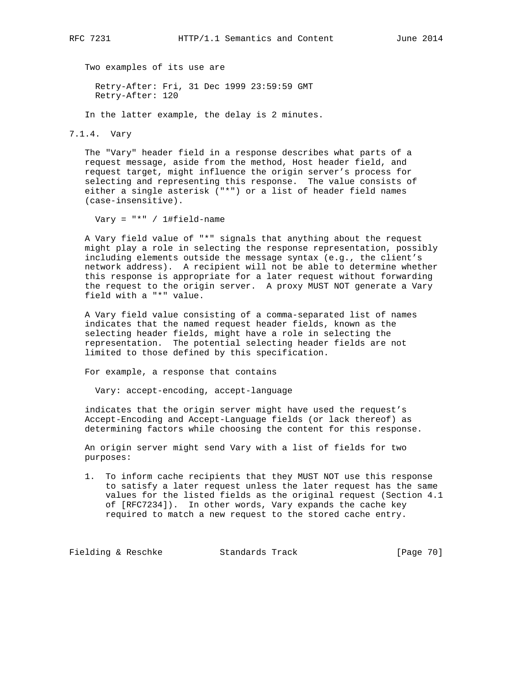Two examples of its use are

 Retry-After: Fri, 31 Dec 1999 23:59:59 GMT Retry-After: 120

In the latter example, the delay is 2 minutes.

7.1.4. Vary

 The "Vary" header field in a response describes what parts of a request message, aside from the method, Host header field, and request target, might influence the origin server's process for selecting and representing this response. The value consists of either a single asterisk ("\*") or a list of header field names (case-insensitive).

Vary = "\*" / 1#field-name

 A Vary field value of "\*" signals that anything about the request might play a role in selecting the response representation, possibly including elements outside the message syntax (e.g., the client's network address). A recipient will not be able to determine whether this response is appropriate for a later request without forwarding the request to the origin server. A proxy MUST NOT generate a Vary field with a "\*" value.

 A Vary field value consisting of a comma-separated list of names indicates that the named request header fields, known as the selecting header fields, might have a role in selecting the representation. The potential selecting header fields are not limited to those defined by this specification.

For example, a response that contains

Vary: accept-encoding, accept-language

 indicates that the origin server might have used the request's Accept-Encoding and Accept-Language fields (or lack thereof) as determining factors while choosing the content for this response.

 An origin server might send Vary with a list of fields for two purposes:

 1. To inform cache recipients that they MUST NOT use this response to satisfy a later request unless the later request has the same values for the listed fields as the original request (Section 4.1 of [RFC7234]). In other words, Vary expands the cache key required to match a new request to the stored cache entry.

Fielding & Reschke Standards Track [Page 70]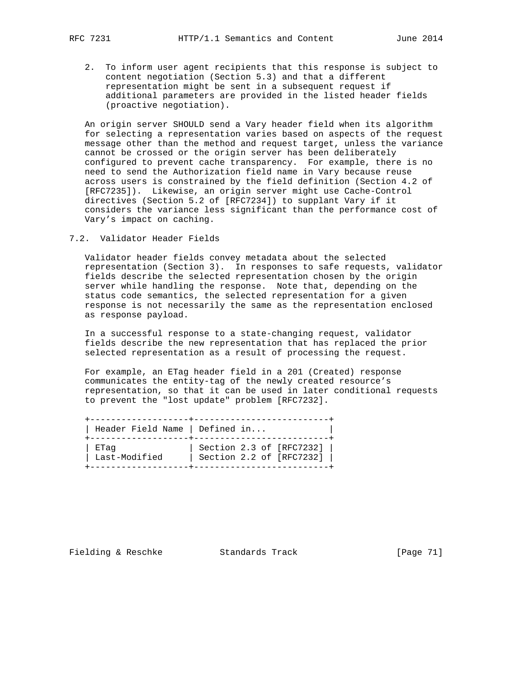2. To inform user agent recipients that this response is subject to content negotiation (Section 5.3) and that a different representation might be sent in a subsequent request if additional parameters are provided in the listed header fields (proactive negotiation).

 An origin server SHOULD send a Vary header field when its algorithm for selecting a representation varies based on aspects of the request message other than the method and request target, unless the variance cannot be crossed or the origin server has been deliberately configured to prevent cache transparency. For example, there is no need to send the Authorization field name in Vary because reuse across users is constrained by the field definition (Section 4.2 of [RFC7235]). Likewise, an origin server might use Cache-Control directives (Section 5.2 of [RFC7234]) to supplant Vary if it considers the variance less significant than the performance cost of Vary's impact on caching.

## 7.2. Validator Header Fields

 Validator header fields convey metadata about the selected representation (Section 3). In responses to safe requests, validator fields describe the selected representation chosen by the origin server while handling the response. Note that, depending on the status code semantics, the selected representation for a given response is not necessarily the same as the representation enclosed as response payload.

 In a successful response to a state-changing request, validator fields describe the new representation that has replaced the prior selected representation as a result of processing the request.

 For example, an ETag header field in a 201 (Created) response communicates the entity-tag of the newly created resource's representation, so that it can be used in later conditional requests to prevent the "lost update" problem [RFC7232].

| Header Field Name   Defined in |                          |
|--------------------------------|--------------------------|
| ETaq                           | Section 2.3 of [RFC7232] |
| Last-Modified                  | Section 2.2 of [RFC7232] |

Fielding & Reschke Standards Track [Page 71]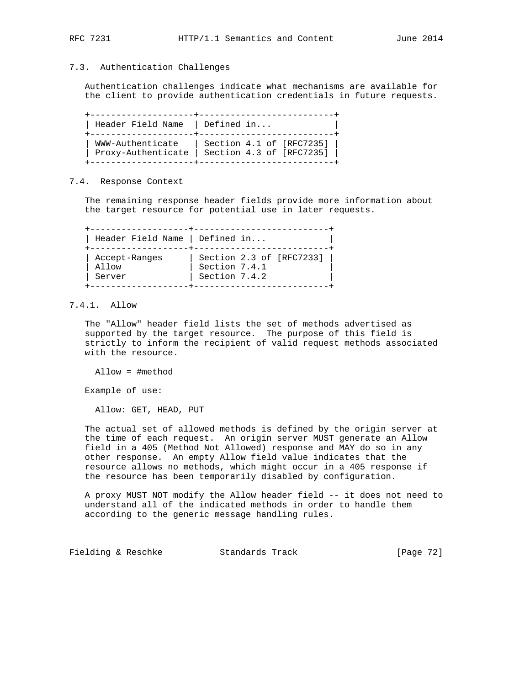## 7.3. Authentication Challenges

 Authentication challenges indicate what mechanisms are available for the client to provide authentication credentials in future requests.

 +--------------------+--------------------------+ | Header Field Name | Defined in... +--------------------+--------------------------+ | WWW-Authenticate | Section 4.1 of [RFC7235] | | Proxy-Authenticate | Section 4.3 of [RFC7235] | +--------------------+--------------------------+

# 7.4. Response Context

 The remaining response header fields provide more information about the target resource for potential use in later requests.

 +-------------------+--------------------------+ | Header Field Name | Defined in... | +-------------------+--------------------------+ | Accept-Ranges | Section 2.3 of [RFC7233] | | Allow | Section 7.4.1 | | Server | Section 7.4.2 | +-------------------+--------------------------+

# 7.4.1. Allow

 The "Allow" header field lists the set of methods advertised as supported by the target resource. The purpose of this field is strictly to inform the recipient of valid request methods associated with the resource.

Allow = #method

Example of use:

Allow: GET, HEAD, PUT

 The actual set of allowed methods is defined by the origin server at the time of each request. An origin server MUST generate an Allow field in a 405 (Method Not Allowed) response and MAY do so in any other response. An empty Allow field value indicates that the resource allows no methods, which might occur in a 405 response if the resource has been temporarily disabled by configuration.

 A proxy MUST NOT modify the Allow header field -- it does not need to understand all of the indicated methods in order to handle them according to the generic message handling rules.

Fielding & Reschke Standards Track [Page 72]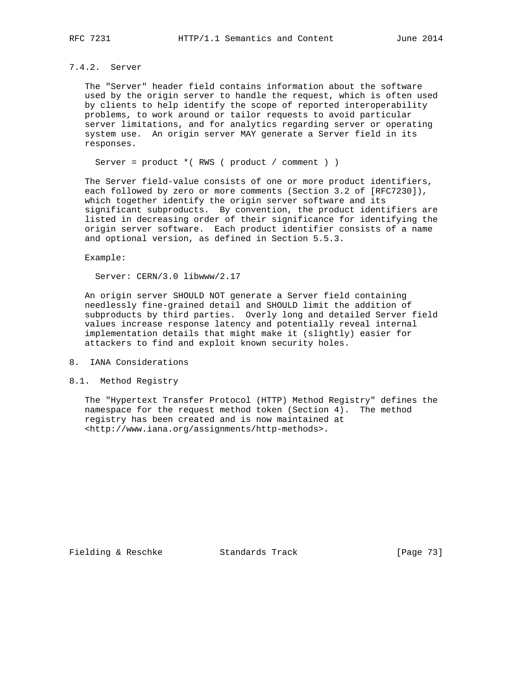# 7.4.2. Server

 The "Server" header field contains information about the software used by the origin server to handle the request, which is often used by clients to help identify the scope of reported interoperability problems, to work around or tailor requests to avoid particular server limitations, and for analytics regarding server or operating system use. An origin server MAY generate a Server field in its responses.

Server = product \*( RWS ( product / comment ) )

 The Server field-value consists of one or more product identifiers, each followed by zero or more comments (Section 3.2 of [RFC7230]), which together identify the origin server software and its significant subproducts. By convention, the product identifiers are listed in decreasing order of their significance for identifying the origin server software. Each product identifier consists of a name and optional version, as defined in Section 5.5.3.

#### Example:

Server: CERN/3.0 libwww/2.17

 An origin server SHOULD NOT generate a Server field containing needlessly fine-grained detail and SHOULD limit the addition of subproducts by third parties. Overly long and detailed Server field values increase response latency and potentially reveal internal implementation details that might make it (slightly) easier for attackers to find and exploit known security holes.

- 8. IANA Considerations
- 8.1. Method Registry

 The "Hypertext Transfer Protocol (HTTP) Method Registry" defines the namespace for the request method token (Section 4). The method registry has been created and is now maintained at <http://www.iana.org/assignments/http-methods>.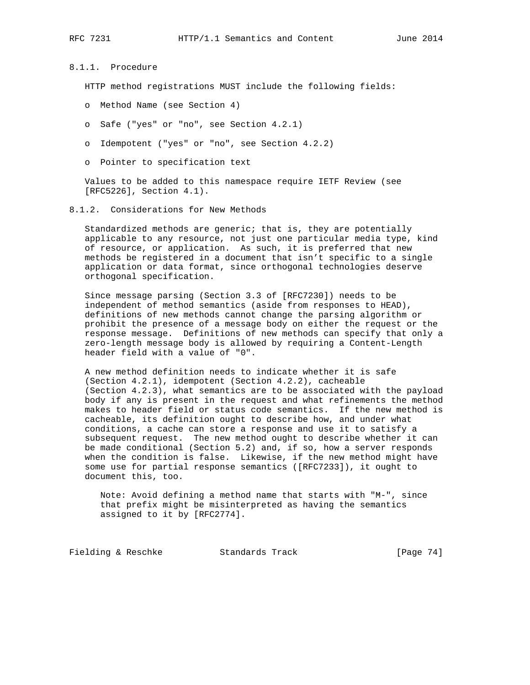8.1.1. Procedure

HTTP method registrations MUST include the following fields:

- o Method Name (see Section 4)
- o Safe ("yes" or "no", see Section 4.2.1)
- o Idempotent ("yes" or "no", see Section 4.2.2)
- o Pointer to specification text

 Values to be added to this namespace require IETF Review (see [RFC5226], Section 4.1).

8.1.2. Considerations for New Methods

 Standardized methods are generic; that is, they are potentially applicable to any resource, not just one particular media type, kind of resource, or application. As such, it is preferred that new methods be registered in a document that isn't specific to a single application or data format, since orthogonal technologies deserve orthogonal specification.

 Since message parsing (Section 3.3 of [RFC7230]) needs to be independent of method semantics (aside from responses to HEAD), definitions of new methods cannot change the parsing algorithm or prohibit the presence of a message body on either the request or the response message. Definitions of new methods can specify that only a zero-length message body is allowed by requiring a Content-Length header field with a value of "0".

 A new method definition needs to indicate whether it is safe (Section 4.2.1), idempotent (Section 4.2.2), cacheable (Section 4.2.3), what semantics are to be associated with the payload body if any is present in the request and what refinements the method makes to header field or status code semantics. If the new method is cacheable, its definition ought to describe how, and under what conditions, a cache can store a response and use it to satisfy a subsequent request. The new method ought to describe whether it can be made conditional (Section 5.2) and, if so, how a server responds when the condition is false. Likewise, if the new method might have some use for partial response semantics ([RFC7233]), it ought to document this, too.

 Note: Avoid defining a method name that starts with "M-", since that prefix might be misinterpreted as having the semantics assigned to it by [RFC2774].

Fielding & Reschke Standards Track [Page 74]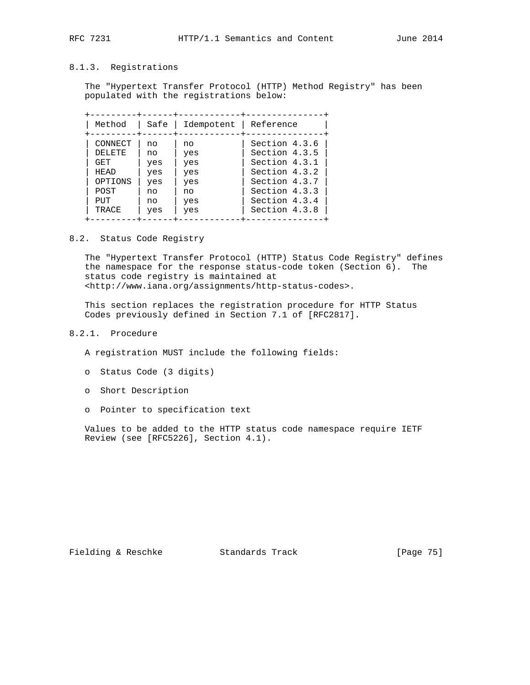# 8.1.3. Registrations

 The "Hypertext Transfer Protocol (HTTP) Method Registry" has been populated with the registrations below:

| Method  | Safe | Idempotent | Reference     |
|---------|------|------------|---------------|
| CONNECT | no   | no         | Section 4.3.6 |
| DELETE. | no   | yes        | Section 4.3.5 |
| GET.    | yes  | yes        | Section 4.3.1 |
| HEAD    | yes  | yes        | Section 4.3.2 |
| OPTIONS | yes  | yes        | Section 4.3.7 |
| POST    | no   | no         | Section 4.3.3 |
| PUT     | no   | yes        | Section 4.3.4 |
| TRACE   | yes  | yes        | Section 4.3.8 |

#### 8.2. Status Code Registry

 The "Hypertext Transfer Protocol (HTTP) Status Code Registry" defines the namespace for the response status-code token (Section 6). The status code registry is maintained at <http://www.iana.org/assignments/http-status-codes>.

 This section replaces the registration procedure for HTTP Status Codes previously defined in Section 7.1 of [RFC2817].

# 8.2.1. Procedure

A registration MUST include the following fields:

- o Status Code (3 digits)
- o Short Description
- o Pointer to specification text

 Values to be added to the HTTP status code namespace require IETF Review (see [RFC5226], Section 4.1).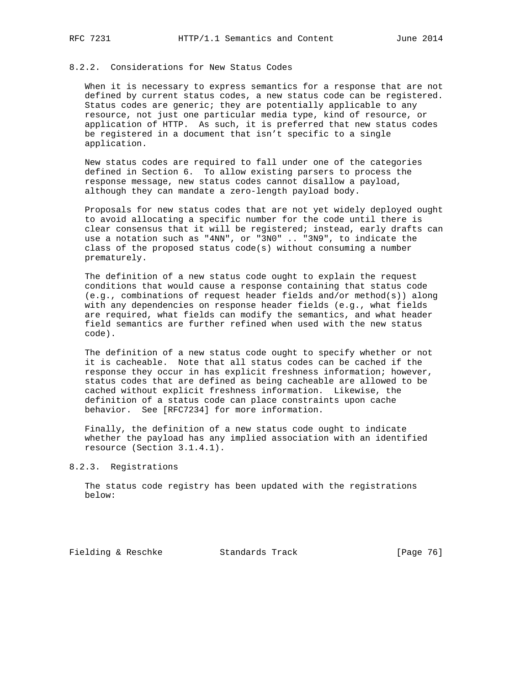### 8.2.2. Considerations for New Status Codes

 When it is necessary to express semantics for a response that are not defined by current status codes, a new status code can be registered. Status codes are generic; they are potentially applicable to any resource, not just one particular media type, kind of resource, or application of HTTP. As such, it is preferred that new status codes be registered in a document that isn't specific to a single application.

 New status codes are required to fall under one of the categories defined in Section 6. To allow existing parsers to process the response message, new status codes cannot disallow a payload, although they can mandate a zero-length payload body.

 Proposals for new status codes that are not yet widely deployed ought to avoid allocating a specific number for the code until there is clear consensus that it will be registered; instead, early drafts can use a notation such as "4NN", or "3N0" .. "3N9", to indicate the class of the proposed status code(s) without consuming a number prematurely.

 The definition of a new status code ought to explain the request conditions that would cause a response containing that status code (e.g., combinations of request header fields and/or method(s)) along with any dependencies on response header fields (e.g., what fields are required, what fields can modify the semantics, and what header field semantics are further refined when used with the new status code).

 The definition of a new status code ought to specify whether or not it is cacheable. Note that all status codes can be cached if the response they occur in has explicit freshness information; however, status codes that are defined as being cacheable are allowed to be cached without explicit freshness information. Likewise, the definition of a status code can place constraints upon cache behavior. See [RFC7234] for more information.

 Finally, the definition of a new status code ought to indicate whether the payload has any implied association with an identified resource (Section 3.1.4.1).

#### 8.2.3. Registrations

 The status code registry has been updated with the registrations below:

Fielding & Reschke Standards Track [Page 76]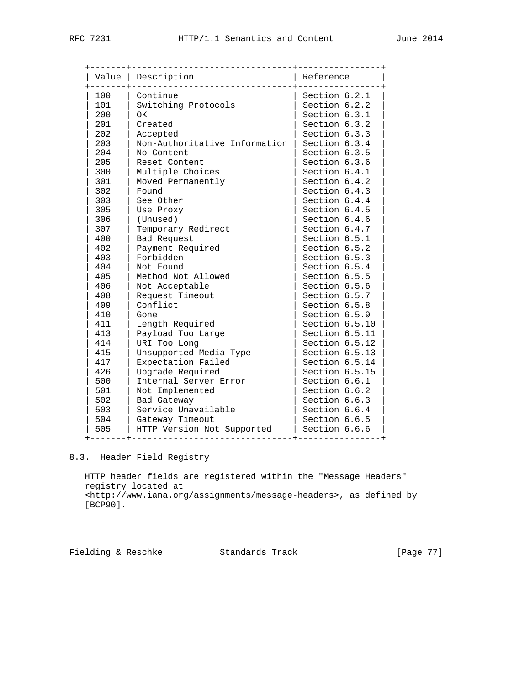|     | Value   Description           | Reference      |
|-----|-------------------------------|----------------|
| 100 | Continue                      | Section 6.2.1  |
| 101 | Switching Protocols           | Section 6.2.2  |
| 200 | OK                            | Section 6.3.1  |
| 201 | Created                       | Section 6.3.2  |
| 202 | Accepted                      | Section 6.3.3  |
| 203 | Non-Authoritative Information | Section 6.3.4  |
| 204 | No Content                    | Section 6.3.5  |
| 205 | Reset Content                 | Section 6.3.6  |
| 300 | Multiple Choices              | Section 6.4.1  |
| 301 | Moved Permanently             | Section 6.4.2  |
| 302 | Found                         | Section 6.4.3  |
| 303 | See Other                     | Section 6.4.4  |
| 305 | Use Proxy                     | Section 6.4.5  |
| 306 | (Unused)                      | Section 6.4.6  |
| 307 | Temporary Redirect            | Section 6.4.7  |
| 400 | Bad Request                   | Section 6.5.1  |
| 402 | Payment Required              | Section 6.5.2  |
| 403 | Forbidden                     | Section 6.5.3  |
| 404 | Not Found                     | Section 6.5.4  |
| 405 | Method Not Allowed            | Section 6.5.5  |
| 406 | Not Acceptable                | Section 6.5.6  |
| 408 | Request Timeout               | Section 6.5.7  |
| 409 | Conflict                      | Section 6.5.8  |
| 410 | Gone                          | Section 6.5.9  |
| 411 | Length Required               | Section 6.5.10 |
| 413 | Payload Too Large             | Section 6.5.11 |
| 414 | URI Too Long                  | Section 6.5.12 |
| 415 | Unsupported Media Type        | Section 6.5.13 |
| 417 | Expectation Failed            | Section 6.5.14 |
| 426 | Upgrade Required              | Section 6.5.15 |
| 500 | Internal Server Error         | Section 6.6.1  |
| 501 | Not Implemented               | Section 6.6.2  |
| 502 | Bad Gateway                   | Section 6.6.3  |
| 503 | Service Unavailable           | Section 6.6.4  |
| 504 | Gateway Timeout               | Section 6.6.5  |
| 505 | HTTP Version Not Supported    | Section 6.6.6  |

# 8.3. Header Field Registry

 HTTP header fields are registered within the "Message Headers" registry located at <http://www.iana.org/assignments/message-headers>, as defined by [BCP90].

Fielding & Reschke Standards Track [Page 77]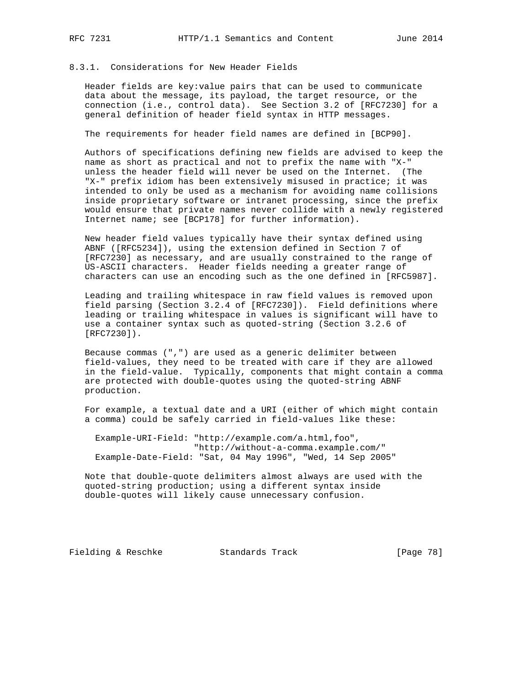### 8.3.1. Considerations for New Header Fields

 Header fields are key:value pairs that can be used to communicate data about the message, its payload, the target resource, or the connection (i.e., control data). See Section 3.2 of [RFC7230] for a general definition of header field syntax in HTTP messages.

The requirements for header field names are defined in [BCP90].

 Authors of specifications defining new fields are advised to keep the name as short as practical and not to prefix the name with "X-" unless the header field will never be used on the Internet. (The "X-" prefix idiom has been extensively misused in practice; it was intended to only be used as a mechanism for avoiding name collisions inside proprietary software or intranet processing, since the prefix would ensure that private names never collide with a newly registered Internet name; see [BCP178] for further information).

 New header field values typically have their syntax defined using ABNF ([RFC5234]), using the extension defined in Section 7 of [RFC7230] as necessary, and are usually constrained to the range of US-ASCII characters. Header fields needing a greater range of characters can use an encoding such as the one defined in [RFC5987].

 Leading and trailing whitespace in raw field values is removed upon field parsing (Section 3.2.4 of [RFC7230]). Field definitions where leading or trailing whitespace in values is significant will have to use a container syntax such as quoted-string (Section 3.2.6 of [RFC7230]).

 Because commas (",") are used as a generic delimiter between field-values, they need to be treated with care if they are allowed in the field-value. Typically, components that might contain a comma are protected with double-quotes using the quoted-string ABNF production.

 For example, a textual date and a URI (either of which might contain a comma) could be safely carried in field-values like these:

 Example-URI-Field: "http://example.com/a.html,foo", "http://without-a-comma.example.com/" Example-Date-Field: "Sat, 04 May 1996", "Wed, 14 Sep 2005"

 Note that double-quote delimiters almost always are used with the quoted-string production; using a different syntax inside double-quotes will likely cause unnecessary confusion.

Fielding & Reschke Standards Track [Page 78]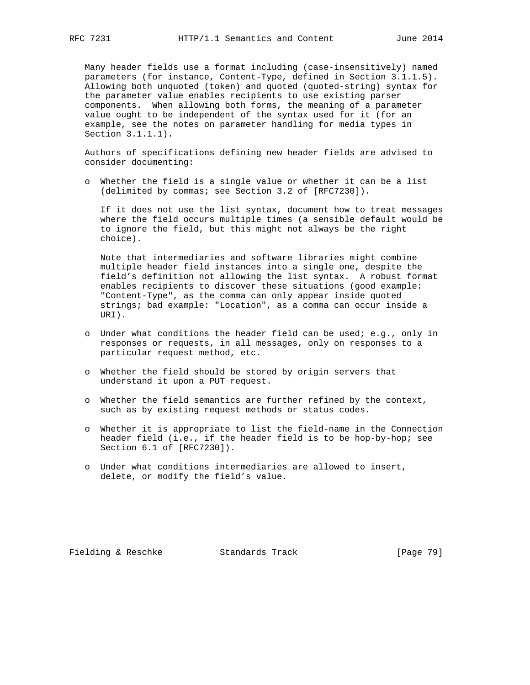Many header fields use a format including (case-insensitively) named parameters (for instance, Content-Type, defined in Section 3.1.1.5). Allowing both unquoted (token) and quoted (quoted-string) syntax for the parameter value enables recipients to use existing parser components. When allowing both forms, the meaning of a parameter value ought to be independent of the syntax used for it (for an example, see the notes on parameter handling for media types in Section 3.1.1.1).

 Authors of specifications defining new header fields are advised to consider documenting:

 o Whether the field is a single value or whether it can be a list (delimited by commas; see Section 3.2 of [RFC7230]).

 If it does not use the list syntax, document how to treat messages where the field occurs multiple times (a sensible default would be to ignore the field, but this might not always be the right choice).

 Note that intermediaries and software libraries might combine multiple header field instances into a single one, despite the field's definition not allowing the list syntax. A robust format enables recipients to discover these situations (good example: "Content-Type", as the comma can only appear inside quoted strings; bad example: "Location", as a comma can occur inside a URI).

- o Under what conditions the header field can be used; e.g., only in responses or requests, in all messages, only on responses to a particular request method, etc.
- o Whether the field should be stored by origin servers that understand it upon a PUT request.
- o Whether the field semantics are further refined by the context, such as by existing request methods or status codes.
- o Whether it is appropriate to list the field-name in the Connection header field (i.e., if the header field is to be hop-by-hop; see Section 6.1 of [RFC7230]).
- o Under what conditions intermediaries are allowed to insert, delete, or modify the field's value.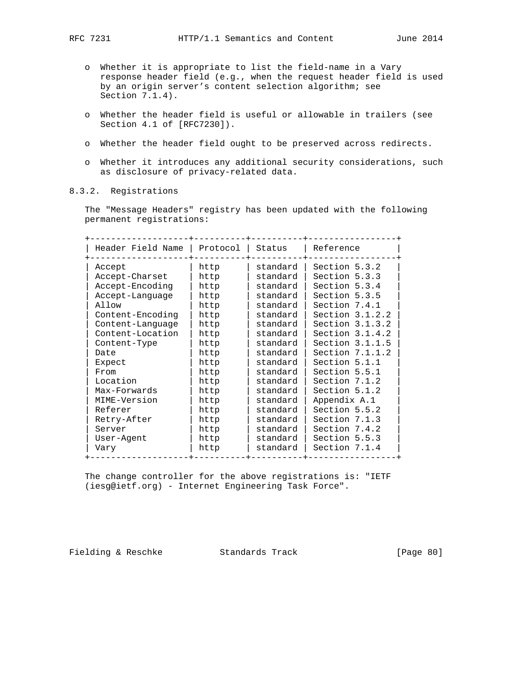- o Whether it is appropriate to list the field-name in a Vary response header field (e.g., when the request header field is used by an origin server's content selection algorithm; see Section 7.1.4).
- o Whether the header field is useful or allowable in trailers (see Section 4.1 of [RFC7230]).
- o Whether the header field ought to be preserved across redirects.
- o Whether it introduces any additional security considerations, such as disclosure of privacy-related data.

# 8.3.2. Registrations

 The "Message Headers" registry has been updated with the following permanent registrations:

| Header Field Name | Protocol | Status   | Reference         |
|-------------------|----------|----------|-------------------|
| Accept            | http     | standard | Section 5.3.2     |
| Accept-Charset    | http     | standard | Section 5.3.3     |
| Accept-Encoding   | http     | standard | Section 5.3.4     |
| Accept-Language   | http     | standard | Section 5.3.5     |
| Allow             | http     | standard | Section 7.4.1     |
| Content-Encoding  | http     | standard | Section $3.1.2.2$ |
| Content-Language  | http     | standard | Section $3.1.3.2$ |
| Content-Location  | http     | standard | Section $3.1.4.2$ |
| Content-Type      | http     | standard | Section $3.1.1.5$ |
| Date              | http     | standard | Section $7.1.1.2$ |
| Expect            | http     | standard | Section 5.1.1     |
| From              | http     | standard | Section 5.5.1     |
| Location          | http     | standard | Section 7.1.2     |
| Max-Forwards      | http     | standard | Section 5.1.2     |
| MIME-Version      | http     | standard | Appendix A.1      |
| Referer           | http     | standard | Section 5.5.2     |
| Retry-After       | http     | standard | Section 7.1.3     |
| Server            | http     | standard | Section 7.4.2     |
| User-Agent        | http     | standard | Section 5.5.3     |
| Vary              | http     | standard | Section 7.1.4     |

 The change controller for the above registrations is: "IETF (iesg@ietf.org) - Internet Engineering Task Force".

Fielding & Reschke Standards Track [Page 80]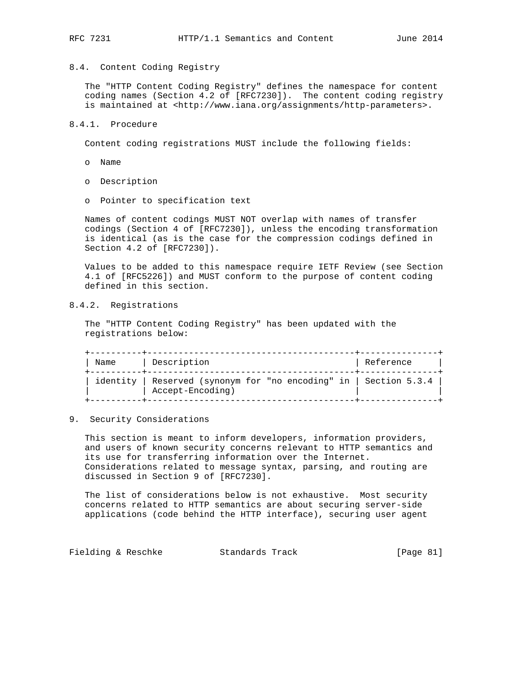#### 8.4. Content Coding Registry

 The "HTTP Content Coding Registry" defines the namespace for content coding names (Section 4.2 of [RFC7230]). The content coding registry is maintained at <http://www.iana.org/assignments/http-parameters>.

#### 8.4.1. Procedure

Content coding registrations MUST include the following fields:

- o Name
- o Description
- o Pointer to specification text

 Names of content codings MUST NOT overlap with names of transfer codings (Section 4 of [RFC7230]), unless the encoding transformation is identical (as is the case for the compression codings defined in Section 4.2 of [RFC7230]).

 Values to be added to this namespace require IETF Review (see Section 4.1 of [RFC5226]) and MUST conform to the purpose of content coding defined in this section.

# 8.4.2. Registrations

 The "HTTP Content Coding Registry" has been updated with the registrations below:

| Name     | Description                                                                    | Reference |
|----------|--------------------------------------------------------------------------------|-----------|
| identity | Reserved (synonym for "no encoding" in   Section $5.3.4$  <br>Accept-Encoding) |           |

9. Security Considerations

 This section is meant to inform developers, information providers, and users of known security concerns relevant to HTTP semantics and its use for transferring information over the Internet. Considerations related to message syntax, parsing, and routing are discussed in Section 9 of [RFC7230].

 The list of considerations below is not exhaustive. Most security concerns related to HTTP semantics are about securing server-side applications (code behind the HTTP interface), securing user agent

Fielding & Reschke Standards Track [Page 81]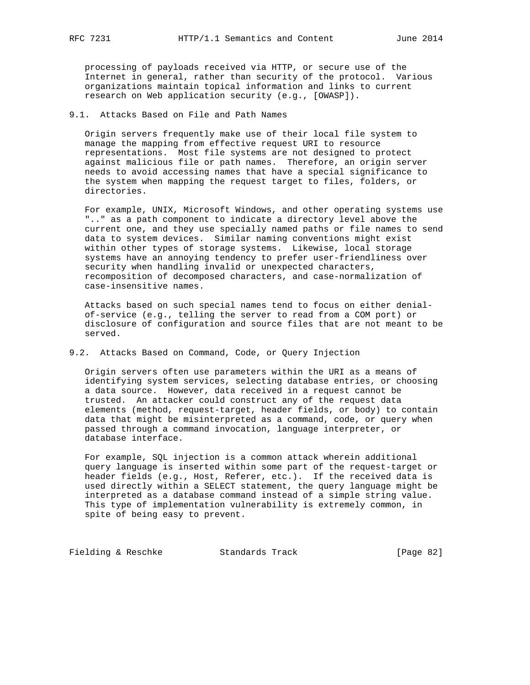processing of payloads received via HTTP, or secure use of the Internet in general, rather than security of the protocol. Various organizations maintain topical information and links to current research on Web application security (e.g., [OWASP]).

#### 9.1. Attacks Based on File and Path Names

 Origin servers frequently make use of their local file system to manage the mapping from effective request URI to resource representations. Most file systems are not designed to protect against malicious file or path names. Therefore, an origin server needs to avoid accessing names that have a special significance to the system when mapping the request target to files, folders, or directories.

 For example, UNIX, Microsoft Windows, and other operating systems use ".." as a path component to indicate a directory level above the current one, and they use specially named paths or file names to send data to system devices. Similar naming conventions might exist within other types of storage systems. Likewise, local storage systems have an annoying tendency to prefer user-friendliness over security when handling invalid or unexpected characters, recomposition of decomposed characters, and case-normalization of case-insensitive names.

 Attacks based on such special names tend to focus on either denial of-service (e.g., telling the server to read from a COM port) or disclosure of configuration and source files that are not meant to be served.

#### 9.2. Attacks Based on Command, Code, or Query Injection

 Origin servers often use parameters within the URI as a means of identifying system services, selecting database entries, or choosing a data source. However, data received in a request cannot be trusted. An attacker could construct any of the request data elements (method, request-target, header fields, or body) to contain data that might be misinterpreted as a command, code, or query when passed through a command invocation, language interpreter, or database interface.

 For example, SQL injection is a common attack wherein additional query language is inserted within some part of the request-target or header fields (e.g., Host, Referer, etc.). If the received data is used directly within a SELECT statement, the query language might be interpreted as a database command instead of a simple string value. This type of implementation vulnerability is extremely common, in spite of being easy to prevent.

Fielding & Reschke Standards Track [Page 82]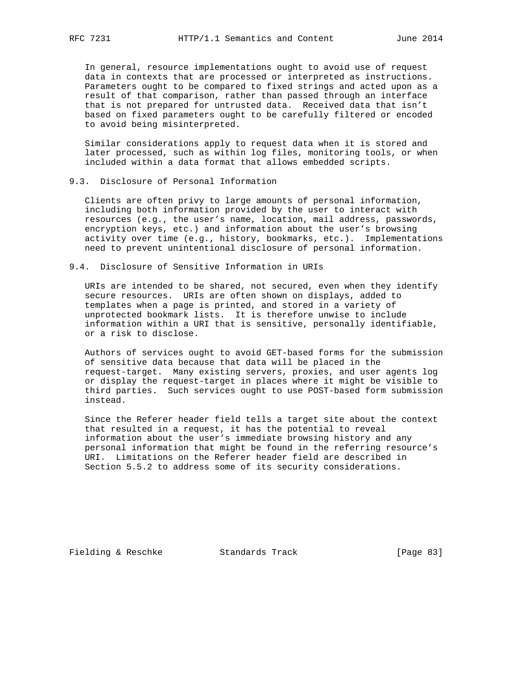In general, resource implementations ought to avoid use of request data in contexts that are processed or interpreted as instructions. Parameters ought to be compared to fixed strings and acted upon as a result of that comparison, rather than passed through an interface that is not prepared for untrusted data. Received data that isn't based on fixed parameters ought to be carefully filtered or encoded to avoid being misinterpreted.

 Similar considerations apply to request data when it is stored and later processed, such as within log files, monitoring tools, or when included within a data format that allows embedded scripts.

### 9.3. Disclosure of Personal Information

 Clients are often privy to large amounts of personal information, including both information provided by the user to interact with resources (e.g., the user's name, location, mail address, passwords, encryption keys, etc.) and information about the user's browsing activity over time (e.g., history, bookmarks, etc.). Implementations need to prevent unintentional disclosure of personal information.

#### 9.4. Disclosure of Sensitive Information in URIs

 URIs are intended to be shared, not secured, even when they identify secure resources. URIs are often shown on displays, added to templates when a page is printed, and stored in a variety of unprotected bookmark lists. It is therefore unwise to include information within a URI that is sensitive, personally identifiable, or a risk to disclose.

 Authors of services ought to avoid GET-based forms for the submission of sensitive data because that data will be placed in the request-target. Many existing servers, proxies, and user agents log or display the request-target in places where it might be visible to third parties. Such services ought to use POST-based form submission instead.

 Since the Referer header field tells a target site about the context that resulted in a request, it has the potential to reveal information about the user's immediate browsing history and any personal information that might be found in the referring resource's URI. Limitations on the Referer header field are described in Section 5.5.2 to address some of its security considerations.

Fielding & Reschke Standards Track [Page 83]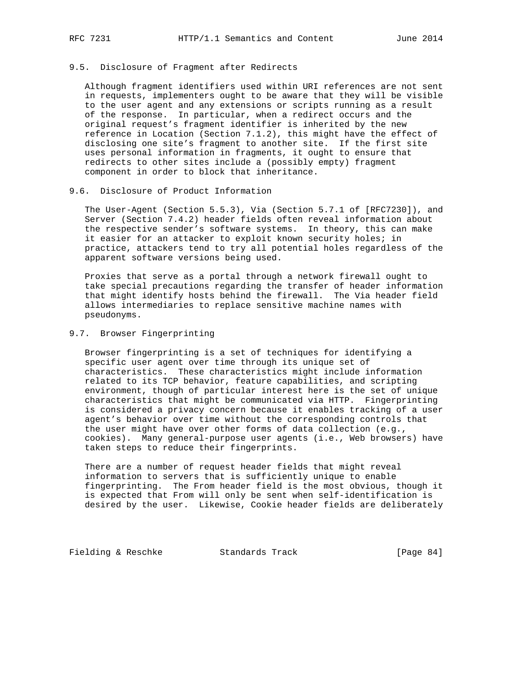### 9.5. Disclosure of Fragment after Redirects

 Although fragment identifiers used within URI references are not sent in requests, implementers ought to be aware that they will be visible to the user agent and any extensions or scripts running as a result of the response. In particular, when a redirect occurs and the original request's fragment identifier is inherited by the new reference in Location (Section 7.1.2), this might have the effect of disclosing one site's fragment to another site. If the first site uses personal information in fragments, it ought to ensure that redirects to other sites include a (possibly empty) fragment component in order to block that inheritance.

# 9.6. Disclosure of Product Information

 The User-Agent (Section 5.5.3), Via (Section 5.7.1 of [RFC7230]), and Server (Section 7.4.2) header fields often reveal information about the respective sender's software systems. In theory, this can make it easier for an attacker to exploit known security holes; in practice, attackers tend to try all potential holes regardless of the apparent software versions being used.

 Proxies that serve as a portal through a network firewall ought to take special precautions regarding the transfer of header information that might identify hosts behind the firewall. The Via header field allows intermediaries to replace sensitive machine names with pseudonyms.

#### 9.7. Browser Fingerprinting

 Browser fingerprinting is a set of techniques for identifying a specific user agent over time through its unique set of characteristics. These characteristics might include information related to its TCP behavior, feature capabilities, and scripting environment, though of particular interest here is the set of unique characteristics that might be communicated via HTTP. Fingerprinting is considered a privacy concern because it enables tracking of a user agent's behavior over time without the corresponding controls that the user might have over other forms of data collection (e.g., cookies). Many general-purpose user agents (i.e., Web browsers) have taken steps to reduce their fingerprints.

 There are a number of request header fields that might reveal information to servers that is sufficiently unique to enable fingerprinting. The From header field is the most obvious, though it is expected that From will only be sent when self-identification is desired by the user. Likewise, Cookie header fields are deliberately

Fielding & Reschke Standards Track [Page 84]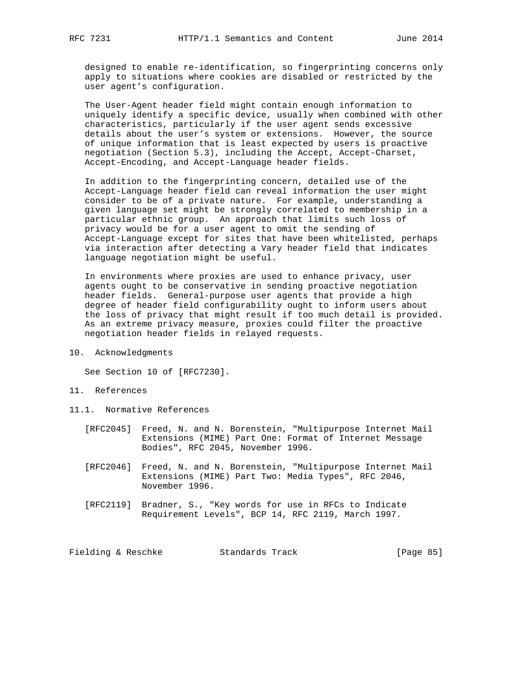designed to enable re-identification, so fingerprinting concerns only apply to situations where cookies are disabled or restricted by the user agent's configuration.

 The User-Agent header field might contain enough information to uniquely identify a specific device, usually when combined with other characteristics, particularly if the user agent sends excessive details about the user's system or extensions. However, the source of unique information that is least expected by users is proactive negotiation (Section 5.3), including the Accept, Accept-Charset, Accept-Encoding, and Accept-Language header fields.

 In addition to the fingerprinting concern, detailed use of the Accept-Language header field can reveal information the user might consider to be of a private nature. For example, understanding a given language set might be strongly correlated to membership in a particular ethnic group. An approach that limits such loss of privacy would be for a user agent to omit the sending of Accept-Language except for sites that have been whitelisted, perhaps via interaction after detecting a Vary header field that indicates language negotiation might be useful.

 In environments where proxies are used to enhance privacy, user agents ought to be conservative in sending proactive negotiation header fields. General-purpose user agents that provide a high degree of header field configurability ought to inform users about the loss of privacy that might result if too much detail is provided. As an extreme privacy measure, proxies could filter the proactive negotiation header fields in relayed requests.

10. Acknowledgments

See Section 10 of [RFC7230].

- 11. References
- 11.1. Normative References
	- [RFC2045] Freed, N. and N. Borenstein, "Multipurpose Internet Mail Extensions (MIME) Part One: Format of Internet Message Bodies", RFC 2045, November 1996.
	- [RFC2046] Freed, N. and N. Borenstein, "Multipurpose Internet Mail Extensions (MIME) Part Two: Media Types", RFC 2046, November 1996.
	- [RFC2119] Bradner, S., "Key words for use in RFCs to Indicate Requirement Levels", BCP 14, RFC 2119, March 1997.

Fielding & Reschke Standards Track [Page 85]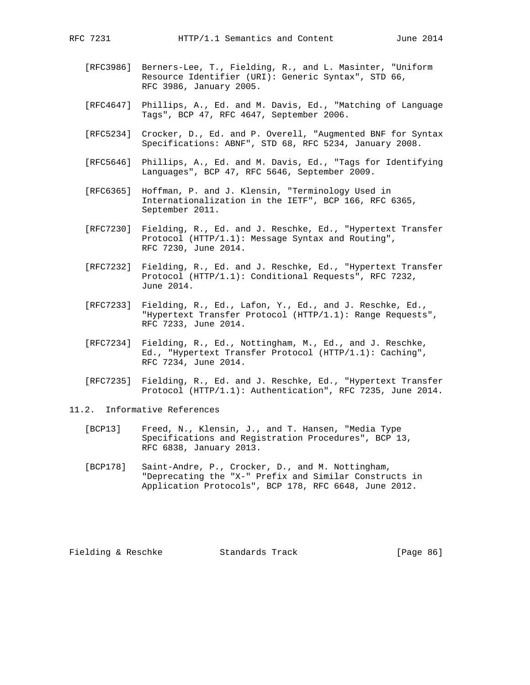- - [RFC3986] Berners-Lee, T., Fielding, R., and L. Masinter, "Uniform Resource Identifier (URI): Generic Syntax", STD 66, RFC 3986, January 2005.
	- [RFC4647] Phillips, A., Ed. and M. Davis, Ed., "Matching of Language Tags", BCP 47, RFC 4647, September 2006.
	- [RFC5234] Crocker, D., Ed. and P. Overell, "Augmented BNF for Syntax Specifications: ABNF", STD 68, RFC 5234, January 2008.
	- [RFC5646] Phillips, A., Ed. and M. Davis, Ed., "Tags for Identifying Languages", BCP 47, RFC 5646, September 2009.
	- [RFC6365] Hoffman, P. and J. Klensin, "Terminology Used in Internationalization in the IETF", BCP 166, RFC 6365, September 2011.
	- [RFC7230] Fielding, R., Ed. and J. Reschke, Ed., "Hypertext Transfer Protocol (HTTP/1.1): Message Syntax and Routing", RFC 7230, June 2014.
	- [RFC7232] Fielding, R., Ed. and J. Reschke, Ed., "Hypertext Transfer Protocol (HTTP/1.1): Conditional Requests", RFC 7232, June 2014.
	- [RFC7233] Fielding, R., Ed., Lafon, Y., Ed., and J. Reschke, Ed., "Hypertext Transfer Protocol (HTTP/1.1): Range Requests", RFC 7233, June 2014.
	- [RFC7234] Fielding, R., Ed., Nottingham, M., Ed., and J. Reschke, Ed., "Hypertext Transfer Protocol (HTTP/1.1): Caching", RFC 7234, June 2014.
	- [RFC7235] Fielding, R., Ed. and J. Reschke, Ed., "Hypertext Transfer Protocol (HTTP/1.1): Authentication", RFC 7235, June 2014.
- 11.2. Informative References
	- [BCP13] Freed, N., Klensin, J., and T. Hansen, "Media Type Specifications and Registration Procedures", BCP 13, RFC 6838, January 2013.
	- [BCP178] Saint-Andre, P., Crocker, D., and M. Nottingham, "Deprecating the "X-" Prefix and Similar Constructs in Application Protocols", BCP 178, RFC 6648, June 2012.

Fielding & Reschke Standards Track [Page 86]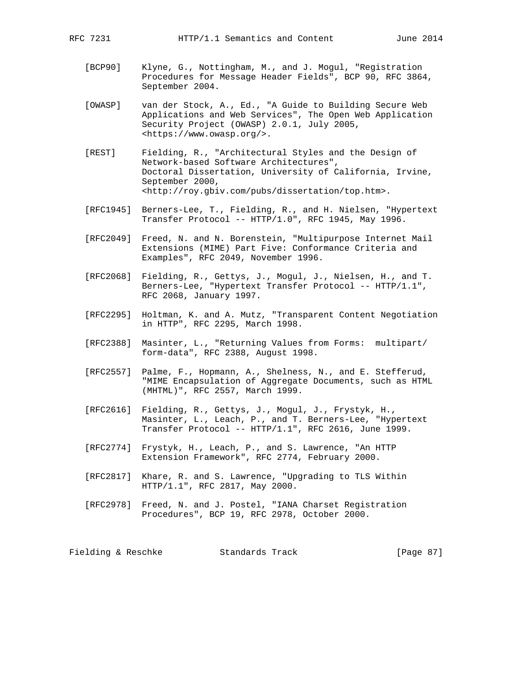- [BCP90] Klyne, G., Nottingham, M., and J. Mogul, "Registration Procedures for Message Header Fields", BCP 90, RFC 3864, September 2004.
- [OWASP] van der Stock, A., Ed., "A Guide to Building Secure Web Applications and Web Services", The Open Web Application Security Project (OWASP) 2.0.1, July 2005, <https://www.owasp.org/>.
- [REST] Fielding, R., "Architectural Styles and the Design of Network-based Software Architectures", Doctoral Dissertation, University of California, Irvine, September 2000, <http://roy.gbiv.com/pubs/dissertation/top.htm>.
- [RFC1945] Berners-Lee, T., Fielding, R., and H. Nielsen, "Hypertext Transfer Protocol -- HTTP/1.0", RFC 1945, May 1996.
- [RFC2049] Freed, N. and N. Borenstein, "Multipurpose Internet Mail Extensions (MIME) Part Five: Conformance Criteria and Examples", RFC 2049, November 1996.
- [RFC2068] Fielding, R., Gettys, J., Mogul, J., Nielsen, H., and T. Berners-Lee, "Hypertext Transfer Protocol -- HTTP/1.1", RFC 2068, January 1997.
- [RFC2295] Holtman, K. and A. Mutz, "Transparent Content Negotiation in HTTP", RFC 2295, March 1998.
- [RFC2388] Masinter, L., "Returning Values from Forms: multipart/ form-data", RFC 2388, August 1998.
- [RFC2557] Palme, F., Hopmann, A., Shelness, N., and E. Stefferud, "MIME Encapsulation of Aggregate Documents, such as HTML (MHTML)", RFC 2557, March 1999.
- [RFC2616] Fielding, R., Gettys, J., Mogul, J., Frystyk, H., Masinter, L., Leach, P., and T. Berners-Lee, "Hypertext Transfer Protocol -- HTTP/1.1", RFC 2616, June 1999.
- [RFC2774] Frystyk, H., Leach, P., and S. Lawrence, "An HTTP Extension Framework", RFC 2774, February 2000.
- [RFC2817] Khare, R. and S. Lawrence, "Upgrading to TLS Within HTTP/1.1", RFC 2817, May 2000.
- [RFC2978] Freed, N. and J. Postel, "IANA Charset Registration Procedures", BCP 19, RFC 2978, October 2000.

Fielding & Reschke Standards Track [Page 87]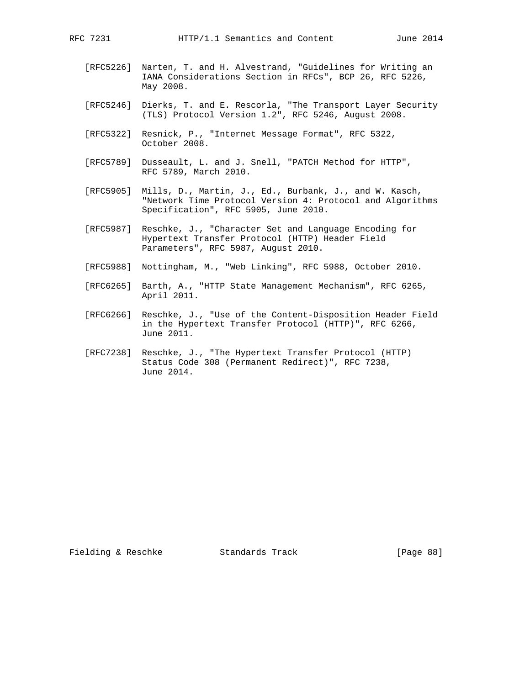- [RFC5226] Narten, T. and H. Alvestrand, "Guidelines for Writing an IANA Considerations Section in RFCs", BCP 26, RFC 5226, May 2008.
- [RFC5246] Dierks, T. and E. Rescorla, "The Transport Layer Security (TLS) Protocol Version 1.2", RFC 5246, August 2008.
- [RFC5322] Resnick, P., "Internet Message Format", RFC 5322, October 2008.
- [RFC5789] Dusseault, L. and J. Snell, "PATCH Method for HTTP", RFC 5789, March 2010.
- [RFC5905] Mills, D., Martin, J., Ed., Burbank, J., and W. Kasch, "Network Time Protocol Version 4: Protocol and Algorithms Specification", RFC 5905, June 2010.
- [RFC5987] Reschke, J., "Character Set and Language Encoding for Hypertext Transfer Protocol (HTTP) Header Field Parameters", RFC 5987, August 2010.
- [RFC5988] Nottingham, M., "Web Linking", RFC 5988, October 2010.
- [RFC6265] Barth, A., "HTTP State Management Mechanism", RFC 6265, April 2011.
- [RFC6266] Reschke, J., "Use of the Content-Disposition Header Field in the Hypertext Transfer Protocol (HTTP)", RFC 6266, June 2011.
- [RFC7238] Reschke, J., "The Hypertext Transfer Protocol (HTTP) Status Code 308 (Permanent Redirect)", RFC 7238, June 2014.

Fielding & Reschke Standards Track [Page 88]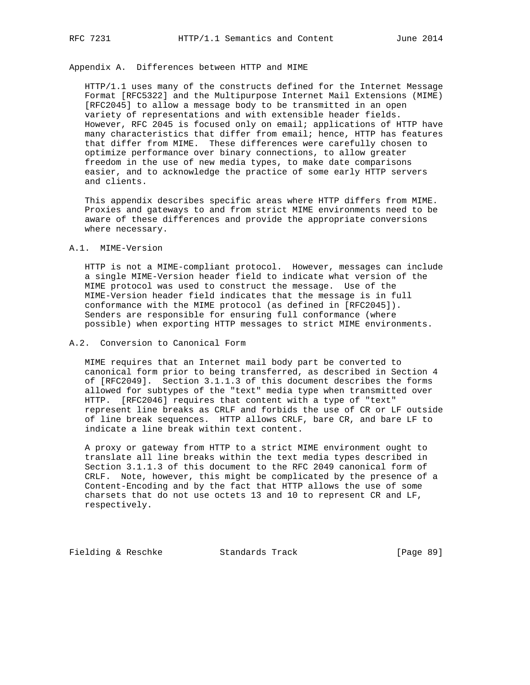# Appendix A. Differences between HTTP and MIME

 HTTP/1.1 uses many of the constructs defined for the Internet Message Format [RFC5322] and the Multipurpose Internet Mail Extensions (MIME) [RFC2045] to allow a message body to be transmitted in an open variety of representations and with extensible header fields. However, RFC 2045 is focused only on email; applications of HTTP have many characteristics that differ from email; hence, HTTP has features that differ from MIME. These differences were carefully chosen to optimize performance over binary connections, to allow greater freedom in the use of new media types, to make date comparisons easier, and to acknowledge the practice of some early HTTP servers and clients.

 This appendix describes specific areas where HTTP differs from MIME. Proxies and gateways to and from strict MIME environments need to be aware of these differences and provide the appropriate conversions where necessary.

#### A.1. MIME-Version

 HTTP is not a MIME-compliant protocol. However, messages can include a single MIME-Version header field to indicate what version of the MIME protocol was used to construct the message. Use of the MIME-Version header field indicates that the message is in full conformance with the MIME protocol (as defined in [RFC2045]). Senders are responsible for ensuring full conformance (where possible) when exporting HTTP messages to strict MIME environments.

#### A.2. Conversion to Canonical Form

 MIME requires that an Internet mail body part be converted to canonical form prior to being transferred, as described in Section 4 of [RFC2049]. Section 3.1.1.3 of this document describes the forms allowed for subtypes of the "text" media type when transmitted over HTTP. [RFC2046] requires that content with a type of "text" represent line breaks as CRLF and forbids the use of CR or LF outside of line break sequences. HTTP allows CRLF, bare CR, and bare LF to indicate a line break within text content.

 A proxy or gateway from HTTP to a strict MIME environment ought to translate all line breaks within the text media types described in Section 3.1.1.3 of this document to the RFC 2049 canonical form of CRLF. Note, however, this might be complicated by the presence of a Content-Encoding and by the fact that HTTP allows the use of some charsets that do not use octets 13 and 10 to represent CR and LF, respectively.

Fielding & Reschke Standards Track [Page 89]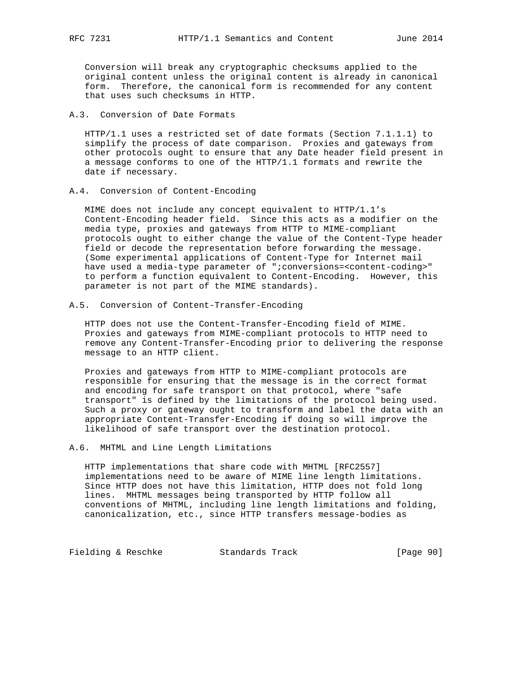Conversion will break any cryptographic checksums applied to the original content unless the original content is already in canonical form. Therefore, the canonical form is recommended for any content that uses such checksums in HTTP.

# A.3. Conversion of Date Formats

 HTTP/1.1 uses a restricted set of date formats (Section 7.1.1.1) to simplify the process of date comparison. Proxies and gateways from other protocols ought to ensure that any Date header field present in a message conforms to one of the HTTP/1.1 formats and rewrite the date if necessary.

#### A.4. Conversion of Content-Encoding

 MIME does not include any concept equivalent to HTTP/1.1's Content-Encoding header field. Since this acts as a modifier on the media type, proxies and gateways from HTTP to MIME-compliant protocols ought to either change the value of the Content-Type header field or decode the representation before forwarding the message. (Some experimental applications of Content-Type for Internet mail have used a media-type parameter of ";conversions=<content-coding>" to perform a function equivalent to Content-Encoding. However, this parameter is not part of the MIME standards).

#### A.5. Conversion of Content-Transfer-Encoding

 HTTP does not use the Content-Transfer-Encoding field of MIME. Proxies and gateways from MIME-compliant protocols to HTTP need to remove any Content-Transfer-Encoding prior to delivering the response message to an HTTP client.

 Proxies and gateways from HTTP to MIME-compliant protocols are responsible for ensuring that the message is in the correct format and encoding for safe transport on that protocol, where "safe transport" is defined by the limitations of the protocol being used. Such a proxy or gateway ought to transform and label the data with an appropriate Content-Transfer-Encoding if doing so will improve the likelihood of safe transport over the destination protocol.

#### A.6. MHTML and Line Length Limitations

 HTTP implementations that share code with MHTML [RFC2557] implementations need to be aware of MIME line length limitations. Since HTTP does not have this limitation, HTTP does not fold long lines. MHTML messages being transported by HTTP follow all conventions of MHTML, including line length limitations and folding, canonicalization, etc., since HTTP transfers message-bodies as

Fielding & Reschke Standards Track [Page 90]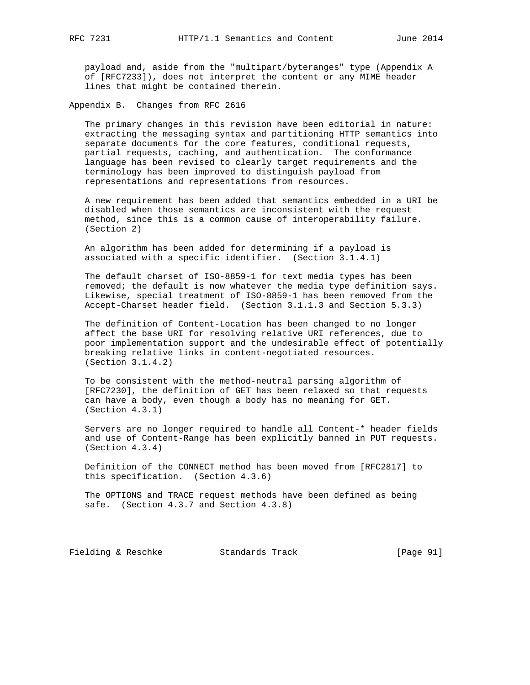payload and, aside from the "multipart/byteranges" type (Appendix A of [RFC7233]), does not interpret the content or any MIME header lines that might be contained therein.

Appendix B. Changes from RFC 2616

 The primary changes in this revision have been editorial in nature: extracting the messaging syntax and partitioning HTTP semantics into separate documents for the core features, conditional requests, partial requests, caching, and authentication. The conformance language has been revised to clearly target requirements and the terminology has been improved to distinguish payload from representations and representations from resources.

 A new requirement has been added that semantics embedded in a URI be disabled when those semantics are inconsistent with the request method, since this is a common cause of interoperability failure. (Section 2)

 An algorithm has been added for determining if a payload is associated with a specific identifier. (Section 3.1.4.1)

 The default charset of ISO-8859-1 for text media types has been removed; the default is now whatever the media type definition says. Likewise, special treatment of ISO-8859-1 has been removed from the Accept-Charset header field. (Section 3.1.1.3 and Section 5.3.3)

 The definition of Content-Location has been changed to no longer affect the base URI for resolving relative URI references, due to poor implementation support and the undesirable effect of potentially breaking relative links in content-negotiated resources. (Section 3.1.4.2)

 To be consistent with the method-neutral parsing algorithm of [RFC7230], the definition of GET has been relaxed so that requests can have a body, even though a body has no meaning for GET. (Section 4.3.1)

 Servers are no longer required to handle all Content-\* header fields and use of Content-Range has been explicitly banned in PUT requests. (Section 4.3.4)

 Definition of the CONNECT method has been moved from [RFC2817] to this specification. (Section 4.3.6)

 The OPTIONS and TRACE request methods have been defined as being safe. (Section 4.3.7 and Section 4.3.8)

Fielding & Reschke Standards Track [Page 91]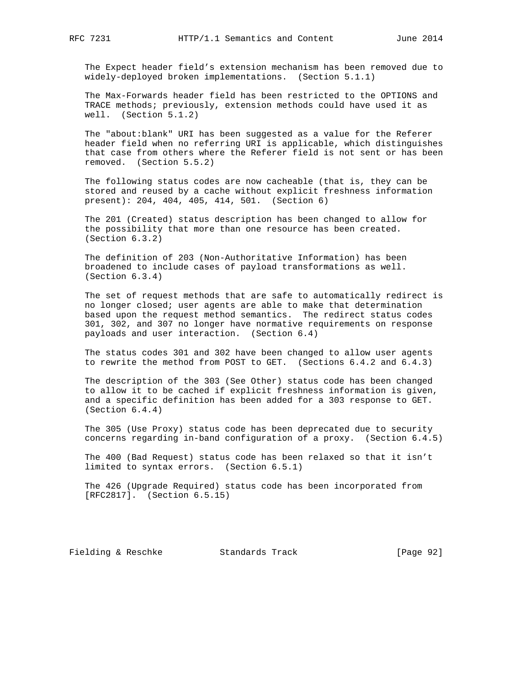The Expect header field's extension mechanism has been removed due to widely-deployed broken implementations. (Section 5.1.1)

 The Max-Forwards header field has been restricted to the OPTIONS and TRACE methods; previously, extension methods could have used it as well. (Section 5.1.2)

 The "about:blank" URI has been suggested as a value for the Referer header field when no referring URI is applicable, which distinguishes that case from others where the Referer field is not sent or has been removed. (Section 5.5.2)

 The following status codes are now cacheable (that is, they can be stored and reused by a cache without explicit freshness information present): 204, 404, 405, 414, 501. (Section 6)

 The 201 (Created) status description has been changed to allow for the possibility that more than one resource has been created. (Section 6.3.2)

 The definition of 203 (Non-Authoritative Information) has been broadened to include cases of payload transformations as well. (Section 6.3.4)

 The set of request methods that are safe to automatically redirect is no longer closed; user agents are able to make that determination based upon the request method semantics. The redirect status codes 301, 302, and 307 no longer have normative requirements on response payloads and user interaction. (Section 6.4)

 The status codes 301 and 302 have been changed to allow user agents to rewrite the method from POST to GET. (Sections 6.4.2 and 6.4.3)

 The description of the 303 (See Other) status code has been changed to allow it to be cached if explicit freshness information is given, and a specific definition has been added for a 303 response to GET. (Section 6.4.4)

 The 305 (Use Proxy) status code has been deprecated due to security concerns regarding in-band configuration of a proxy. (Section 6.4.5)

 The 400 (Bad Request) status code has been relaxed so that it isn't limited to syntax errors. (Section 6.5.1)

 The 426 (Upgrade Required) status code has been incorporated from [RFC2817]. (Section 6.5.15)

Fielding & Reschke Standards Track [Page 92]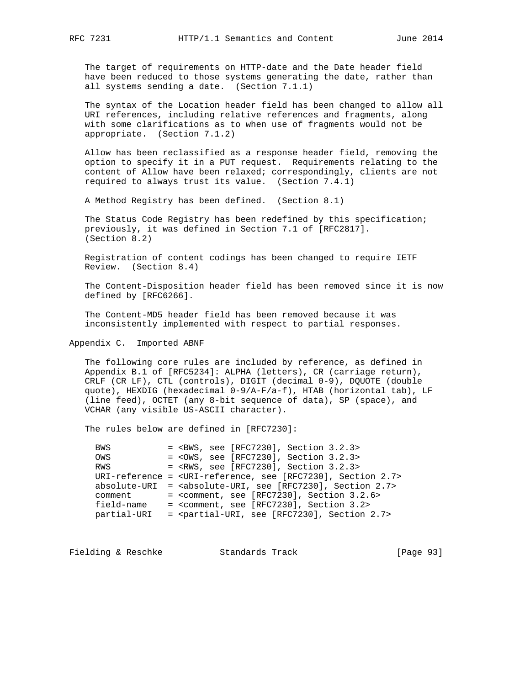The target of requirements on HTTP-date and the Date header field have been reduced to those systems generating the date, rather than all systems sending a date. (Section 7.1.1)

 The syntax of the Location header field has been changed to allow all URI references, including relative references and fragments, along with some clarifications as to when use of fragments would not be appropriate. (Section 7.1.2)

 Allow has been reclassified as a response header field, removing the option to specify it in a PUT request. Requirements relating to the content of Allow have been relaxed; correspondingly, clients are not required to always trust its value. (Section 7.4.1)

A Method Registry has been defined. (Section 8.1)

 The Status Code Registry has been redefined by this specification; previously, it was defined in Section 7.1 of [RFC2817]. (Section 8.2)

 Registration of content codings has been changed to require IETF Review. (Section 8.4)

 The Content-Disposition header field has been removed since it is now defined by [RFC6266].

 The Content-MD5 header field has been removed because it was inconsistently implemented with respect to partial responses.

Appendix C. Imported ABNF

 The following core rules are included by reference, as defined in Appendix B.1 of [RFC5234]: ALPHA (letters), CR (carriage return), CRLF (CR LF), CTL (controls), DIGIT (decimal 0-9), DQUOTE (double quote), HEXDIG (hexadecimal 0-9/A-F/a-f), HTAB (horizontal tab), LF (line feed), OCTET (any 8-bit sequence of data), SP (space), and VCHAR (any visible US-ASCII character).

The rules below are defined in [RFC7230]:

 BWS = <BWS, see [RFC7230], Section 3.2.3> OWS = <OWS, see [RFC7230], Section 3.2.3> RWS = <RWS, see [RFC7230], Section 3.2.3> URI-reference = <URI-reference, see [RFC7230], Section 2.7> absolute-URI = <absolute-URI, see [RFC7230], Section 2.7>  $comment = , see [RFC7230], Section 3.2.6>$  field-name = <comment, see [RFC7230], Section 3.2> partial-URI = <partial-URI, see [RFC7230], Section 2.7>

Fielding & Reschke Standards Track [Page 93]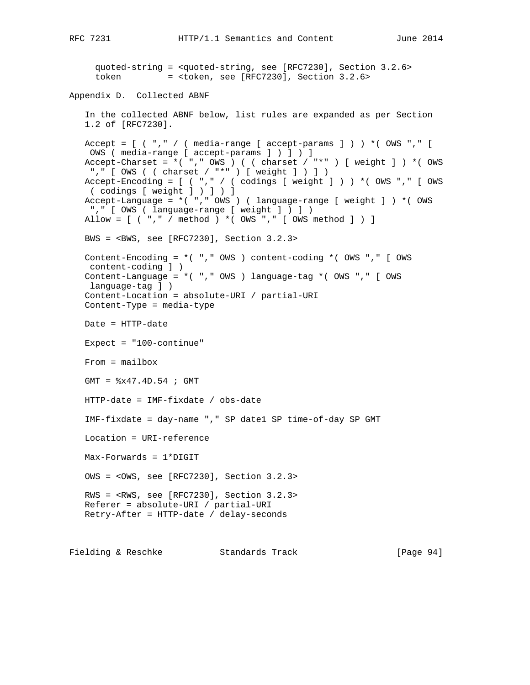```
 quoted-string = <quoted-string, see [RFC7230], Section 3.2.6>
     token = <token, see [RFC7230], Section 3.2.6>
Appendix D. Collected ABNF
    In the collected ABNF below, list rules are expanded as per Section
   1.2 of [RFC7230].
  Accept = [ ( "," / ( media-range [ accept-params ] ) ) *( OWS "," [ OWS ( media-range [ accept-params ] ) ] ) ]
  Accept-Charset = *( "," OWS ) ( ( charset / "*" ) [ weight ] ) *( OWS
    "," [ OWS ( ( charset / "*" ) [ weight ] ) ] )
  Accept-Encoding = [ ( "," / ( codings [ weight ] ) ) * ( OWS "," [ OWS
    ( codings [ weight ] ) ] ) ]
    Accept-Language = *( "," OWS ) ( language-range [ weight ] ) *( OWS
    "," [ OWS ( language-range [ weight ] ) ] )
   Allow = [ ( "," / method ) *( OWS "," [ OWS method ] ) ]
   BWS = <BWS, see [RFC7230], Section 3.2.3>
   Content-Encoding = *( "," OWS ) content-coding *( OWS "," [ OWS
    content-coding ] )
   Content-Language = *( "," OWS ) language-tag *( OWS "," [ OWS
    language-tag ] )
    Content-Location = absolute-URI / partial-URI
   Content-Type = media-type
   Date = HTTP-date
   Expect = "100-continue"
   From = mailbox
   GMT = %x47.4D.54 ; GMT
   HTTP-date = IMF-fixdate / obs-date
    IMF-fixdate = day-name "," SP date1 SP time-of-day SP GMT
   Location = URI-reference
   Max-Forwards = 1*DIGIT
   OWS = <OWS, see [RFC7230], Section 3.2.3>
   RWS = <RWS, see [RFC7230], Section 3.2.3>
   Referer = absolute-URI / partial-URI
   Retry-After = HTTP-date / delay-seconds
Fielding & Reschke Standards Track [Page 94]
```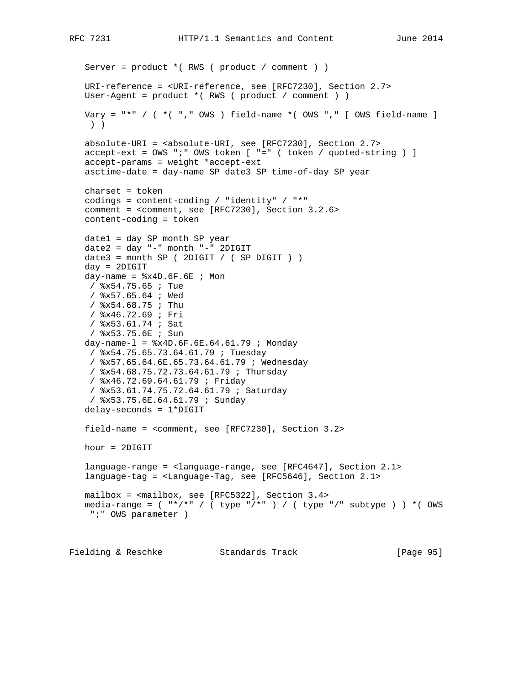```
 Server = product *( RWS ( product / comment ) )
   URI-reference = <URI-reference, see [RFC7230], Section 2.7>
   User-Agent = product *( RWS ( product / comment ) )
  Vary = "*" / ( *( "," OWS ) field-name *( OWS "," [ OWS field-name ]
    ) )
    absolute-URI = <absolute-URI, see [RFC7230], Section 2.7>
    accept-ext = OWS ";" OWS token [ "=" ( token / quoted-string ) ]
   accept-params = weight *accept-ext
   asctime-date = day-name SP date3 SP time-of-day SP year
   charset = token
    codings = content-coding / "identity" / "*"
   comment = <comment, see [RFC7230], Section 3.2.6>
   content-coding = token
   date1 = day SP month SP year
   date2 = day "-" month "-" 2DIGIT
  date3 = month SP ( 2DIGIT / ( SP DIGIT ) ) day = 2DIGIT
  day-name = x4D.6F.6E ; Mon
    / %x54.75.65 ; Tue
    / %x57.65.64 ; Wed
    / %x54.68.75 ; Thu
    / %x46.72.69 ; Fri
    / %x53.61.74 ; Sat
    / %x53.75.6E ; Sun
   day-name-l = x4D.6F.6E.64.61.79 ; Monday
    / %x54.75.65.73.64.61.79 ; Tuesday
    / %x57.65.64.6E.65.73.64.61.79 ; Wednesday
    / %x54.68.75.72.73.64.61.79 ; Thursday
    / %x46.72.69.64.61.79 ; Friday
    / %x53.61.74.75.72.64.61.79 ; Saturday
    / %x53.75.6E.64.61.79 ; Sunday
    delay-seconds = 1*DIGIT
    field-name = <comment, see [RFC7230], Section 3.2>
   hour = 2DIGIT
    language-range = <language-range, see [RFC4647], Section 2.1>
    language-tag = <Language-Tag, see [RFC5646], Section 2.1>
   mailbox = <mailbox, see [RFC5322], Section 3.4>
   media-range = ( "*/*" / ( type "/*" ) / ( type "/" subtype ) ) *( OWS
    ";" OWS parameter )
Fielding & Reschke Standards Track [Page 95]
```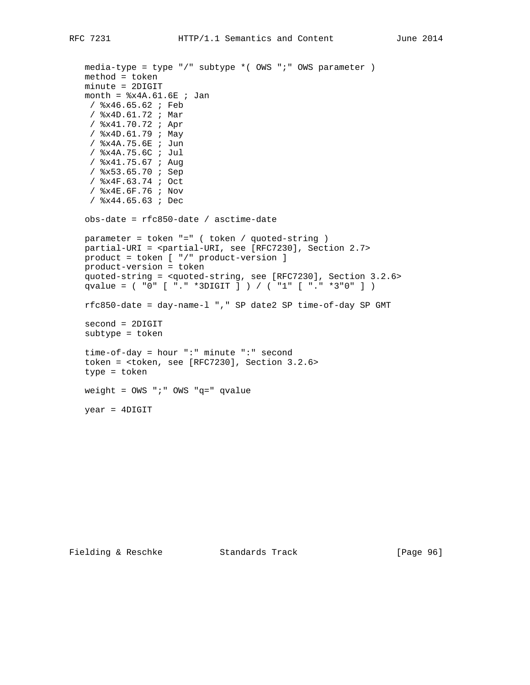```
 media-type = type "/" subtype *( OWS ";" OWS parameter )
 method = token
 minute = 2DIGIT
month = 8x4A.61.6E ; Jan
 / %x46.65.62 ; Feb
 / %x4D.61.72 ; Mar
 / %x41.70.72 ; Apr
  / %x4D.61.79 ; May
  / %x4A.75.6E ; Jun
  / %x4A.75.6C ; Jul
  / %x41.75.67 ; Aug
  / %x53.65.70 ; Sep
  / %x4F.63.74 ; Oct
  / %x4E.6F.76 ; Nov
  / %x44.65.63 ; Dec
 obs-date = rfc850-date / asctime-date
 parameter = token "=" ( token / quoted-string )
 partial-URI = <partial-URI, see [RFC7230], Section 2.7>
 product = token [ "/" product-version ]
 product-version = token
 quoted-string = <quoted-string, see [RFC7230], Section 3.2.6>
 qvalue = ( "0" [ "." *3DIGIT ] ) / ( "1" [ "." *3"0" ] )
 rfc850-date = day-name-l "," SP date2 SP time-of-day SP GMT
 second = 2DIGIT
 subtype = token
 time-of-day = hour ":" minute ":" second
 token = <token, see [RFC7230], Section 3.2.6>
 type = token
 weight = OWS ";" OWS "q=" qvalue
 year = 4DIGIT
```
Fielding & Reschke Standards Track [Page 96]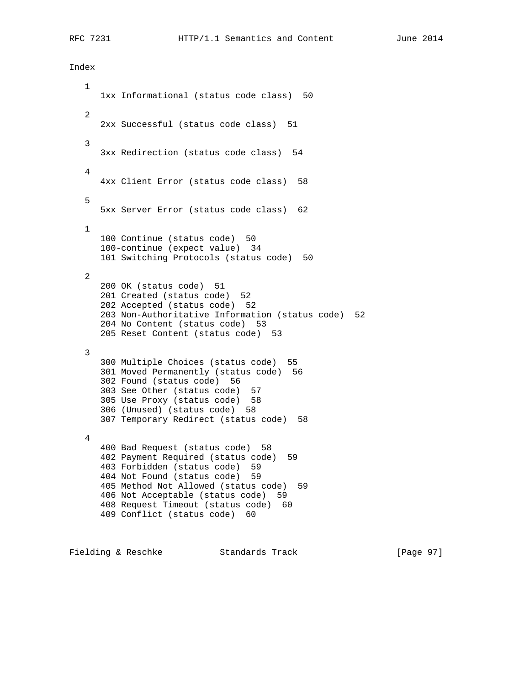Index

 1 1xx Informational (status code class) 50 2 2xx Successful (status code class) 51 3 3xx Redirection (status code class) 54 4 4xx Client Error (status code class) 58 5 5xx Server Error (status code class) 62 1 100 Continue (status code) 50 100-continue (expect value) 34 101 Switching Protocols (status code) 50 2 200 OK (status code) 51 201 Created (status code) 52 202 Accepted (status code) 52 203 Non-Authoritative Information (status code) 52 204 No Content (status code) 53 205 Reset Content (status code) 53 3 300 Multiple Choices (status code) 55 301 Moved Permanently (status code) 56 302 Found (status code) 56 303 See Other (status code) 57 305 Use Proxy (status code) 58 306 (Unused) (status code) 58 307 Temporary Redirect (status code) 58 4 400 Bad Request (status code) 58 402 Payment Required (status code) 59 403 Forbidden (status code) 59 404 Not Found (status code) 59 405 Method Not Allowed (status code) 59 406 Not Acceptable (status code) 59 408 Request Timeout (status code) 60 409 Conflict (status code) 60

Fielding & Reschke Standards Track [Page 97]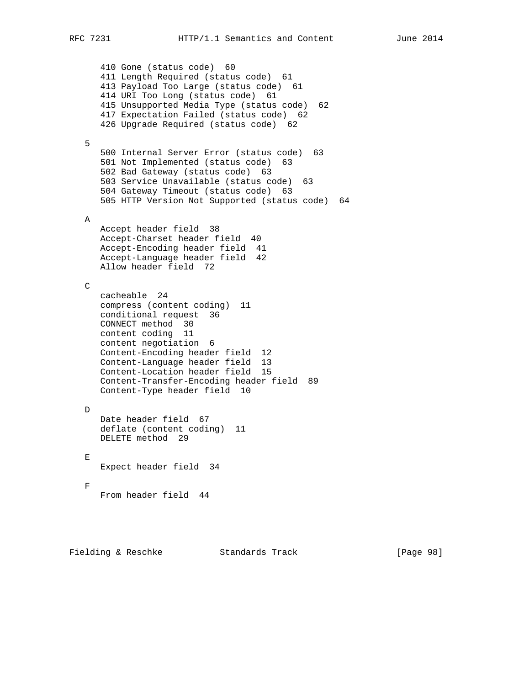410 Gone (status code) 60 411 Length Required (status code) 61 413 Payload Too Large (status code) 61 414 URI Too Long (status code) 61 415 Unsupported Media Type (status code) 62 417 Expectation Failed (status code) 62 426 Upgrade Required (status code) 62 5 500 Internal Server Error (status code) 63 501 Not Implemented (status code) 63 502 Bad Gateway (status code) 63 503 Service Unavailable (status code) 63 504 Gateway Timeout (status code) 63 505 HTTP Version Not Supported (status code) 64 A Accept header field 38 Accept-Charset header field 40 Accept-Encoding header field 41 Accept-Language header field 42 Allow header field 72  $\mathcal{C}$  cacheable 24 compress (content coding) 11 conditional request 36 CONNECT method 30 content coding 11 content negotiation 6 Content-Encoding header field 12 Content-Language header field 13 Content-Location header field 15 Content-Transfer-Encoding header field 89 Content-Type header field 10 D Date header field 67 deflate (content coding) 11 DELETE method 29  $E$  Expect header field 34  $\mathbf{F}$ From header field 44

Fielding & Reschke Standards Track [Page 98]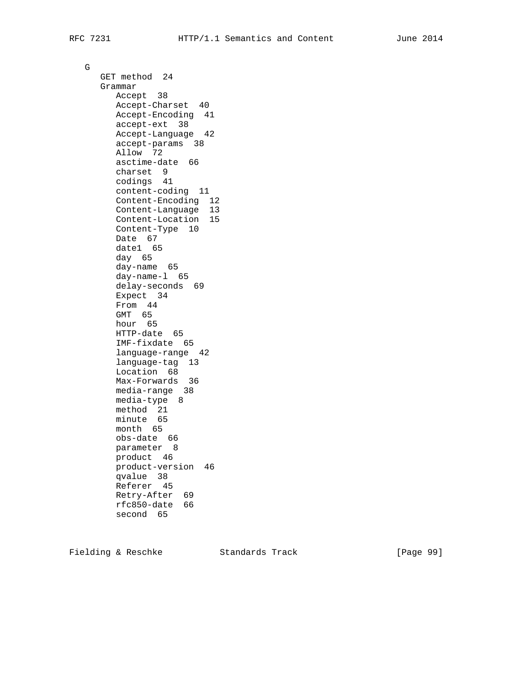G

 GET method 24 Grammar Accept 38 Accept-Charset 40 Accept-Encoding 41 accept-ext 38 Accept-Language 42 accept-params 38 Allow 72 asctime-date 66 charset 9 codings 41 content-coding 11 Content-Encoding 12 Content-Language 13 Content-Location 15 Content-Type 10 Date 67 date1 65 day 65 day-name 65 day-name-l 65 delay-seconds 69 Expect 34 From 44 GMT 65 hour 65 HTTP-date 65 IMF-fixdate 65 language-range 42 language-tag 13 Location 68 Max-Forwards 36 media-range 38 media-type 8 method 21 minute 65 month 65 obs-date 66 parameter 8 product 46 product-version 46 qvalue 38 Referer 45 Retry-After 69 rfc850-date 66 second 65

Fielding & Reschke Standards Track [Page 99]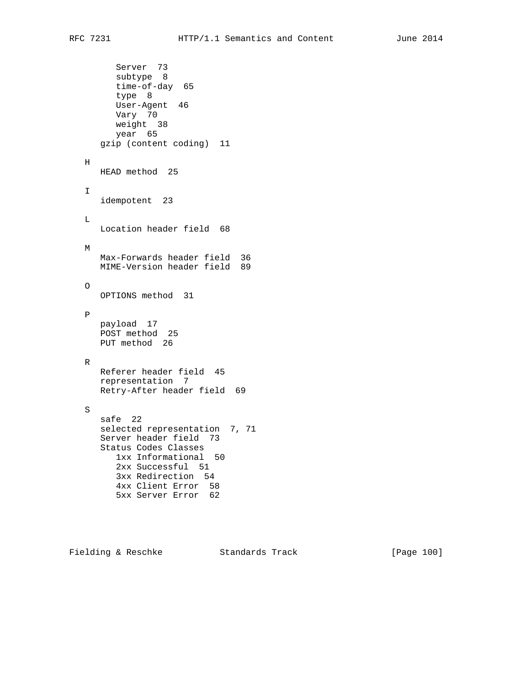Server 73 subtype 8 time-of-day 65 type 8 User-Agent 46 Vary 70 weight 38 year 65 gzip (content coding) 11 H HEAD method 25 I idempotent 23 L Location header field 68 M Max-Forwards header field 36 MIME-Version header field 89 O OPTIONS method 31 P payload 17 POST method 25 PUT method 26 R Referer header field 45 representation 7 Retry-After header field 69 S safe 22 selected representation 7, 71 Server header field 73 Status Codes Classes 1xx Informational 50 2xx Successful 51 3xx Redirection 54 4xx Client Error 58 5xx Server Error 62

Fielding & Reschke Standards Track [Page 100]